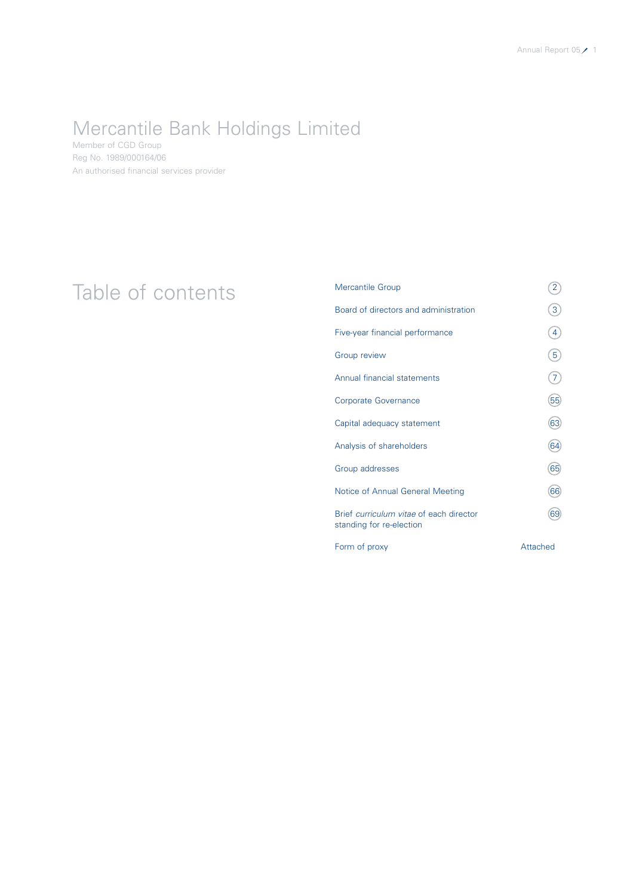### Mercantile Bank Holdings Limited

Member of CGD Group Reg No. 1989/000164/06 An authorised financial services provider

### Table of contents<br>
<sup>Mercantile Group</sup><br>
Board of directors and administration (3) Board of directors and administration Five-year financial performance  $\qquad \qquad \textbf{(4)}$ Group review  $(5)$ Annual financial statements  $(7)$ Corporate Governance 655 Capital adequacy statement 63 Analysis of shareholders (64) Group addresses 65 Notice of Annual General Meeting 66 Brief curriculum vitae of each director 69 standing for re-election Form of proxy and the state of the Attached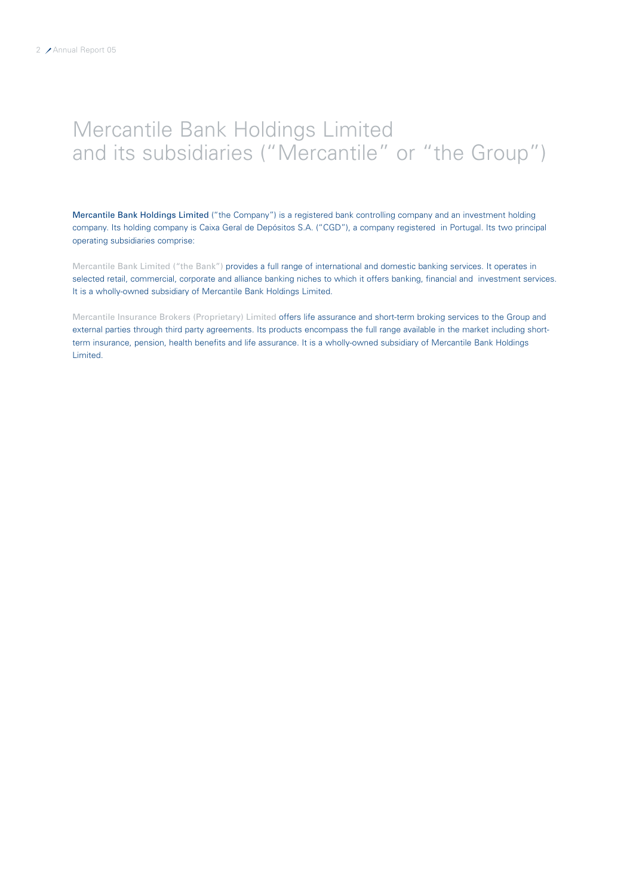## Mercantile Bank Holdings Limited and its subsidiaries ("Mercantile" or "the Group")

Mercantile Bank Holdings Limited ("the Company") is a registered bank controlling company and an investment holding company. Its holding company is Caixa Geral de Depósitos S.A. ("CGD"), a company registered in Portugal. Its two principal operating subsidiaries comprise:

Mercantile Bank Limited ("the Bank") provides a full range of international and domestic banking services. It operates in selected retail, commercial, corporate and alliance banking niches to which it offers banking, financial and investment services. It is a wholly-owned subsidiary of Mercantile Bank Holdings Limited.

Mercantile Insurance Brokers (Proprietary) Limited offers life assurance and short-term broking services to the Group and external parties through third party agreements. Its products encompass the full range available in the market including shortterm insurance, pension, health benefits and life assurance. It is a wholly-owned subsidiary of Mercantile Bank Holdings Limited.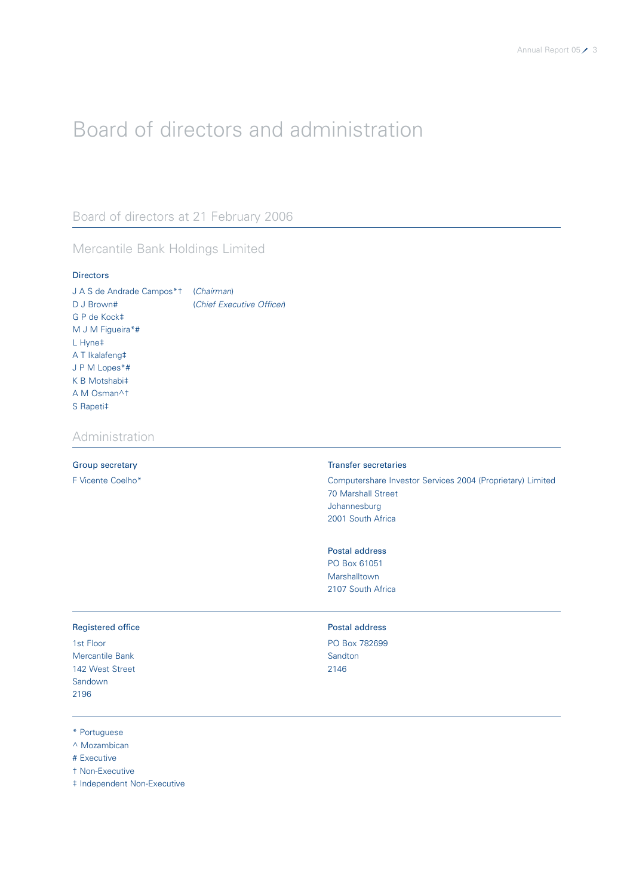# Board of directors and administration

### Board of directors at 21 February 2006

### Mercantile Bank Holdings Limited

### Directors

| J A S de Andrade Campos*† (Chairman) |                           |
|--------------------------------------|---------------------------|
| D J Brown#                           | (Chief Executive Officer) |
| G P de Kock‡                         |                           |
| M J M Figueira*#                     |                           |
| $L$ Hyne $\ddagger$                  |                           |
| A T Ikalafeng‡                       |                           |
| JPM Lopes*#                          |                           |
| $K$ B Motshabi $\ddagger$            |                           |
| A M Osman^t                          |                           |
| S Rapeti‡                            |                           |

### Administration

### Group secretary **Transfer secretaries**

F Vicente Coelho\* Computershare Investor Services 2004 (Proprietary) Limited 70 Marshall Street Johannesburg 2001 South Africa

### Postal address

PO Box 61051 Marshalltown 2107 South Africa

### Registered office **Postal address**

Mercantile Bank Sandton Sandton Sandton Sandton Sandton Sandton Sandton Sandton Sandton Sandton Sandton Sandton Sandton Sandton Sandton Sandton Sandton Sandton Sandton Sandton Sandton Sandton Sandton Sandton Sandton Sandto 142 West Street 2146 Sandown 2196

1st Floor PO Box 782699

\* Portuguese

^ Mozambican

# Executive

† Non-Executive

‡ Independent Non-Executive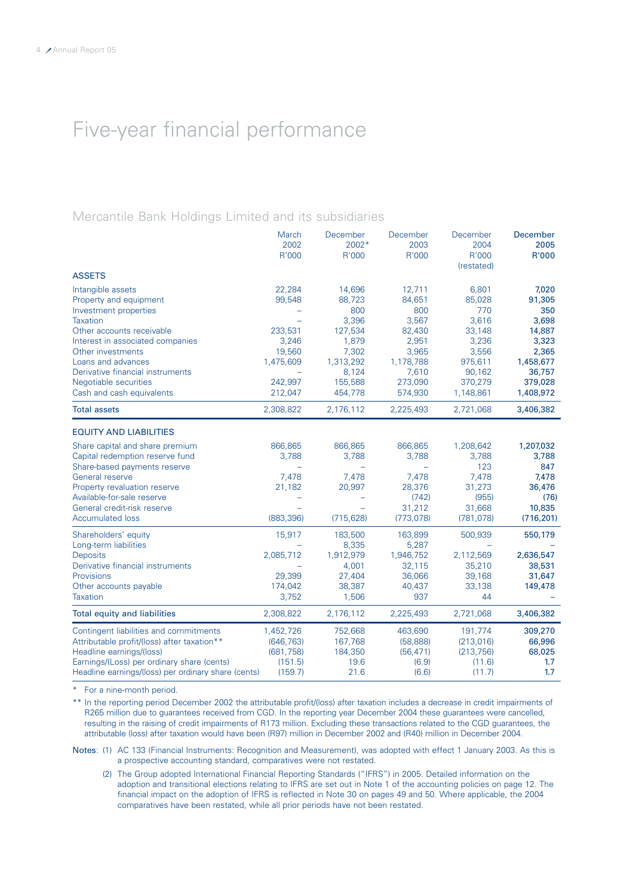## Five-year financial performance

### Mercantile Bank Holdings Limited and its subsidiaries

|                                                     | March      | December           | December           | December   | December   |
|-----------------------------------------------------|------------|--------------------|--------------------|------------|------------|
|                                                     | 2002       | $2002*$            | 2003               | 2004       | 2005       |
|                                                     | R'000      | R'000              | R'000              | R'000      | R'000      |
|                                                     |            |                    |                    | (restated) |            |
| <b>ASSETS</b>                                       |            |                    |                    |            |            |
| Intangible assets                                   | 22,284     | 14,696             | 12,711             | 6,801      | 7,020      |
| Property and equipment                              | 99,548     | 88,723             | 84,651             | 85,028     | 91,305     |
| Investment properties                               |            | 800                | 800                | 770        | 350        |
| Taxation                                            |            | 3,396              | 3,567              | 3,616      | 3,698      |
| Other accounts receivable                           | 233,531    | 127,534            | 82,430             | 33,148     | 14,887     |
| Interest in associated companies                    | 3,246      | 1,879              | 2,951              | 3,236      | 3,323      |
| Other investments                                   | 19,560     | 7,302              | 3,965              | 3,556      | 2,365      |
| Loans and advances                                  | 1,475,609  | 1,313,292          | 1,178,788          | 975,611    | 1,458,677  |
| Derivative financial instruments                    | ÷,         | 8,124              | 7,610              | 90,162     | 36,757     |
| Negotiable securities                               | 242,997    | 155,588            | 273,090            | 370,279    | 379,028    |
| Cash and cash equivalents                           | 212,047    | 454,778            | 574,930            | 1,148,861  | 1,408,972  |
| <b>Total assets</b>                                 | 2,308,822  | 2,176,112          | 2,225,493          | 2,721,068  | 3,406,382  |
| <b>EQUITY AND LIABILITIES</b>                       |            |                    |                    |            |            |
| Share capital and share premium                     | 866,865    | 866,865            | 866,865            | 1,208,642  | 1,207,032  |
| Capital redemption reserve fund                     | 3,788      | 3,788              | 3,788              | 3,788      | 3,788      |
| Share-based payments reserve                        |            |                    |                    | 123        | 847        |
| General reserve                                     | 7,478      | 7,478              | 7,478              | 7,478      | 7,478      |
| Property revaluation reserve                        | 21,182     | 20,997             | 28,376             | 31,273     | 36,476     |
| Available-for-sale reserve                          |            |                    | (742)              | (955)      | (76)       |
| General credit-risk reserve                         |            |                    | 31,212             | 31,668     | 10,835     |
| <b>Accumulated loss</b>                             | (883, 396) | (715, 628)         | (773, 078)         | (781, 078) | (716, 201) |
|                                                     |            |                    |                    |            |            |
| Shareholders' equity                                | 15,917     | 183,500            | 163,899            | 500,939    | 550,179    |
| Long-term liabilities<br><b>Deposits</b>            | 2,085,712  | 8,335<br>1,912,979 | 5,287<br>1,946,752 | 2,112,569  | 2,636,547  |
| Derivative financial instruments                    | -          | 4,001              | 32,115             | 35,210     | 38,531     |
| Provisions                                          | 29,399     | 27,404             | 36,066             | 39,168     | 31,647     |
| Other accounts payable                              | 174,042    | 38,387             | 40,437             | 33,138     | 149,478    |
| Taxation                                            | 3,752      | 1,506              | 937                | 44         |            |
|                                                     |            |                    |                    |            |            |
| <b>Total equity and liabilities</b>                 | 2,308,822  | 2,176,112          | 2,225,493          | 2,721,068  | 3,406,382  |
| Contingent liabilities and commitments              | 1,452,726  | 752,668            | 463,690            | 191,774    | 309,270    |
| Attributable profit/(loss) after taxation**         | (646, 763) | 167,768            | (58, 888)          | (213,016)  | 66,996     |
| Headline earnings/(loss)                            | (681, 758) | 184,350            | (56, 471)          | (213, 756) | 68,025     |
| Earnings/(Loss) per ordinary share (cents)          | (151.5)    | 19.6               | (6.9)              | (11.6)     | 1.7        |
| Headline earnings/(loss) per ordinary share (cents) | (159.7)    | 21.6               | (6.6)              | (11.7)     | 1.7        |

\* For a nine-month period.

\*\* In the reporting period December 2002 the attributable profit/(loss) after taxation includes a decrease in credit impairments of R265 million due to guarantees received from CGD. In the reporting year December 2004 these guarantees were cancelled, resulting in the raising of credit impairments of R173 million. Excluding these transactions related to the CGD guarantees, the attributable (loss) after taxation would have been (R97) million in December 2002 and (R40) million in December 2004.

Notes: (1) AC 133 (Financial Instruments: Recognition and Measurement), was adopted with effect 1 January 2003. As this is a prospective accounting standard, comparatives were not restated.

(2) The Group adopted International Financial Reporting Standards ("IFRS") in 2005. Detailed information on the adoption and transitional elections relating to IFRS are set out in Note 1 of the accounting policies on page 12. The financial impact on the adoption of IFRS is reflected in Note 30 on pages 49 and 50. Where applicable, the 2004 comparatives have been restated, while all prior periods have not been restated.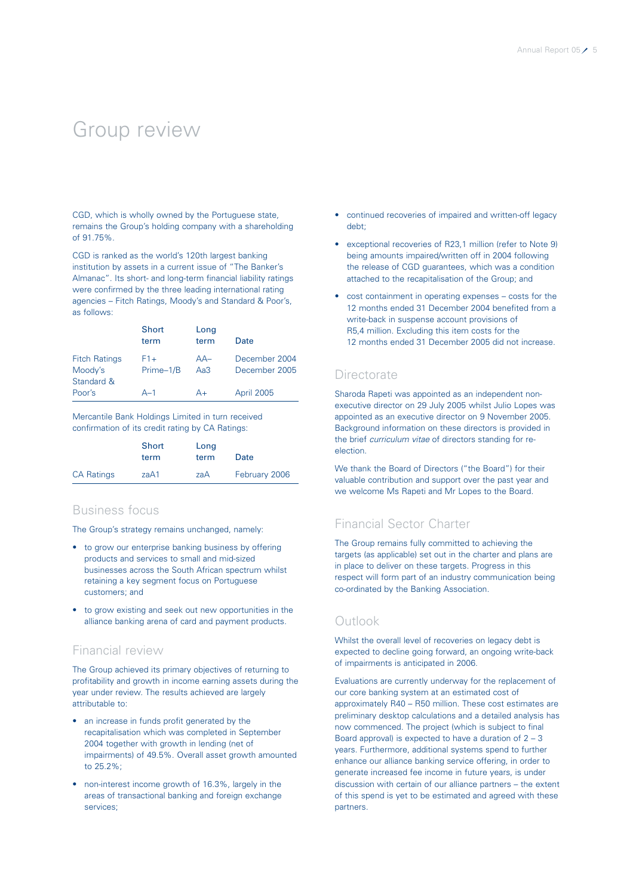### Group review

CGD, which is wholly owned by the Portuguese state, remains the Group's holding company with a shareholding of 91.75%.

CGD is ranked as the world's 120th largest banking institution by assets in a current issue of "The Banker's Almanac". Its short- and long-term financial liability ratings were confirmed by the three leading international rating agencies – Fitch Ratings, Moody's and Standard & Poor's, as follows:

|                                               | Short<br>term      | Long<br>term    | Date                           |
|-----------------------------------------------|--------------------|-----------------|--------------------------------|
| <b>Fitch Ratings</b><br>Moody's<br>Standard & | $F1+$<br>Prime-1/B | $AA-$<br>Aa $3$ | December 2004<br>December 2005 |
| Poor's                                        | $A-1$              | $A+$            | April 2005                     |

Mercantile Bank Holdings Limited in turn received confirmation of its credit rating by CA Ratings:

|                   | Short<br>term | Long<br>term | Date          |
|-------------------|---------------|--------------|---------------|
| <b>CA Ratings</b> | zaA1          | zaA          | February 2006 |

### Business focus

The Group's strategy remains unchanged, namely:

- to grow our enterprise banking business by offering products and services to small and mid-sized businesses across the South African spectrum whilst retaining a key segment focus on Portuguese customers; and
- to grow existing and seek out new opportunities in the alliance banking arena of card and payment products.

### Financial review

The Group achieved its primary objectives of returning to profitability and growth in income earning assets during the year under review. The results achieved are largely attributable to:

- an increase in funds profit generated by the recapitalisation which was completed in September 2004 together with growth in lending (net of impairments) of 49.5%. Overall asset growth amounted to 25.2%;
- non-interest income growth of 16.3%, largely in the areas of transactional banking and foreign exchange services;
- continued recoveries of impaired and written-off legacy debt;
- exceptional recoveries of R23,1 million (refer to Note 9) being amounts impaired/written off in 2004 following the release of CGD guarantees, which was a condition attached to the recapitalisation of the Group; and
- cost containment in operating expenses costs for the 12 months ended 31 December 2004 benefited from a write-back in suspense account provisions of R5,4 million. Excluding this item costs for the 12 months ended 31 December 2005 did not increase.

### **Directorate**

Sharoda Rapeti was appointed as an independent nonexecutive director on 29 July 2005 whilst Julio Lopes was appointed as an executive director on 9 November 2005. Background information on these directors is provided in the brief curriculum vitae of directors standing for reelection.

We thank the Board of Directors ("the Board") for their valuable contribution and support over the past year and we welcome Ms Rapeti and Mr Lopes to the Board.

### Financial Sector Charter

The Group remains fully committed to achieving the targets (as applicable) set out in the charter and plans are in place to deliver on these targets. Progress in this respect will form part of an industry communication being co-ordinated by the Banking Association.

### Outlook

Whilst the overall level of recoveries on legacy debt is expected to decline going forward, an ongoing write-back of impairments is anticipated in 2006.

Evaluations are currently underway for the replacement of our core banking system at an estimated cost of approximately R40 – R50 million. These cost estimates are preliminary desktop calculations and a detailed analysis has now commenced. The project (which is subject to final Board approval) is expected to have a duration of  $2 - 3$ years. Furthermore, additional systems spend to further enhance our alliance banking service offering, in order to generate increased fee income in future years, is under discussion with certain of our alliance partners – the extent of this spend is yet to be estimated and agreed with these partners.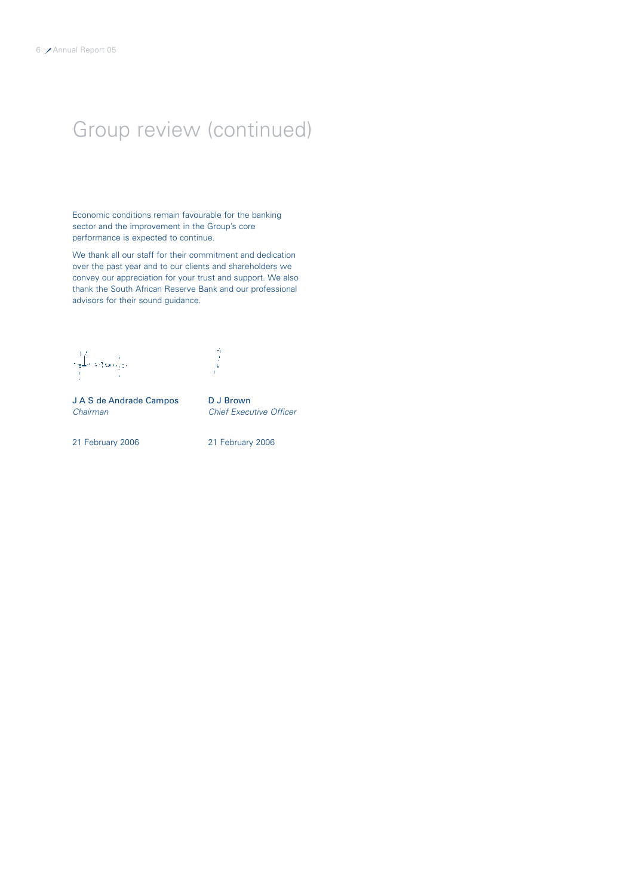# Group review (continued)

Economic conditions remain favourable for the banking sector and the improvement in the Group's core performance is expected to continue.

We thank all our staff for their commitment and dedication over the past year and to our clients and shareholders we convey our appreciation for your trust and support. We also thank the South African Reserve Bank and our professional advisors for their sound guidance.

 $\bigcup_{i=1}^l \bigcup_{j=1}^l \{ \alpha_i \}_{i=1}^l.$ 

 $\frac{3}{2}$ 

J A S de Andrade Campos D J Brown<br>Chairman Chief Exect

Chief Executive Officer

21 February 2006 21 February 2006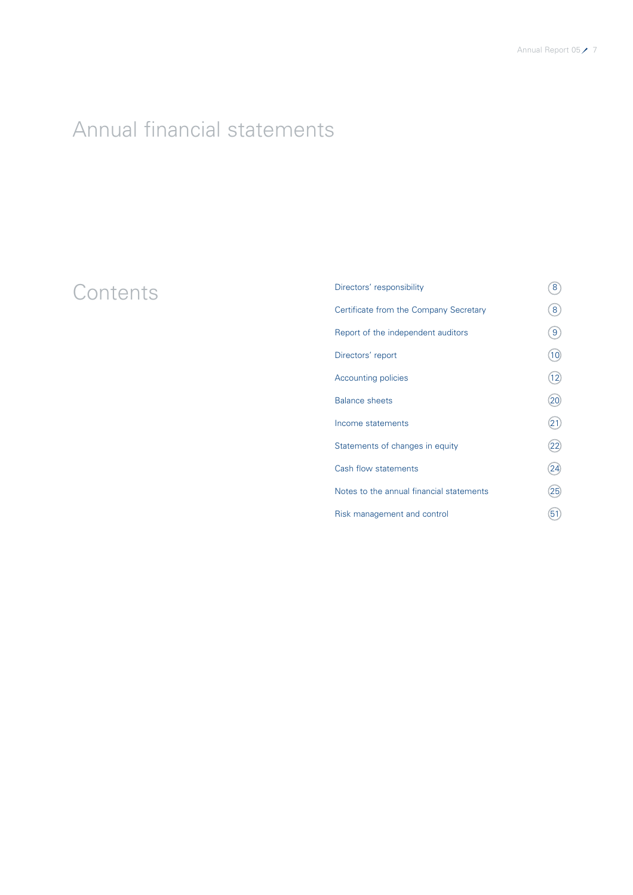# Annual financial statements

# Contents

| Directors' responsibility                | 8  |
|------------------------------------------|----|
| Certificate from the Company Secretary   | 8  |
| Report of the independent auditors       | 9  |
| Directors' report                        | 10 |
| Accounting policies                      | 12 |
| <b>Balance sheets</b>                    | 20 |
| Income statements                        | 21 |
| Statements of changes in equity          | 22 |
| Cash flow statements                     | 24 |
| Notes to the annual financial statements | 25 |
| Risk management and control              | 51 |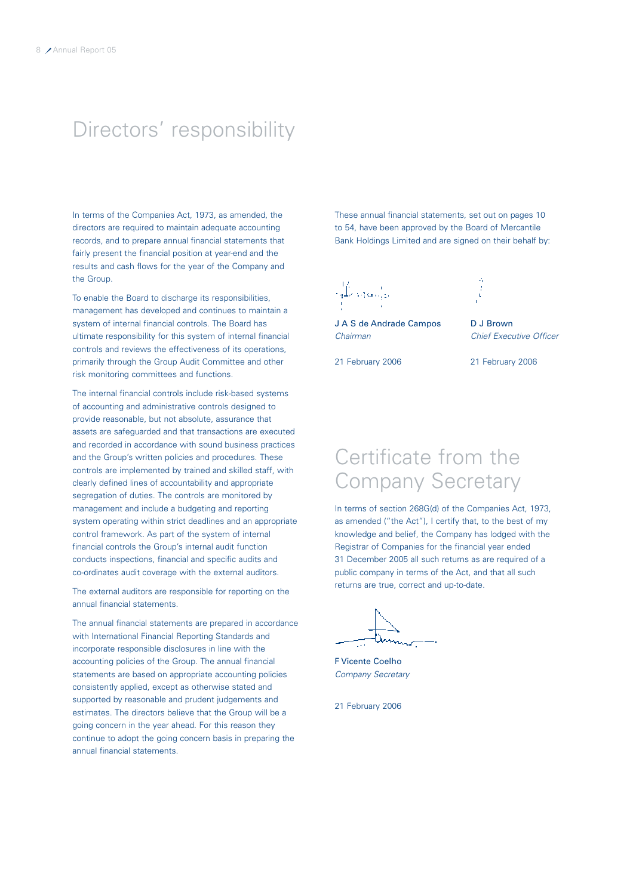# Directors' responsibility

In terms of the Companies Act, 1973, as amended, the directors are required to maintain adequate accounting records, and to prepare annual financial statements that fairly present the financial position at year-end and the results and cash flows for the year of the Company and the Group.

To enable the Board to discharge its responsibilities, management has developed and continues to maintain a system of internal financial controls. The Board has ultimate responsibility for this system of internal financial controls and reviews the effectiveness of its operations, primarily through the Group Audit Committee and other risk monitoring committees and functions.

The internal financial controls include risk-based systems of accounting and administrative controls designed to provide reasonable, but not absolute, assurance that assets are safeguarded and that transactions are executed and recorded in accordance with sound business practices and the Group's written policies and procedures. These controls are implemented by trained and skilled staff, with clearly defined lines of accountability and appropriate segregation of duties. The controls are monitored by management and include a budgeting and reporting system operating within strict deadlines and an appropriate control framework. As part of the system of internal financial controls the Group's internal audit function conducts inspections, financial and specific audits and co-ordinates audit coverage with the external auditors.

The external auditors are responsible for reporting on the annual financial statements.

The annual financial statements are prepared in accordance with International Financial Reporting Standards and incorporate responsible disclosures in line with the accounting policies of the Group. The annual financial statements are based on appropriate accounting policies consistently applied, except as otherwise stated and supported by reasonable and prudent judgements and estimates. The directors believe that the Group will be a going concern in the year ahead. For this reason they continue to adopt the going concern basis in preparing the annual financial statements.

These annual financial statements, set out on pages 10 to 54, have been approved by the Board of Mercantile Bank Holdings Limited and are signed on their behalf by:

نو موجهان عل

J A S de Andrade Campos D J Brown Chairman Chief Executive Officer



21 February 2006 21 February 2006

### Certificate from the Company Secretary

In terms of section 268G(d) of the Companies Act, 1973, as amended ("the Act"), I certify that, to the best of my knowledge and belief, the Company has lodged with the Registrar of Companies for the financial year ended 31 December 2005 all such returns as are required of a public company in terms of the Act, and that all such returns are true, correct and up-to-date.

F Vicente Coelho Company Secretary

21 February 2006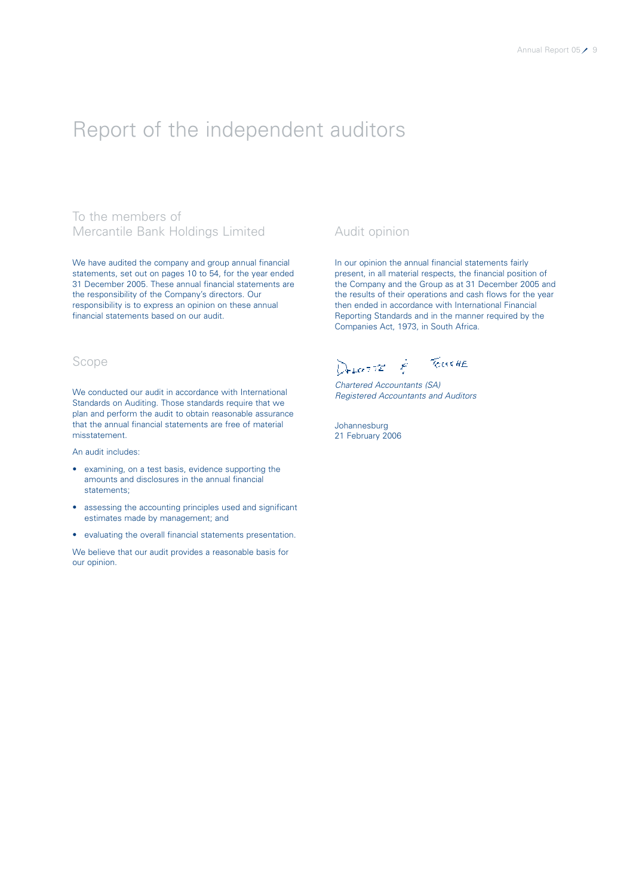### Report of the independent auditors

### To the members of Mercantile Bank Holdings Limited

We have audited the company and group annual financial statements, set out on pages 10 to 54, for the year ended 31 December 2005. These annual financial statements are the responsibility of the Company's directors. Our responsibility is to express an opinion on these annual financial statements based on our audit.

### Scope

We conducted our audit in accordance with International Standards on Auditing. Those standards require that we plan and perform the audit to obtain reasonable assurance that the annual financial statements are free of material misstatement.

An audit includes:

- examining, on a test basis, evidence supporting the amounts and disclosures in the annual financial statements;
- assessing the accounting principles used and significant estimates made by management; and
- evaluating the overall financial statements presentation.

We believe that our audit provides a reasonable basis for our opinion.

### Audit opinion

In our opinion the annual financial statements fairly present, in all material respects, the financial position of the Company and the Group as at 31 December 2005 and the results of their operations and cash flows for the year then ended in accordance with International Financial Reporting Standards and in the manner required by the Companies Act, 1973, in South Africa.

DELATE & TOWERE

Chartered Accountants (SA) Registered Accountants and Auditors

Johannesburg 21 February 2006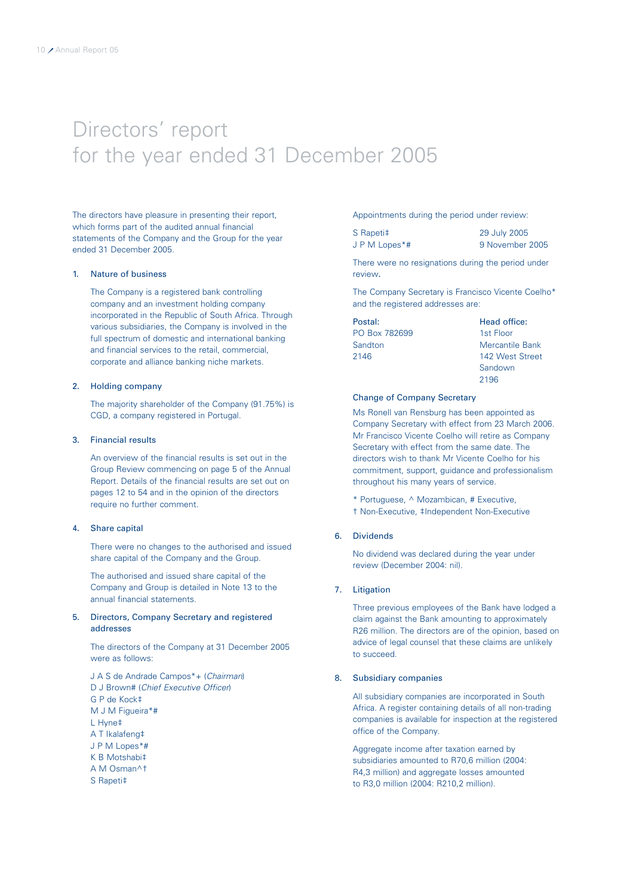## Directors' report for the year ended 31 December 2005

The directors have pleasure in presenting their report, which forms part of the audited annual financial statements of the Company and the Group for the year ended 31 December 2005.

### 1. Nature of business

The Company is a registered bank controlling company and an investment holding company incorporated in the Republic of South Africa. Through various subsidiaries, the Company is involved in the full spectrum of domestic and international banking and financial services to the retail, commercial, corporate and alliance banking niche markets.

### 2. Holding company

The majority shareholder of the Company (91.75%) is CGD, a company registered in Portugal.

### 3. Financial results

An overview of the financial results is set out in the Group Review commencing on page 5 of the Annual Report. Details of the financial results are set out on pages 12 to 54 and in the opinion of the directors require no further comment.

### 4. Share capital

There were no changes to the authorised and issued share capital of the Company and the Group.

The authorised and issued share capital of the Company and Group is detailed in Note 13 to the annual financial statements.

### 5. Directors, Company Secretary and registered addresses

The directors of the Company at 31 December 2005 were as follows:

J A S de Andrade Campos\*+ (Chairman) D J Brown# (Chief Executive Officer) G P de Kock‡ M J M Figueira\*# L Hyne‡ A T Ikalafeng‡ J P M Lopes\*# K B Motshabi‡ A M Osman^† S Rapeti‡

Appointments during the period under review:

S Rapeti‡ 29 July 2005 J P M Lopes\*# 9 November 2005

There were no resignations during the period under review.

The Company Secretary is Francisco Vicente Coelho\* and the registered addresses are:

Postal: Head office: PO Box 782699 1st Floor

Sandton Mercantile Bank 2146 142 West Street Sandown 2196

### Change of Company Secretary

Ms Ronell van Rensburg has been appointed as Company Secretary with effect from 23 March 2006. Mr Francisco Vicente Coelho will retire as Company Secretary with effect from the same date. The directors wish to thank Mr Vicente Coelho for his commitment, support, guidance and professionalism throughout his many years of service.

\* Portuguese, ^ Mozambican, # Executive, † Non-Executive, ‡Independent Non-Executive

### 6. Dividends

No dividend was declared during the year under review (December 2004: nil).

### 7. Litigation

Three previous employees of the Bank have lodged a claim against the Bank amounting to approximately R26 million. The directors are of the opinion, based on advice of legal counsel that these claims are unlikely to succeed.

### 8. Subsidiary companies

All subsidiary companies are incorporated in South Africa. A register containing details of all non-trading companies is available for inspection at the registered office of the Company.

Aggregate income after taxation earned by subsidiaries amounted to R70,6 million (2004: R4,3 million) and aggregate losses amounted to R3,0 million (2004: R210,2 million).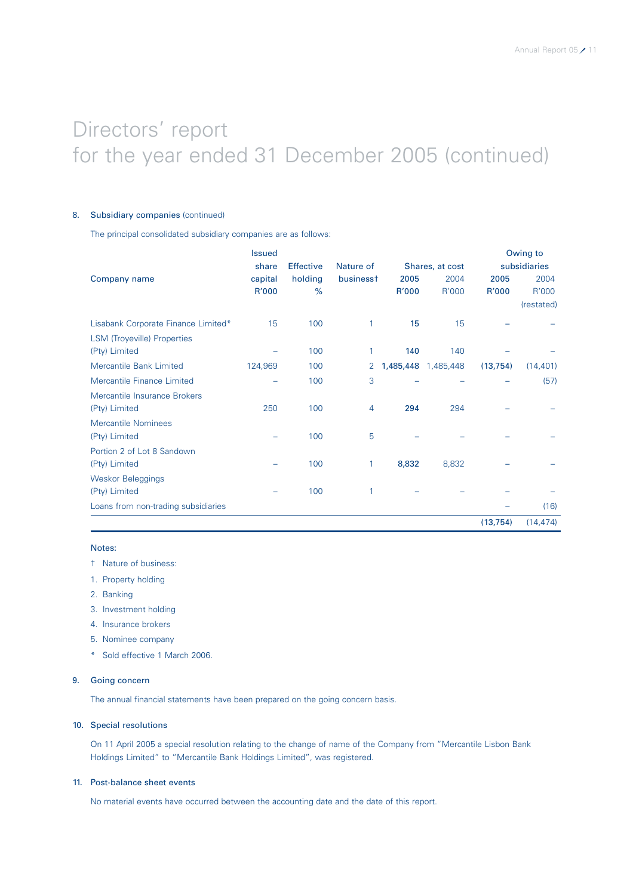# Directors' report for the year ended 31 December 2005 (continued)

### 8. Subsidiary companies (continued)

The principal consolidated subsidiary companies are as follows:

|                                     | <b>Issued</b> |                  |           |           |                 |           | Owing to     |
|-------------------------------------|---------------|------------------|-----------|-----------|-----------------|-----------|--------------|
|                                     | share         | <b>Effective</b> | Nature of |           | Shares, at cost |           | subsidiaries |
| Company name                        | capital       | holding          | businesst | 2005      | 2004            | 2005      | 2004         |
|                                     | R'000         | $\%$             |           | R'000     | R'000           | R'000     | R'000        |
|                                     |               |                  |           |           |                 |           | (restated)   |
| Lisabank Corporate Finance Limited* | 15            | 100              | 1         | 15        | 15              |           |              |
| <b>LSM (Troyeville) Properties</b>  |               |                  |           |           |                 |           |              |
| (Pty) Limited                       |               | 100              |           | 140       | 140             |           |              |
| Mercantile Bank Limited             | 124,969       | 100              | 2         | 1,485,448 | 1,485,448       | (13, 754) | (14, 401)    |
| Mercantile Finance Limited          |               | 100              | 3         |           |                 |           | (57)         |
| Mercantile Insurance Brokers        |               |                  |           |           |                 |           |              |
| (Pty) Limited                       | 250           | 100              | 4         | 294       | 294             |           |              |
| <b>Mercantile Nominees</b>          |               |                  |           |           |                 |           |              |
| (Pty) Limited                       |               | 100              | 5         |           |                 |           |              |
| Portion 2 of Lot 8 Sandown          |               |                  |           |           |                 |           |              |
| (Pty) Limited                       |               | 100              | 1         | 8,832     | 8,832           |           |              |
| <b>Weskor Beleggings</b>            |               |                  |           |           |                 |           |              |
| (Pty) Limited                       |               | 100              |           |           |                 |           |              |
| Loans from non-trading subsidiaries |               |                  |           |           |                 |           | (16)         |
|                                     |               |                  |           |           |                 | (13, 754) | (14, 474)    |

### Notes:

- † Nature of business:
- 1. Property holding
- 2. Banking
- 3. Investment holding
- 4. Insurance brokers
- 5. Nominee company
- \* Sold effective 1 March 2006.

### 9. Going concern

The annual financial statements have been prepared on the going concern basis.

### 10. Special resolutions

On 11 April 2005 a special resolution relating to the change of name of the Company from "Mercantile Lisbon Bank Holdings Limited" to "Mercantile Bank Holdings Limited", was registered.

### 11. Post-balance sheet events

No material events have occurred between the accounting date and the date of this report.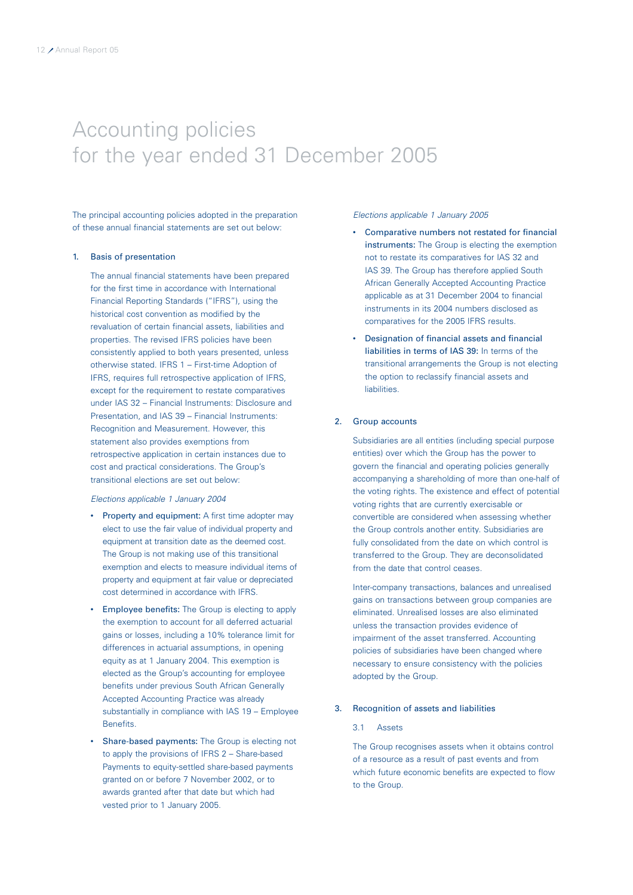### Accounting policies for the year ended 31 December 2005

The principal accounting policies adopted in the preparation of these annual financial statements are set out below:

### 1. Basis of presentation

The annual financial statements have been prepared for the first time in accordance with International Financial Reporting Standards ("IFRS"), using the historical cost convention as modified by the revaluation of certain financial assets, liabilities and properties. The revised IFRS policies have been consistently applied to both years presented, unless otherwise stated. IFRS 1 – First-time Adoption of IFRS, requires full retrospective application of IFRS, except for the requirement to restate comparatives under IAS 32 – Financial Instruments: Disclosure and Presentation, and IAS 39 – Financial Instruments: Recognition and Measurement. However, this statement also provides exemptions from retrospective application in certain instances due to cost and practical considerations. The Group's transitional elections are set out below:

### Elections applicable 1 January 2004

- Property and equipment: A first time adopter may elect to use the fair value of individual property and equipment at transition date as the deemed cost. The Group is not making use of this transitional exemption and elects to measure individual items of property and equipment at fair value or depreciated cost determined in accordance with IFRS.
- Employee benefits: The Group is electing to apply the exemption to account for all deferred actuarial gains or losses, including a 10% tolerance limit for differences in actuarial assumptions, in opening equity as at 1 January 2004. This exemption is elected as the Group's accounting for employee benefits under previous South African Generally Accepted Accounting Practice was already substantially in compliance with IAS 19 – Employee Benefits.
- Share-based payments: The Group is electing not to apply the provisions of IFRS 2 – Share-based Payments to equity-settled share-based payments granted on or before 7 November 2002, or to awards granted after that date but which had vested prior to 1 January 2005.

Elections applicable 1 January 2005

- Comparative numbers not restated for financial instruments: The Group is electing the exemption not to restate its comparatives for IAS 32 and IAS 39. The Group has therefore applied South African Generally Accepted Accounting Practice applicable as at 31 December 2004 to financial instruments in its 2004 numbers disclosed as comparatives for the 2005 IFRS results.
- Designation of financial assets and financial liabilities in terms of IAS 39: In terms of the transitional arrangements the Group is not electing the option to reclassify financial assets and liabilities.

### 2. Group accounts

Subsidiaries are all entities (including special purpose entities) over which the Group has the power to govern the financial and operating policies generally accompanying a shareholding of more than one-half of the voting rights. The existence and effect of potential voting rights that are currently exercisable or convertible are considered when assessing whether the Group controls another entity. Subsidiaries are fully consolidated from the date on which control is transferred to the Group. They are deconsolidated from the date that control ceases.

Inter-company transactions, balances and unrealised gains on transactions between group companies are eliminated. Unrealised losses are also eliminated unless the transaction provides evidence of impairment of the asset transferred. Accounting policies of subsidiaries have been changed where necessary to ensure consistency with the policies adopted by the Group.

### 3. Recognition of assets and liabilities

### 3.1 Assets

The Group recognises assets when it obtains control of a resource as a result of past events and from which future economic benefits are expected to flow to the Group.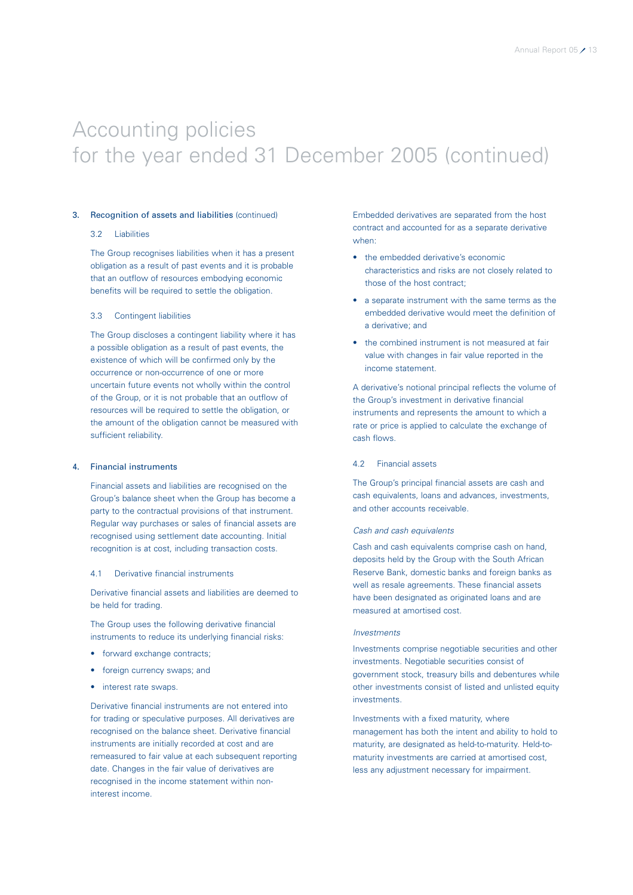### 3. Recognition of assets and liabilities (continued)

### 3.2 Liabilities

The Group recognises liabilities when it has a present obligation as a result of past events and it is probable that an outflow of resources embodying economic benefits will be required to settle the obligation.

#### 3.3 Contingent liabilities

The Group discloses a contingent liability where it has a possible obligation as a result of past events, the existence of which will be confirmed only by the occurrence or non-occurrence of one or more uncertain future events not wholly within the control of the Group, or it is not probable that an outflow of resources will be required to settle the obligation, or the amount of the obligation cannot be measured with sufficient reliability.

#### 4. Financial instruments

Financial assets and liabilities are recognised on the Group's balance sheet when the Group has become a party to the contractual provisions of that instrument. Regular way purchases or sales of financial assets are recognised using settlement date accounting. Initial recognition is at cost, including transaction costs.

### 4.1 Derivative financial instruments

Derivative financial assets and liabilities are deemed to be held for trading.

The Group uses the following derivative financial instruments to reduce its underlying financial risks:

- forward exchange contracts;
- foreign currency swaps; and
- interest rate swaps.

Derivative financial instruments are not entered into for trading or speculative purposes. All derivatives are recognised on the balance sheet. Derivative financial instruments are initially recorded at cost and are remeasured to fair value at each subsequent reporting date. Changes in the fair value of derivatives are recognised in the income statement within noninterest income.

Embedded derivatives are separated from the host contract and accounted for as a separate derivative when:

- the embedded derivative's economic characteristics and risks are not closely related to those of the host contract;
- a separate instrument with the same terms as the embedded derivative would meet the definition of a derivative; and
- the combined instrument is not measured at fair value with changes in fair value reported in the income statement.

A derivative's notional principal reflects the volume of the Group's investment in derivative financial instruments and represents the amount to which a rate or price is applied to calculate the exchange of cash flows.

### 4.2 Financial assets

The Group's principal financial assets are cash and cash equivalents, loans and advances, investments, and other accounts receivable.

### Cash and cash equivalents

Cash and cash equivalents comprise cash on hand, deposits held by the Group with the South African Reserve Bank, domestic banks and foreign banks as well as resale agreements. These financial assets have been designated as originated loans and are measured at amortised cost.

### Investments

Investments comprise negotiable securities and other investments. Negotiable securities consist of government stock, treasury bills and debentures while other investments consist of listed and unlisted equity investments.

Investments with a fixed maturity, where management has both the intent and ability to hold to maturity, are designated as held-to-maturity. Held-tomaturity investments are carried at amortised cost, less any adjustment necessary for impairment.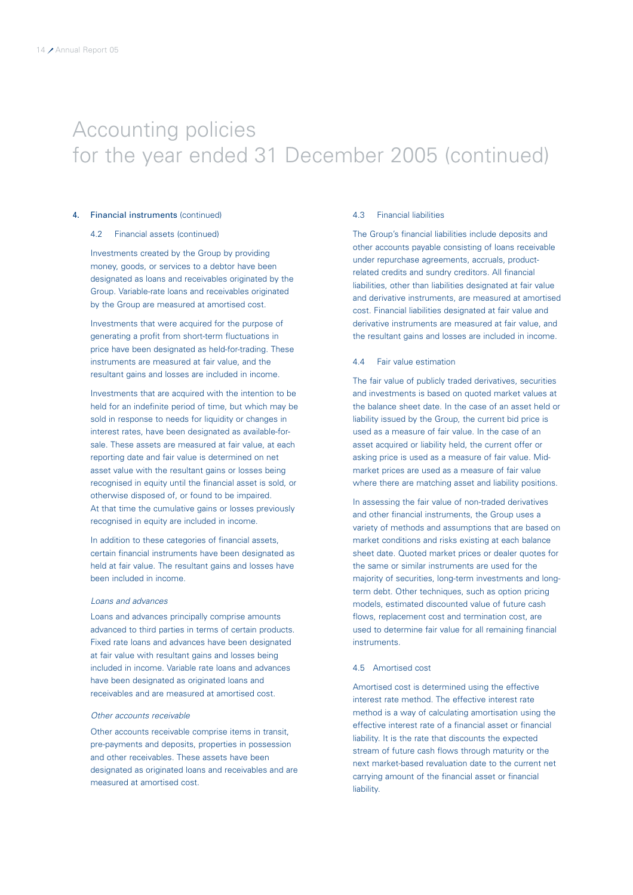### 4. Financial instruments (continued)

#### 4.2 Financial assets (continued)

Investments created by the Group by providing money, goods, or services to a debtor have been designated as loans and receivables originated by the Group. Variable-rate loans and receivables originated by the Group are measured at amortised cost.

Investments that were acquired for the purpose of generating a profit from short-term fluctuations in price have been designated as held-for-trading. These instruments are measured at fair value, and the resultant gains and losses are included in income.

Investments that are acquired with the intention to be held for an indefinite period of time, but which may be sold in response to needs for liquidity or changes in interest rates, have been designated as available-forsale. These assets are measured at fair value, at each reporting date and fair value is determined on net asset value with the resultant gains or losses being recognised in equity until the financial asset is sold, or otherwise disposed of, or found to be impaired. At that time the cumulative gains or losses previously recognised in equity are included in income.

In addition to these categories of financial assets, certain financial instruments have been designated as held at fair value. The resultant gains and losses have been included in income.

### Loans and advances

Loans and advances principally comprise amounts advanced to third parties in terms of certain products. Fixed rate loans and advances have been designated at fair value with resultant gains and losses being included in income. Variable rate loans and advances have been designated as originated loans and receivables and are measured at amortised cost.

### Other accounts receivable

Other accounts receivable comprise items in transit, pre-payments and deposits, properties in possession and other receivables. These assets have been designated as originated loans and receivables and are measured at amortised cost.

#### 4.3 Financial liabilities

The Group's financial liabilities include deposits and other accounts payable consisting of loans receivable under repurchase agreements, accruals, productrelated credits and sundry creditors. All financial liabilities, other than liabilities designated at fair value and derivative instruments, are measured at amortised cost. Financial liabilities designated at fair value and derivative instruments are measured at fair value, and the resultant gains and losses are included in income.

### 4.4 Fair value estimation

The fair value of publicly traded derivatives, securities and investments is based on quoted market values at the balance sheet date. In the case of an asset held or liability issued by the Group, the current bid price is used as a measure of fair value. In the case of an asset acquired or liability held, the current offer or asking price is used as a measure of fair value. Midmarket prices are used as a measure of fair value where there are matching asset and liability positions.

In assessing the fair value of non-traded derivatives and other financial instruments, the Group uses a variety of methods and assumptions that are based on market conditions and risks existing at each balance sheet date. Quoted market prices or dealer quotes for the same or similar instruments are used for the majority of securities, long-term investments and longterm debt. Other techniques, such as option pricing models, estimated discounted value of future cash flows, replacement cost and termination cost, are used to determine fair value for all remaining financial **instruments** 

### 4.5 Amortised cost

Amortised cost is determined using the effective interest rate method. The effective interest rate method is a way of calculating amortisation using the effective interest rate of a financial asset or financial liability. It is the rate that discounts the expected stream of future cash flows through maturity or the next market-based revaluation date to the current net carrying amount of the financial asset or financial liability.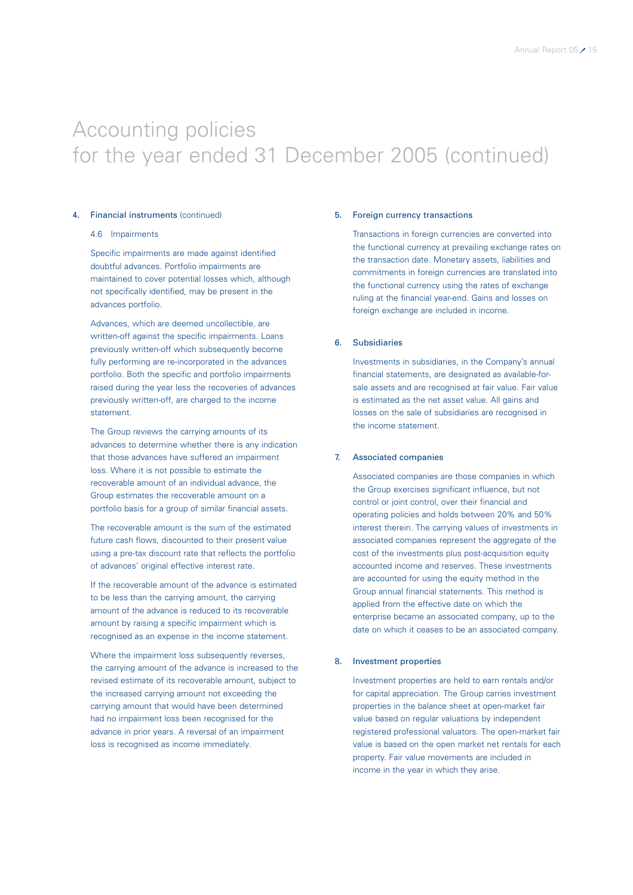### 4. Financial instruments (continued)

### 4.6 Impairments

Specific impairments are made against identified doubtful advances. Portfolio impairments are maintained to cover potential losses which, although not specifically identified, may be present in the advances portfolio.

Advances, which are deemed uncollectible, are written-off against the specific impairments. Loans previously written-off which subsequently become fully performing are re-incorporated in the advances portfolio. Both the specific and portfolio impairments raised during the year less the recoveries of advances previously written-off, are charged to the income statement.

The Group reviews the carrying amounts of its advances to determine whether there is any indication that those advances have suffered an impairment loss. Where it is not possible to estimate the recoverable amount of an individual advance, the Group estimates the recoverable amount on a portfolio basis for a group of similar financial assets.

The recoverable amount is the sum of the estimated future cash flows, discounted to their present value using a pre-tax discount rate that reflects the portfolio of advances' original effective interest rate.

If the recoverable amount of the advance is estimated to be less than the carrying amount, the carrying amount of the advance is reduced to its recoverable amount by raising a specific impairment which is recognised as an expense in the income statement.

Where the impairment loss subsequently reverses, the carrying amount of the advance is increased to the revised estimate of its recoverable amount, subject to the increased carrying amount not exceeding the carrying amount that would have been determined had no impairment loss been recognised for the advance in prior years. A reversal of an impairment loss is recognised as income immediately.

### 5. Foreign currency transactions

Transactions in foreign currencies are converted into the functional currency at prevailing exchange rates on the transaction date. Monetary assets, liabilities and commitments in foreign currencies are translated into the functional currency using the rates of exchange ruling at the financial year-end. Gains and losses on foreign exchange are included in income.

### 6. Subsidiaries

Investments in subsidiaries, in the Company's annual financial statements, are designated as available-forsale assets and are recognised at fair value. Fair value is estimated as the net asset value. All gains and losses on the sale of subsidiaries are recognised in the income statement.

### 7. Associated companies

Associated companies are those companies in which the Group exercises significant influence, but not control or joint control, over their financial and operating policies and holds between 20% and 50% interest therein. The carrying values of investments in associated companies represent the aggregate of the cost of the investments plus post-acquisition equity accounted income and reserves. These investments are accounted for using the equity method in the Group annual financial statements. This method is applied from the effective date on which the enterprise became an associated company, up to the date on which it ceases to be an associated company.

#### 8. Investment properties

Investment properties are held to earn rentals and/or for capital appreciation. The Group carries investment properties in the balance sheet at open-market fair value based on regular valuations by independent registered professional valuators. The open-market fair value is based on the open market net rentals for each property. Fair value movements are included in income in the year in which they arise.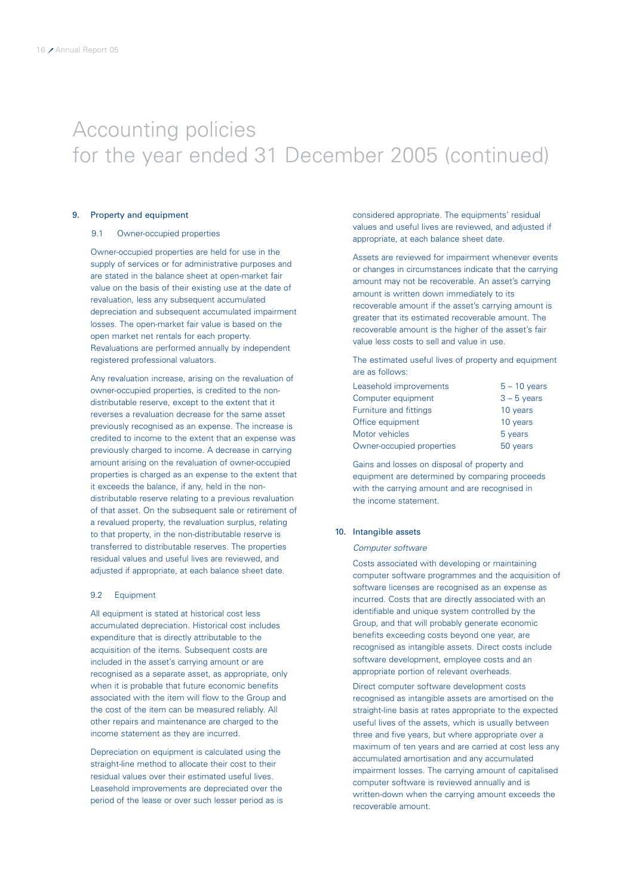### 9. Property and equipment

### 9.1 Owner-occupied properties

Owner-occupied properties are held for use in the supply of services or for administrative purposes and are stated in the balance sheet at open-market fair value on the basis of their existing use at the date of revaluation, less any subsequent accumulated depreciation and subsequent accumulated impairment losses. The open-market fair value is based on the open market net rentals for each property. Revaluations are performed annually by independent registered professional valuators.

Any revaluation increase, arising on the revaluation of owner-occupied properties, is credited to the nondistributable reserve, except to the extent that it reverses a revaluation decrease for the same asset previously recognised as an expense. The increase is credited to income to the extent that an expense was previously charged to income. A decrease in carrying amount arising on the revaluation of owner-occupied properties is charged as an expense to the extent that it exceeds the balance, if any, held in the nondistributable reserve relating to a previous revaluation of that asset. On the subsequent sale or retirement of a revalued property, the revaluation surplus, relating to that property, in the non-distributable reserve is transferred to distributable reserves. The properties residual values and useful lives are reviewed, and adjusted if appropriate, at each balance sheet date.

### 9.2 Equipment

All equipment is stated at historical cost less accumulated depreciation. Historical cost includes expenditure that is directly attributable to the acquisition of the items. Subsequent costs are included in the asset's carrying amount or are recognised as a separate asset, as appropriate, only when it is probable that future economic benefits associated with the item will flow to the Group and the cost of the item can be measured reliably. All other repairs and maintenance are charged to the income statement as they are incurred.

Depreciation on equipment is calculated using the straight-line method to allocate their cost to their residual values over their estimated useful lives. Leasehold improvements are depreciated over the period of the lease or over such lesser period as is considered appropriate. The equipments' residual values and useful lives are reviewed, and adjusted if appropriate, at each balance sheet date.

Assets are reviewed for impairment whenever events or changes in circumstances indicate that the carrying amount may not be recoverable. An asset's carrying amount is written down immediately to its recoverable amount if the asset's carrying amount is greater that its estimated recoverable amount. The recoverable amount is the higher of the asset's fair value less costs to sell and value in use.

The estimated useful lives of property and equipment are as follows:

| Leasehold improvements        | $5 - 10$ years |
|-------------------------------|----------------|
| Computer equipment            | $3 - 5$ years  |
| <b>Furniture and fittings</b> | 10 years       |
| Office equipment              | 10 years       |
| Motor vehicles                | 5 years        |
| Owner-occupied properties     | 50 years       |

Gains and losses on disposal of property and equipment are determined by comparing proceeds with the carrying amount and are recognised in the income statement.

### 10. Intangible assets

#### Computer software

Costs associated with developing or maintaining computer software programmes and the acquisition of software licenses are recognised as an expense as incurred. Costs that are directly associated with an identifiable and unique system controlled by the Group, and that will probably generate economic benefits exceeding costs beyond one year, are recognised as intangible assets. Direct costs include software development, employee costs and an appropriate portion of relevant overheads.

Direct computer software development costs recognised as intangible assets are amortised on the straight-line basis at rates appropriate to the expected useful lives of the assets, which is usually between three and five years, but where appropriate over a maximum of ten years and are carried at cost less any accumulated amortisation and any accumulated impairment losses. The carrying amount of capitalised computer software is reviewed annually and is written-down when the carrying amount exceeds the recoverable amount.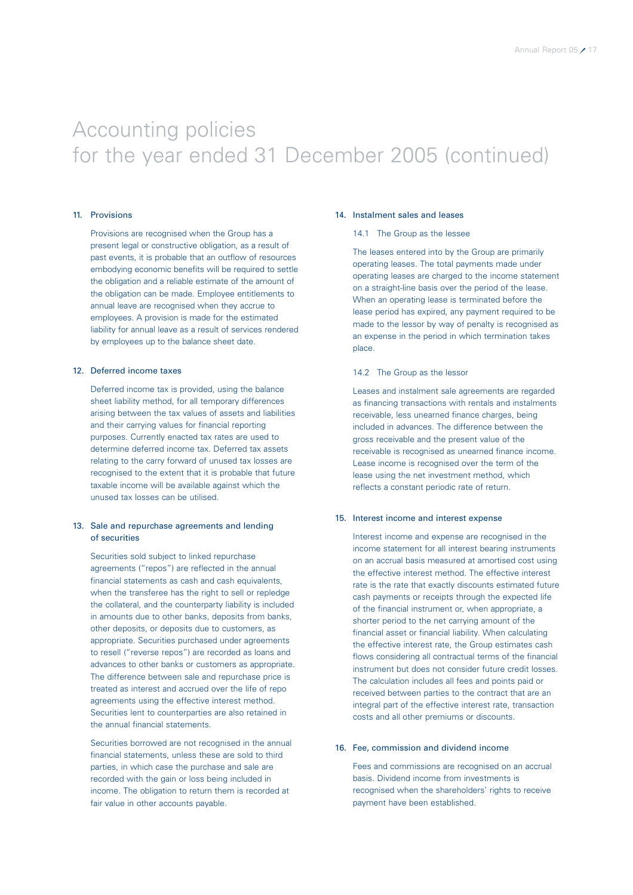### 11. Provisions

Provisions are recognised when the Group has a present legal or constructive obligation, as a result of past events, it is probable that an outflow of resources embodying economic benefits will be required to settle the obligation and a reliable estimate of the amount of the obligation can be made. Employee entitlements to annual leave are recognised when they accrue to employees. A provision is made for the estimated liability for annual leave as a result of services rendered by employees up to the balance sheet date.

### 12. Deferred income taxes

Deferred income tax is provided, using the balance sheet liability method, for all temporary differences arising between the tax values of assets and liabilities and their carrying values for financial reporting purposes. Currently enacted tax rates are used to determine deferred income tax. Deferred tax assets relating to the carry forward of unused tax losses are recognised to the extent that it is probable that future taxable income will be available against which the unused tax losses can be utilised.

### 13. Sale and repurchase agreements and lending of securities

Securities sold subject to linked repurchase agreements ("repos") are reflected in the annual financial statements as cash and cash equivalents, when the transferee has the right to sell or repledge the collateral, and the counterparty liability is included in amounts due to other banks, deposits from banks, other deposits, or deposits due to customers, as appropriate. Securities purchased under agreements to resell ("reverse repos") are recorded as loans and advances to other banks or customers as appropriate. The difference between sale and repurchase price is treated as interest and accrued over the life of repo agreements using the effective interest method. Securities lent to counterparties are also retained in the annual financial statements.

Securities borrowed are not recognised in the annual financial statements, unless these are sold to third parties, in which case the purchase and sale are recorded with the gain or loss being included in income. The obligation to return them is recorded at fair value in other accounts payable.

### 14. Instalment sales and leases

### 14.1 The Group as the lessee

The leases entered into by the Group are primarily operating leases. The total payments made under operating leases are charged to the income statement on a straight-line basis over the period of the lease. When an operating lease is terminated before the lease period has expired, any payment required to be made to the lessor by way of penalty is recognised as an expense in the period in which termination takes place.

#### 14.2 The Group as the lessor

Leases and instalment sale agreements are regarded as financing transactions with rentals and instalments receivable, less unearned finance charges, being included in advances. The difference between the gross receivable and the present value of the receivable is recognised as unearned finance income. Lease income is recognised over the term of the lease using the net investment method, which reflects a constant periodic rate of return.

### 15. Interest income and interest expense

Interest income and expense are recognised in the income statement for all interest bearing instruments on an accrual basis measured at amortised cost using the effective interest method. The effective interest rate is the rate that exactly discounts estimated future cash payments or receipts through the expected life of the financial instrument or, when appropriate, a shorter period to the net carrying amount of the financial asset or financial liability. When calculating the effective interest rate, the Group estimates cash flows considering all contractual terms of the financial instrument but does not consider future credit losses. The calculation includes all fees and points paid or received between parties to the contract that are an integral part of the effective interest rate, transaction costs and all other premiums or discounts.

#### 16. Fee, commission and dividend income

Fees and commissions are recognised on an accrual basis. Dividend income from investments is recognised when the shareholders' rights to receive payment have been established.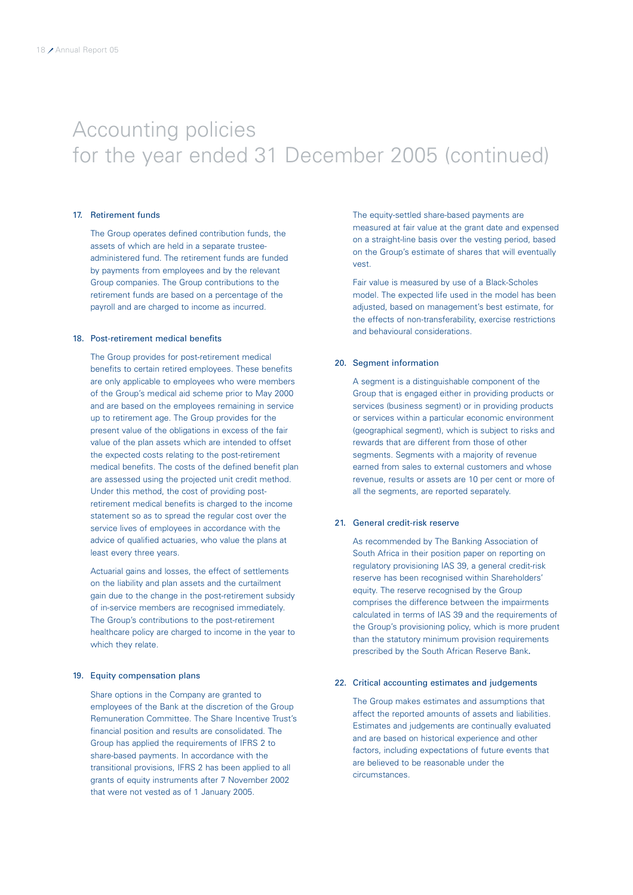### 17. Retirement funds

The Group operates defined contribution funds, the assets of which are held in a separate trusteeadministered fund. The retirement funds are funded by payments from employees and by the relevant Group companies. The Group contributions to the retirement funds are based on a percentage of the payroll and are charged to income as incurred.

### 18. Post-retirement medical benefits

The Group provides for post-retirement medical benefits to certain retired employees. These benefits are only applicable to employees who were members of the Group's medical aid scheme prior to May 2000 and are based on the employees remaining in service up to retirement age. The Group provides for the present value of the obligations in excess of the fair value of the plan assets which are intended to offset the expected costs relating to the post-retirement medical benefits. The costs of the defined benefit plan are assessed using the projected unit credit method. Under this method, the cost of providing postretirement medical benefits is charged to the income statement so as to spread the regular cost over the service lives of employees in accordance with the advice of qualified actuaries, who value the plans at least every three years.

Actuarial gains and losses, the effect of settlements on the liability and plan assets and the curtailment gain due to the change in the post-retirement subsidy of in-service members are recognised immediately. The Group's contributions to the post-retirement healthcare policy are charged to income in the year to which they relate.

### 19. Equity compensation plans

Share options in the Company are granted to employees of the Bank at the discretion of the Group Remuneration Committee. The Share Incentive Trust's financial position and results are consolidated. The Group has applied the requirements of IFRS 2 to share-based payments. In accordance with the transitional provisions, IFRS 2 has been applied to all grants of equity instruments after 7 November 2002 that were not vested as of 1 January 2005.

The equity-settled share-based payments are measured at fair value at the grant date and expensed on a straight-line basis over the vesting period, based on the Group's estimate of shares that will eventually vest.

Fair value is measured by use of a Black-Scholes model. The expected life used in the model has been adjusted, based on management's best estimate, for the effects of non-transferability, exercise restrictions and behavioural considerations.

#### 20. Segment information

A segment is a distinguishable component of the Group that is engaged either in providing products or services (business segment) or in providing products or services within a particular economic environment (geographical segment), which is subject to risks and rewards that are different from those of other segments. Segments with a majority of revenue earned from sales to external customers and whose revenue, results or assets are 10 per cent or more of all the segments, are reported separately.

### 21. General credit-risk reserve

As recommended by The Banking Association of South Africa in their position paper on reporting on regulatory provisioning IAS 39, a general credit-risk reserve has been recognised within Shareholders' equity. The reserve recognised by the Group comprises the difference between the impairments calculated in terms of IAS 39 and the requirements of the Group's provisioning policy, which is more prudent than the statutory minimum provision requirements prescribed by the South African Reserve Bank.

### 22. Critical accounting estimates and judgements

The Group makes estimates and assumptions that affect the reported amounts of assets and liabilities. Estimates and judgements are continually evaluated and are based on historical experience and other factors, including expectations of future events that are believed to be reasonable under the circumstances.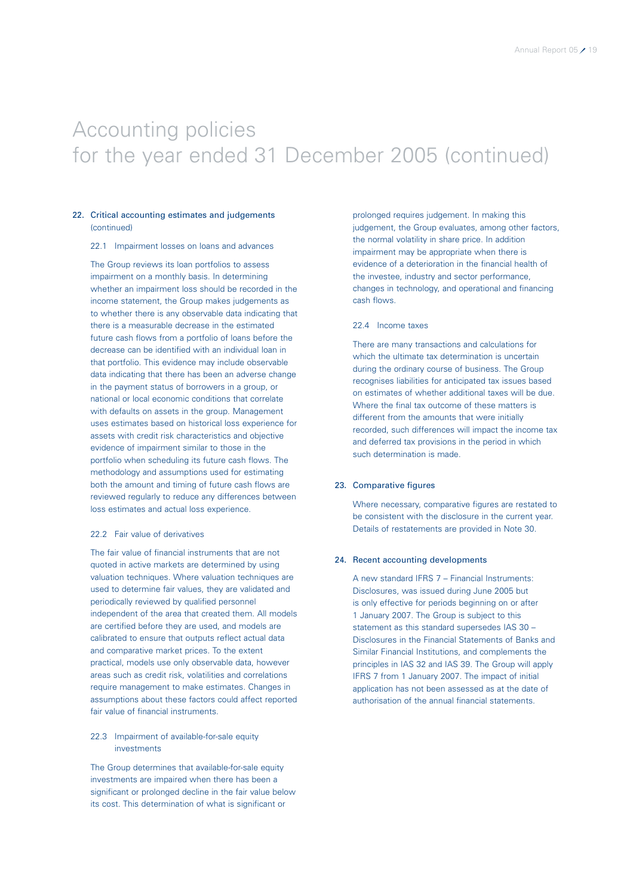### 22. Critical accounting estimates and judgements (continued)

### 22.1 Impairment losses on loans and advances

The Group reviews its loan portfolios to assess impairment on a monthly basis. In determining whether an impairment loss should be recorded in the income statement, the Group makes judgements as to whether there is any observable data indicating that there is a measurable decrease in the estimated future cash flows from a portfolio of loans before the decrease can be identified with an individual loan in that portfolio. This evidence may include observable data indicating that there has been an adverse change in the payment status of borrowers in a group, or national or local economic conditions that correlate with defaults on assets in the group. Management uses estimates based on historical loss experience for assets with credit risk characteristics and objective evidence of impairment similar to those in the portfolio when scheduling its future cash flows. The methodology and assumptions used for estimating both the amount and timing of future cash flows are reviewed regularly to reduce any differences between loss estimates and actual loss experience.

### 22.2 Fair value of derivatives

The fair value of financial instruments that are not quoted in active markets are determined by using valuation techniques. Where valuation techniques are used to determine fair values, they are validated and periodically reviewed by qualified personnel independent of the area that created them. All models are certified before they are used, and models are calibrated to ensure that outputs reflect actual data and comparative market prices. To the extent practical, models use only observable data, however areas such as credit risk, volatilities and correlations require management to make estimates. Changes in assumptions about these factors could affect reported fair value of financial instruments.

### 22.3 Impairment of available-for-sale equity investments

The Group determines that available-for-sale equity investments are impaired when there has been a significant or prolonged decline in the fair value below its cost. This determination of what is significant or

prolonged requires judgement. In making this judgement, the Group evaluates, among other factors, the normal volatility in share price. In addition impairment may be appropriate when there is evidence of a deterioration in the financial health of the investee, industry and sector performance, changes in technology, and operational and financing cash flows.

### 22.4 Income taxes

There are many transactions and calculations for which the ultimate tax determination is uncertain during the ordinary course of business. The Group recognises liabilities for anticipated tax issues based on estimates of whether additional taxes will be due. Where the final tax outcome of these matters is different from the amounts that were initially recorded, such differences will impact the income tax and deferred tax provisions in the period in which such determination is made.

### 23. Comparative figures

Where necessary, comparative figures are restated to be consistent with the disclosure in the current year. Details of restatements are provided in Note 30.

#### 24. Recent accounting developments

A new standard IFRS 7 – Financial Instruments: Disclosures, was issued during June 2005 but is only effective for periods beginning on or after 1 January 2007. The Group is subject to this statement as this standard supersedes IAS 30 – Disclosures in the Financial Statements of Banks and Similar Financial Institutions, and complements the principles in IAS 32 and IAS 39. The Group will apply IFRS 7 from 1 January 2007. The impact of initial application has not been assessed as at the date of authorisation of the annual financial statements.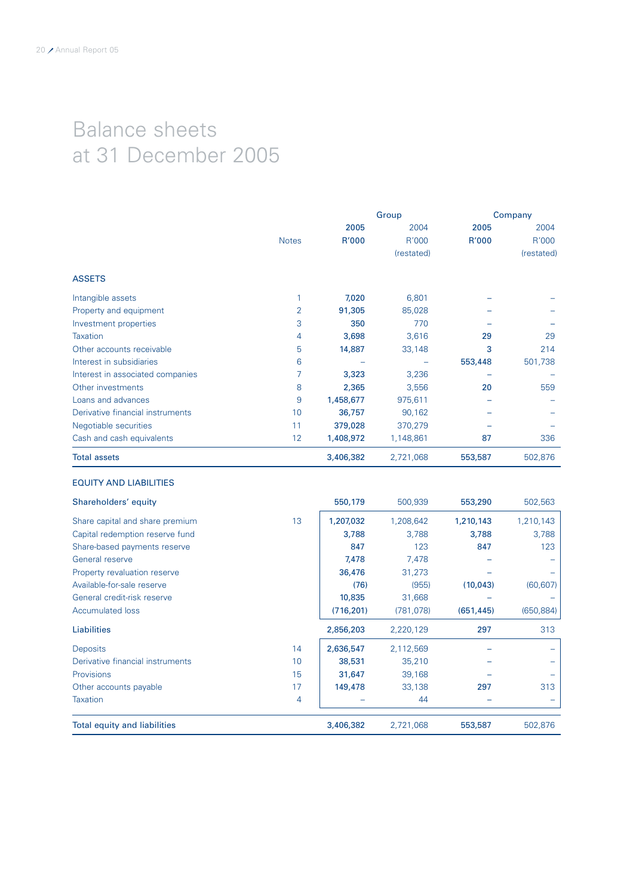# Balance sheets at 31 December 2005

|              |           |            | Company |            |
|--------------|-----------|------------|---------|------------|
|              | 2005      | 2004       | 2005    | 2004       |
| <b>Notes</b> | R'000     | R'000      | R'000   | R'000      |
|              |           | (restated) |         | (restated) |
|              |           |            |         |            |
|              | 7,020     | 6,801      |         |            |
| 2            | 91,305    | 85,028     |         |            |
| 3            | 350       | 770        |         |            |
| 4            | 3,698     | 3,616      | 29      | 29         |
| 5            | 14,887    | 33,148     | 3       | 214        |
| 6            |           |            | 553,448 | 501,738    |
|              | 3,323     | 3,236      |         |            |
| 8            | 2,365     | 3,556      | 20      | 559        |
| 9            | 1,458,677 | 975,611    |         |            |
| 10           | 36,757    | 90,162     |         |            |
| 11           | 379,028   | 370,279    |         |            |
| 12           | 1,408,972 | 1,148,861  | 87      | 336        |
|              | 3,406,382 | 2,721,068  | 553,587 | 502,876    |
|              |           |            | Group   |            |

### EQUITY AND LIABILITIES

| Shareholders' equity                   | 550,179    | 500,939    | 553,290    | 502,563    |
|----------------------------------------|------------|------------|------------|------------|
| 13<br>Share capital and share premium  | 1,207,032  | 1,208,642  | 1,210,143  | 1,210,143  |
| Capital redemption reserve fund        | 3,788      | 3,788      | 3,788      | 3,788      |
| Share-based payments reserve           | 847        | 123        | 847        | 123        |
| General reserve                        | 7,478      | 7,478      |            |            |
| Property revaluation reserve           | 36,476     | 31,273     |            |            |
| Available-for-sale reserve             | (76)       | (955)      | (10, 043)  | (60, 607)  |
| General credit-risk reserve            | 10,835     | 31,668     |            |            |
| <b>Accumulated loss</b>                | (716, 201) | (781, 078) | (651, 445) | (650, 884) |
| <b>Liabilities</b>                     | 2,856,203  | 2,220,129  | 297        | 313        |
| 14<br><b>Deposits</b>                  | 2,636,547  | 2,112,569  |            |            |
| Derivative financial instruments<br>10 | 38,531     | 35,210     |            |            |
| <b>Provisions</b><br>15                | 31,647     | 39,168     |            |            |
| 17<br>Other accounts payable           | 149,478    | 33,138     | 297        | 313        |
| <b>Taxation</b><br>4                   |            | 44         |            |            |
| <b>Total equity and liabilities</b>    | 3,406,382  | 2,721,068  | 553,587    | 502,876    |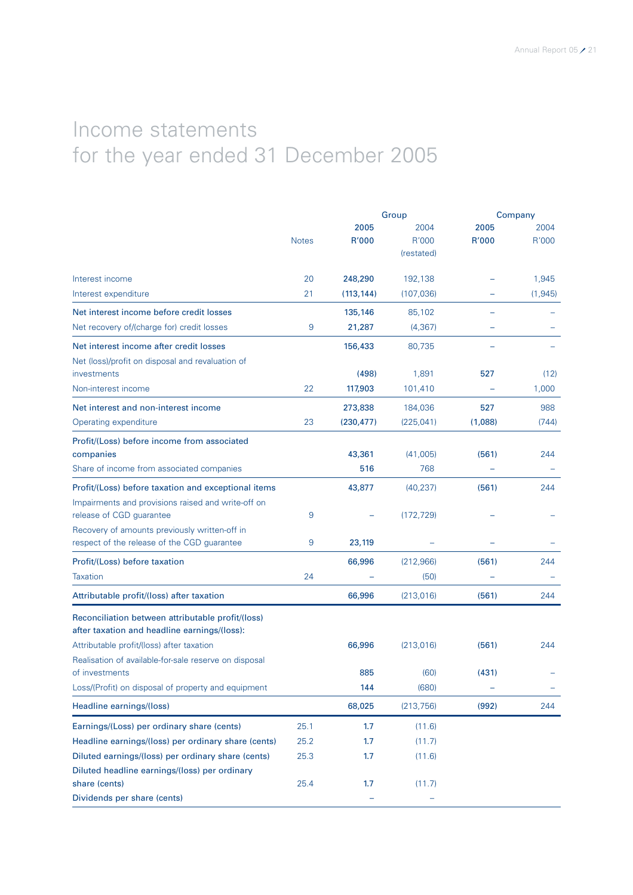# Income statements for the year ended 31 December 2005

|                                                       |              |            | Group      | Company |          |  |
|-------------------------------------------------------|--------------|------------|------------|---------|----------|--|
|                                                       |              | 2005       | 2004       | 2005    | 2004     |  |
|                                                       | <b>Notes</b> | R'000      | R'000      | R'000   | R'000    |  |
|                                                       |              |            | (restated) |         |          |  |
| Interest income                                       | 20           | 248,290    | 192,138    |         | 1,945    |  |
| Interest expenditure                                  | 21           | (113, 144) | (107, 036) |         | (1, 945) |  |
| Net interest income before credit losses              |              | 135,146    | 85,102     |         |          |  |
| Net recovery of/(charge for) credit losses            | 9            | 21,287     | (4, 367)   |         |          |  |
| Net interest income after credit losses               |              | 156,433    | 80,735     |         |          |  |
| Net (loss)/profit on disposal and revaluation of      |              |            |            |         |          |  |
| investments                                           |              | (498)      | 1,891      | 527     | (12)     |  |
| Non-interest income                                   | 22           | 117,903    | 101,410    |         | 1,000    |  |
| Net interest and non-interest income                  |              | 273,838    | 184,036    | 527     | 988      |  |
| Operating expenditure                                 | 23           | (230, 477) | (225, 041) | (1,088) | (744)    |  |
| Profit/(Loss) before income from associated           |              |            |            |         |          |  |
| companies                                             |              | 43,361     | (41,005)   | (561)   | 244      |  |
| Share of income from associated companies             |              | 516        | 768        |         |          |  |
| Profit/(Loss) before taxation and exceptional items   |              | 43,877     | (40, 237)  | (561)   | 244      |  |
| Impairments and provisions raised and write-off on    |              |            |            |         |          |  |
| release of CGD guarantee                              | 9            |            | (172, 729) |         |          |  |
| Recovery of amounts previously written-off in         |              |            |            |         |          |  |
| respect of the release of the CGD guarantee           | 9            | 23,119     |            |         |          |  |
| Profit/(Loss) before taxation                         |              | 66,996     | (212,966)  | (561)   | 244      |  |
| <b>Taxation</b>                                       | 24           |            | (50)       |         |          |  |
| Attributable profit/(loss) after taxation             |              | 66,996     | (213,016)  | (561)   | 244      |  |
| Reconciliation between attributable profit/(loss)     |              |            |            |         |          |  |
| after taxation and headline earnings/(loss):          |              |            |            |         |          |  |
| Attributable profit/(loss) after taxation             |              | 66,996     | (213,016)  | (561)   | 244      |  |
| Realisation of available-for-sale reserve on disposal |              |            |            |         |          |  |
| of investments                                        |              | 885        | (60)       | (431)   |          |  |
| Loss/(Profit) on disposal of property and equipment   |              | 144        | (680)      |         |          |  |
| Headline earnings/(loss)                              |              | 68,025     | (213, 756) | (992)   | 244      |  |
| Earnings/(Loss) per ordinary share (cents)            | 25.1         | 1.7        | (11.6)     |         |          |  |
| Headline earnings/(loss) per ordinary share (cents)   | 25.2         | 1.7        | (11.7)     |         |          |  |
| Diluted earnings/(loss) per ordinary share (cents)    | 25.3         | 1.7        | (11.6)     |         |          |  |
| Diluted headline earnings/(loss) per ordinary         |              |            |            |         |          |  |
| share (cents)                                         | 25.4         | 1.7        | (11.7)     |         |          |  |
| Dividends per share (cents)                           |              |            |            |         |          |  |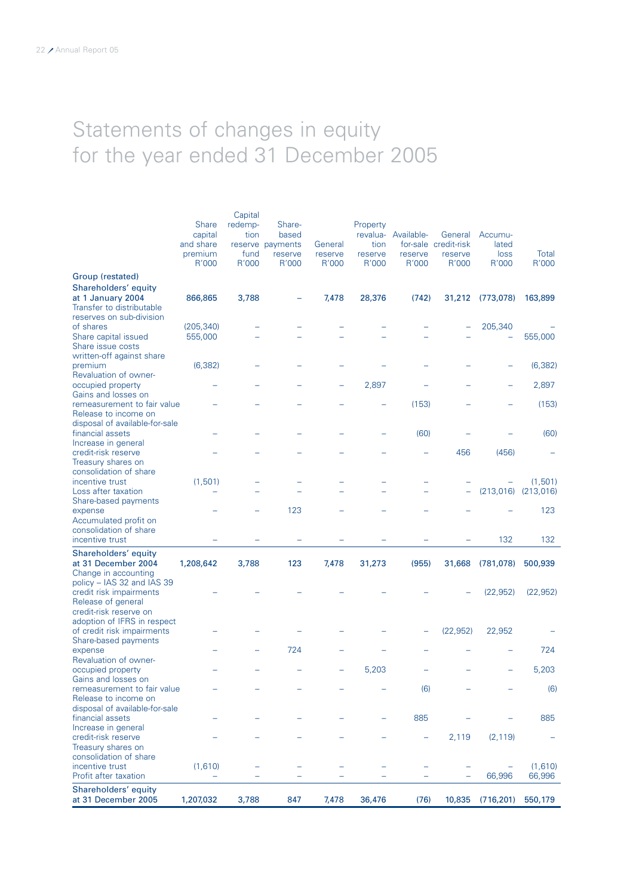# Statements of changes in equity for the year ended 31 December 2005

| Shareholders' equity<br>at 31 December 2005                                                                 | 1,207,032                                       | 3,788                   | 847                                            | 7,478              | 36,476                      | (76)                           |                                            | 10,835 (716,201)         | 550,179               |
|-------------------------------------------------------------------------------------------------------------|-------------------------------------------------|-------------------------|------------------------------------------------|--------------------|-----------------------------|--------------------------------|--------------------------------------------|--------------------------|-----------------------|
| incentive trust<br>Profit after taxation                                                                    | (1,610)                                         |                         |                                                |                    |                             |                                |                                            | 66,996                   | (1,610)<br>66,996     |
| Treasury shares on<br>consolidation of share                                                                |                                                 |                         |                                                |                    |                             |                                |                                            |                          |                       |
| Increase in general<br>credit-risk reserve                                                                  |                                                 |                         |                                                |                    |                             | -                              | 2,119                                      | (2, 119)                 |                       |
| Release to income on<br>disposal of available-for-sale<br>financial assets                                  |                                                 |                         |                                                |                    |                             | 885                            |                                            |                          | 885                   |
| Gains and losses on<br>remeasurement to fair value                                                          |                                                 |                         |                                                |                    |                             | (6)                            |                                            |                          | (6)                   |
| Revaluation of owner-<br>occupied property                                                                  |                                                 |                         |                                                |                    | 5,203                       |                                |                                            |                          | 5,203                 |
| expense                                                                                                     |                                                 |                         | 724                                            |                    |                             |                                |                                            |                          | 724                   |
| credit-risk reserve on<br>adoption of IFRS in respect<br>of credit risk impairments<br>Share-based payments |                                                 |                         |                                                |                    |                             |                                | (22, 952)                                  | 22,952                   |                       |
| Change in accounting<br>policy - IAS 32 and IAS 39<br>credit risk impairments<br>Release of general         |                                                 |                         |                                                |                    |                             |                                |                                            | (22, 952)                | (22, 952)             |
| Shareholders' equity<br>at 31 December 2004                                                                 | 1,208,642                                       | 3,788                   | 123                                            | 7,478              | 31,273                      | (955)                          | 31,668                                     | (781,078)                | 500,939               |
| consolidation of share<br>incentive trust                                                                   |                                                 |                         |                                                |                    |                             |                                |                                            | 132                      | 132                   |
| Share-based payments<br>expense<br>Accumulated profit on                                                    |                                                 |                         | 123                                            |                    |                             |                                |                                            |                          | 123                   |
| Loss after taxation                                                                                         | (1,501)                                         |                         |                                                |                    |                             |                                |                                            | (213, 016)               | (1,501)<br>(213, 016) |
| credit-risk reserve<br>Treasury shares on<br>consolidation of share<br>incentive trust                      |                                                 |                         |                                                |                    |                             |                                | 456                                        | (456)                    |                       |
| financial assets<br>Increase in general                                                                     |                                                 |                         |                                                |                    |                             | (60)                           |                                            |                          | (60)                  |
| remeasurement to fair value<br>Release to income on<br>disposal of available-for-sale                       |                                                 |                         |                                                |                    |                             | (153)                          |                                            |                          | (153)                 |
| occupied property<br>Gains and losses on                                                                    |                                                 |                         |                                                |                    | 2,897                       |                                |                                            |                          | 2,897                 |
| Share issue costs<br>written-off against share<br>premium<br>Revaluation of owner-                          | (6, 382)                                        |                         |                                                |                    |                             |                                |                                            |                          | (6, 382)              |
| reserves on sub-division<br>of shares<br>Share capital issued                                               | (205, 340)<br>555,000                           |                         |                                                |                    |                             |                                |                                            | 205,340                  | 555,000               |
| Group (restated)<br>Shareholders' equity<br>at 1 January 2004<br>Transfer to distributable                  | 866,865                                         | 3,788                   |                                                | 7,478              | 28,376                      | (742)                          | 31,212                                     | (773,078)                | 163,899               |
|                                                                                                             | R'000                                           | R'000                   | R'000                                          | R'000              | R'000                       | R'000                          | R'000                                      | R'000                    | R'000                 |
|                                                                                                             | <b>Share</b><br>capital<br>and share<br>premium | redemp-<br>tion<br>fund | Share-<br>based<br>reserve payments<br>reserve | General<br>reserve | Property<br>tion<br>reserve | revalua- Available-<br>reserve | General<br>for-sale credit-risk<br>reserve | Accumu-<br>lated<br>loss | Total                 |
|                                                                                                             |                                                 | Capital                 |                                                |                    |                             |                                |                                            |                          |                       |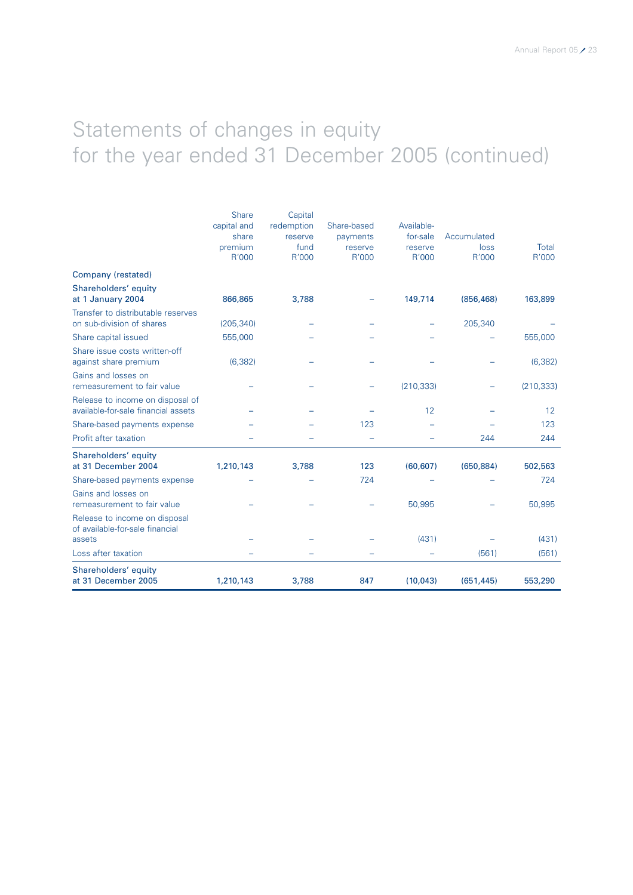# Statements of changes in equity for the year ended 31 December 2005 (continued)

|                                                                         | Share       | Capital    |             |            |             |              |
|-------------------------------------------------------------------------|-------------|------------|-------------|------------|-------------|--------------|
|                                                                         | capital and | redemption | Share-based | Available- |             |              |
|                                                                         | share       | reserve    | payments    | for-sale   | Accumulated |              |
|                                                                         | premium     | fund       | reserve     | reserve    | loss        | <b>Total</b> |
|                                                                         | R'000       | R'000      | R'000       | R'000      | R'000       | R'000        |
| Company (restated)                                                      |             |            |             |            |             |              |
| Shareholders' equity<br>at 1 January 2004                               | 866,865     | 3,788      |             | 149,714    | (856, 468)  | 163,899      |
| Transfer to distributable reserves<br>on sub-division of shares         | (205, 340)  |            |             |            | 205,340     |              |
| Share capital issued                                                    | 555,000     |            |             |            |             | 555,000      |
| Share issue costs written-off<br>against share premium                  | (6, 382)    |            |             |            |             | (6, 382)     |
| Gains and losses on<br>remeasurement to fair value                      |             |            |             | (210, 333) |             | (210, 333)   |
| Release to income on disposal of<br>available-for-sale financial assets |             |            |             | 12         |             | 12           |
| Share-based payments expense                                            |             |            | 123         |            |             | 123          |
| Profit after taxation                                                   |             |            |             |            | 244         | 244          |
| Shareholders' equity<br>at 31 December 2004                             | 1,210,143   | 3,788      | 123         | (60, 607)  | (650, 884)  | 502,563      |
| Share-based payments expense                                            |             |            | 724         |            |             | 724          |
| Gains and losses on<br>remeasurement to fair value                      |             |            |             | 50,995     |             | 50,995       |
| Release to income on disposal<br>of available-for-sale financial        |             |            |             |            |             |              |
| assets                                                                  |             |            |             | (431)      |             | (431)        |
| Loss after taxation                                                     |             |            |             |            | (561)       | (561)        |
| Shareholders' equity<br>at 31 December 2005                             | 1,210,143   | 3,788      | 847         | (10, 043)  | (651, 445)  | 553,290      |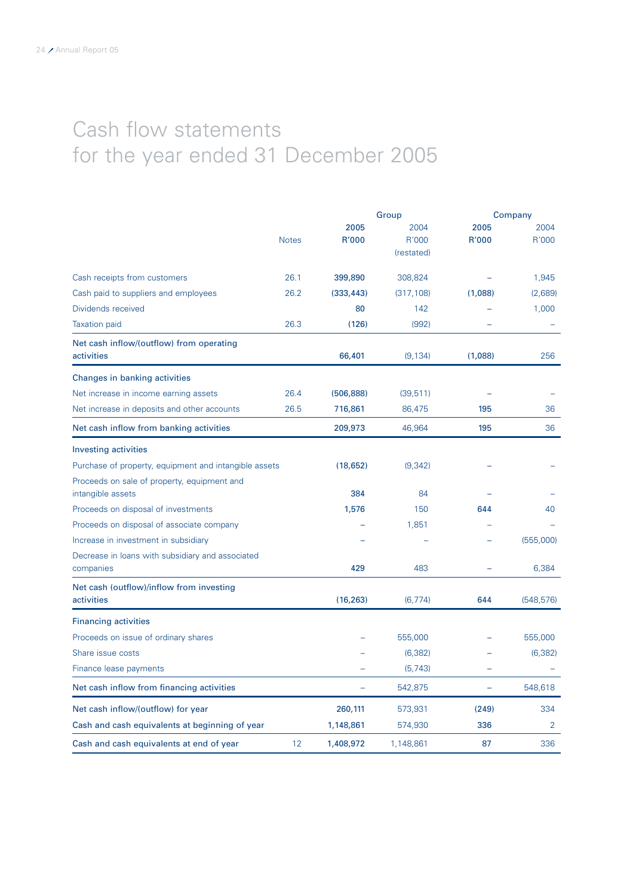# Cash flow statements for the year ended 31 December 2005

|                                                                  |              |               | Group                       | Company                  |                |  |
|------------------------------------------------------------------|--------------|---------------|-----------------------------|--------------------------|----------------|--|
|                                                                  | <b>Notes</b> | 2005<br>R'000 | 2004<br>R'000<br>(restated) | 2005<br>R'000            | 2004<br>R'000  |  |
| Cash receipts from customers                                     | 26.1         | 399,890       | 308,824                     |                          | 1,945          |  |
| Cash paid to suppliers and employees                             | 26.2         | (333, 443)    | (317, 108)                  | (1,088)                  | (2,689)        |  |
| Dividends received                                               |              | 80            | 142                         |                          | 1,000          |  |
| <b>Taxation</b> paid                                             | 26.3         | (126)         | (992)                       |                          |                |  |
| Net cash inflow/(outflow) from operating<br>activities           |              | 66,401        | (9, 134)                    | (1,088)                  | 256            |  |
| Changes in banking activities                                    |              |               |                             |                          |                |  |
| Net increase in income earning assets                            | 26.4         | (506, 888)    | (39, 511)                   |                          |                |  |
| Net increase in deposits and other accounts                      | 26.5         | 716,861       | 86,475                      | 195                      | 36             |  |
| Net cash inflow from banking activities                          |              | 209,973       | 46,964                      | 195                      | 36             |  |
| <b>Investing activities</b>                                      |              |               |                             |                          |                |  |
| Purchase of property, equipment and intangible assets            |              | (18,652)      | (9, 342)                    |                          |                |  |
| Proceeds on sale of property, equipment and<br>intangible assets |              | 384           | 84                          |                          |                |  |
| Proceeds on disposal of investments                              |              | 1,576         | 150                         | 644                      | 40             |  |
| Proceeds on disposal of associate company                        |              |               | 1,851                       |                          |                |  |
| Increase in investment in subsidiary                             |              |               |                             |                          | (555,000)      |  |
| Decrease in loans with subsidiary and associated<br>companies    |              | 429           | 483                         |                          | 6,384          |  |
| Net cash (outflow)/inflow from investing<br>activities           |              | (16, 263)     | (6, 774)                    | 644                      | (548, 576)     |  |
| <b>Financing activities</b>                                      |              |               |                             |                          |                |  |
| Proceeds on issue of ordinary shares                             |              |               | 555,000                     |                          | 555,000        |  |
| Share issue costs                                                |              |               | (6, 382)                    |                          | (6, 382)       |  |
| Finance lease payments                                           |              |               | (5, 743)                    |                          |                |  |
| Net cash inflow from financing activities                        |              | ÷,            | 542,875                     | $\overline{\phantom{0}}$ | 548,618        |  |
| Net cash inflow/(outflow) for year                               |              | 260,111       | 573,931                     | (249)                    | 334            |  |
| Cash and cash equivalents at beginning of year                   |              | 1,148,861     | 574,930                     | 336                      | $\overline{2}$ |  |
| Cash and cash equivalents at end of year                         | 12           | 1,408,972     | 1,148,861                   | 87                       | 336            |  |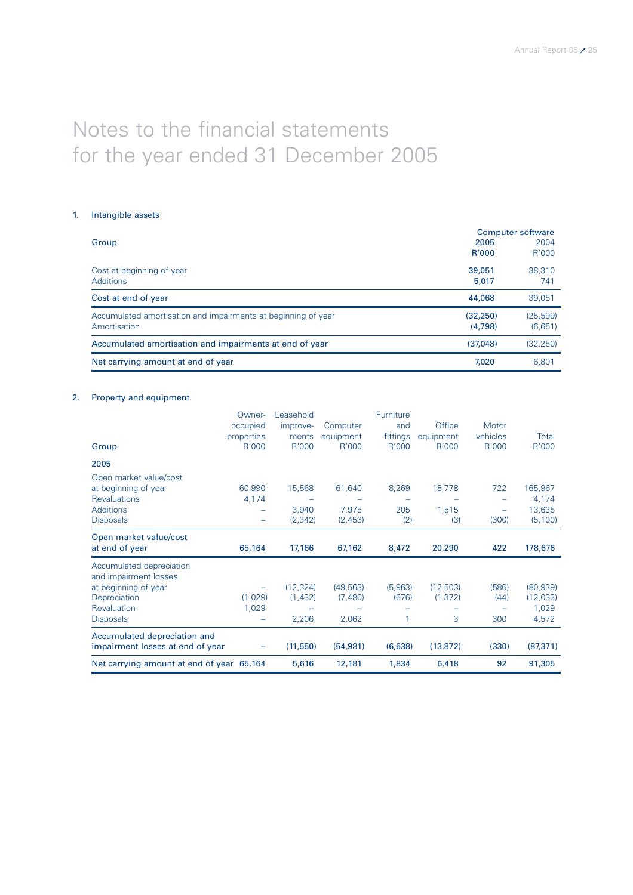# Notes to the financial statements for the year ended 31 December 2005

### 1. Intangible assets

|                                                               | Computer software |           |  |  |
|---------------------------------------------------------------|-------------------|-----------|--|--|
| Group                                                         | 2005              | 2004      |  |  |
|                                                               | <b>R'000</b>      | R'000     |  |  |
| Cost at beginning of year                                     | 39,051            | 38,310    |  |  |
| <b>Additions</b>                                              | 5,017             | 741       |  |  |
| Cost at end of year                                           | 44,068            | 39,051    |  |  |
| Accumulated amortisation and impairments at beginning of year | (32.250)          | (25, 599) |  |  |
| Amortisation                                                  | (4,798)           | (6,651)   |  |  |
| Accumulated amortisation and impairments at end of year       | (37.048)          | (32, 250) |  |  |
| Net carrying amount at end of year                            | 7.020             | 6.801     |  |  |

### 2. Property and equipment

|                                           | Owner-     | Leasehold |           | Furniture |           |          |           |
|-------------------------------------------|------------|-----------|-----------|-----------|-----------|----------|-----------|
|                                           | occupied   | improve-  | Computer  | and       | Office    | Motor    |           |
|                                           | properties | ments     | equipment | fittings  | equipment | vehicles | Total     |
| Group                                     | R'000      | R'000     | R'000     | R'000     | R'000     | R'000    | R'000     |
| 2005                                      |            |           |           |           |           |          |           |
| Open market value/cost                    |            |           |           |           |           |          |           |
| at beginning of year                      | 60,990     | 15,568    | 61,640    | 8,269     | 18,778    | 722      | 165,967   |
| <b>Revaluations</b>                       | 4,174      |           |           |           |           |          | 4,174     |
| <b>Additions</b>                          |            | 3,940     | 7,975     | 205       | 1,515     |          | 13,635    |
| <b>Disposals</b>                          | -          | (2, 342)  | (2,453)   | (2)       | (3)       | (300)    | (5, 100)  |
| Open market value/cost                    |            |           |           |           |           |          |           |
| at end of year                            | 65,164     | 17,166    | 67,162    | 8,472     | 20,290    | 422      | 178,676   |
| Accumulated depreciation                  |            |           |           |           |           |          |           |
| and impairment losses                     |            |           |           |           |           |          |           |
| at beginning of year                      |            | (12, 324) | (49, 563) | (5,963)   | (12,503)  | (586)    | (80, 939) |
| Depreciation                              | (1,029)    | (1,432)   | (7,480)   | (676)     | (1, 372)  | (44)     | (12,033)  |
| Revaluation                               | 1,029      |           |           |           |           |          | 1,029     |
| <b>Disposals</b>                          |            | 2,206     | 2,062     | 1         | 3         | 300      | 4,572     |
| Accumulated depreciation and              |            |           |           |           |           |          |           |
| impairment losses at end of year          |            | (11, 550) | (54, 981) | (6,638)   | (13, 872) | (330)    | (87, 371) |
| Net carrying amount at end of year 65,164 |            | 5,616     | 12,181    | 1,834     | 6,418     | 92       | 91,305    |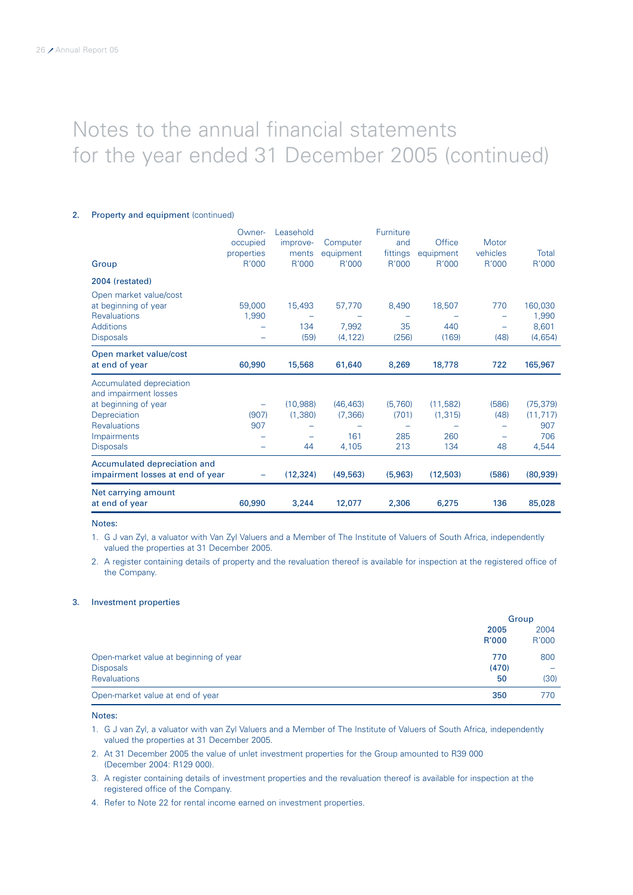### 2. Property and equipment (continued)

|                                  | Owner-     | Leasehold |           | Furniture |           |          |           |
|----------------------------------|------------|-----------|-----------|-----------|-----------|----------|-----------|
|                                  | occupied   | improve-  | Computer  | and       | Office    | Motor    |           |
|                                  | properties | ments     | equipment | fittings  | equipment | vehicles | Total     |
| Group                            | R'000      | R'000     | R'000     | R'000     | R'000     | R'000    | R'000     |
| 2004 (restated)                  |            |           |           |           |           |          |           |
| Open market value/cost           |            |           |           |           |           |          |           |
| at beginning of year             | 59,000     | 15,493    | 57,770    | 8,490     | 18,507    | 770      | 160,030   |
| <b>Revaluations</b>              | 1,990      |           |           |           |           |          | 1,990     |
| <b>Additions</b>                 |            | 134       | 7,992     | 35        | 440       |          | 8,601     |
| <b>Disposals</b>                 |            | (59)      | (4, 122)  | (256)     | (169)     | (48)     | (4,654)   |
| Open market value/cost           |            |           |           |           |           |          |           |
| at end of year                   | 60,990     | 15,568    | 61,640    | 8,269     | 18,778    | 722      | 165,967   |
| Accumulated depreciation         |            |           |           |           |           |          |           |
| and impairment losses            |            |           |           |           |           |          |           |
| at beginning of year             | -          | (10,988)  | (46, 463) | (5,760)   | (11, 582) | (586)    | (75, 379) |
| Depreciation                     | (907)      | (1,380)   | (7, 366)  | (701)     | (1, 315)  | (48)     | (11, 717) |
| <b>Revaluations</b>              | 907        |           |           |           |           |          | 907       |
| Impairments                      |            |           | 161       | 285       | 260       |          | 706       |
| <b>Disposals</b>                 |            | 44        | 4,105     | 213       | 134       | 48       | 4,544     |
| Accumulated depreciation and     |            |           |           |           |           |          |           |
| impairment losses at end of year |            | (12, 324) | (49, 563) | (5,963)   | (12,503)  | (586)    | (80, 939) |
| Net carrying amount              |            |           |           |           |           |          |           |
| at end of year                   | 60,990     | 3,244     | 12,077    | 2,306     | 6,275     | 136      | 85,028    |

### Notes:

1. G J van Zyl, a valuator with Van Zyl Valuers and a Member of The Institute of Valuers of South Africa, independently valued the properties at 31 December 2005.

2. A register containing details of property and the revaluation thereof is available for inspection at the registered office of the Company.

### 3. Investment properties

|                                                                            |                    | Group         |
|----------------------------------------------------------------------------|--------------------|---------------|
|                                                                            | 2005<br>R'000      | 2004<br>R'000 |
| Open-market value at beginning of year<br><b>Disposals</b><br>Revaluations | 770<br>(470)<br>50 | 800<br>(30)   |
| Open-market value at end of year                                           | 350                | 770           |

### Notes:

1. G J van Zyl, a valuator with van Zyl Valuers and a Member of The Institute of Valuers of South Africa, independently valued the properties at 31 December 2005.

- 2. At 31 December 2005 the value of unlet investment properties for the Group amounted to R39 000 (December 2004: R129 000).
- 3. A register containing details of investment properties and the revaluation thereof is available for inspection at the registered office of the Company.
- 4. Refer to Note 22 for rental income earned on investment properties.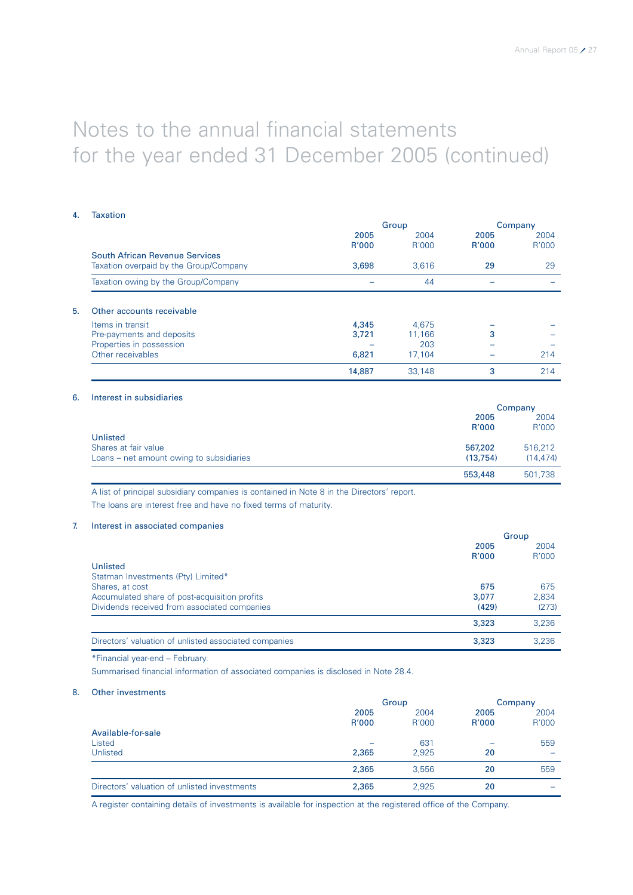### 4. Taxation

|                                                                          |               | Group         |               | Company       |
|--------------------------------------------------------------------------|---------------|---------------|---------------|---------------|
|                                                                          | 2005<br>R'000 | 2004<br>R'000 | 2005<br>R'000 | 2004<br>R'000 |
| South African Revenue Services<br>Taxation overpaid by the Group/Company | 3.698         | 3.616         | 29            | 29            |
| Taxation owing by the Group/Company                                      |               | 44            |               |               |
| Other accounts receivable<br>5.                                          |               |               |               |               |
| Items in transit                                                         | 4,345         | 4.675         |               |               |
| Pre-payments and deposits                                                | 3.721         | 11.166        | 3             |               |
| Properties in possession                                                 |               | 203           |               |               |
| Other receivables                                                        | 6,821         | 17.104        |               | 214           |
|                                                                          | 14,887        | 33.148        | 3             | 214           |

### 6. Interest in subsidiaries

|                                          |          | Company  |
|------------------------------------------|----------|----------|
|                                          | 2005     | 2004     |
|                                          | R'000    | R'000    |
| Unlisted                                 |          |          |
| Shares at fair value                     | 567,202  | 516,212  |
| Loans – net amount owing to subsidiaries | (13.754) | (14.474) |
|                                          | 553,448  | 501,738  |

A list of principal subsidiary companies is contained in Note 8 in the Directors' report.

The loans are interest free and have no fixed terms of maturity.

### 7. Interest in associated companies

|                                                       | Group |       |  |
|-------------------------------------------------------|-------|-------|--|
|                                                       | 2005  | 2004  |  |
|                                                       | R'000 | R'000 |  |
| Unlisted                                              |       |       |  |
| Statman Investments (Pty) Limited*                    |       |       |  |
| Shares, at cost                                       | 675   | 675   |  |
| Accumulated share of post-acquisition profits         | 3,077 | 2,834 |  |
| Dividends received from associated companies          | (429) | (273) |  |
|                                                       | 3,323 | 3,236 |  |
| Directors' valuation of unlisted associated companies | 3,323 | 3,236 |  |

\*Financial year-end – February.

Summarised financial information of associated companies is disclosed in Note 28.4.

### 8. Other investments

|                                              | Group         |               | Company       |               |
|----------------------------------------------|---------------|---------------|---------------|---------------|
|                                              | 2005<br>R'000 | 2004<br>R'000 | 2005<br>R'000 | 2004<br>R'000 |
| Available-for-sale<br>Listed                 |               | 631           |               | 559           |
| Unlisted                                     | 2,365         | 2,925         | 20            |               |
|                                              | 2,365         | 3,556         | 20            | 559           |
| Directors' valuation of unlisted investments | 2,365         | 2,925         | 20            |               |

A register containing details of investments is available for inspection at the registered office of the Company.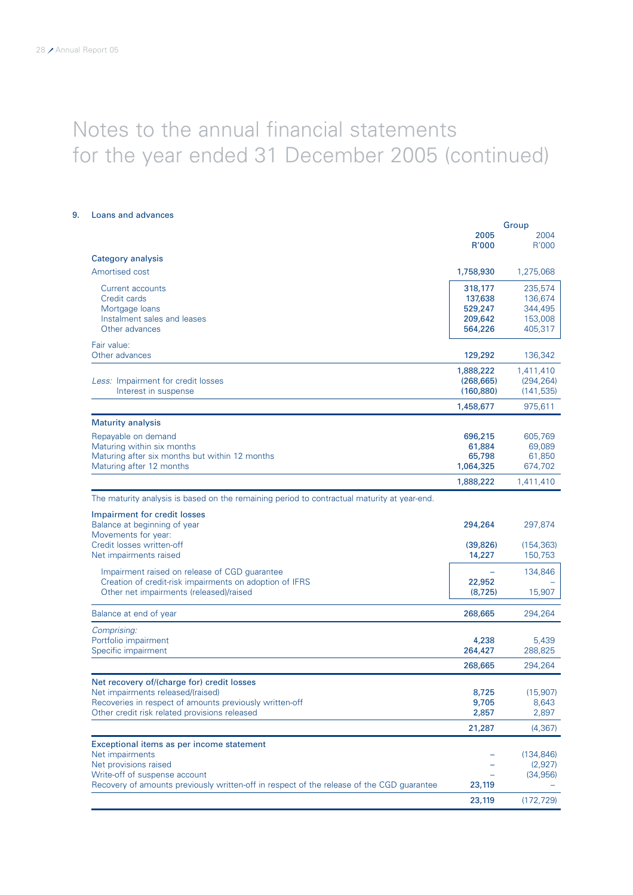| Loans and advances                                                                          |            |                       |
|---------------------------------------------------------------------------------------------|------------|-----------------------|
|                                                                                             | 2005       | Group<br>2004         |
|                                                                                             | R'000      | R'000                 |
| Category analysis                                                                           |            |                       |
| Amortised cost                                                                              | 1,758,930  | 1,275,068             |
| Current accounts                                                                            | 318,177    | 235,574               |
| Credit cards                                                                                | 137,638    | 136,674               |
| Mortgage loans                                                                              | 529,247    | 344,495               |
| Instalment sales and leases                                                                 | 209,642    | 153,008               |
| Other advances                                                                              | 564,226    | 405,317               |
| Fair value:<br>Other advances                                                               | 129,292    | 136,342               |
|                                                                                             | 1,888,222  | 1,411,410             |
| Less: Impairment for credit losses                                                          | (268, 665) | (294, 264)            |
| Interest in suspense                                                                        | (160, 880) | (141, 535)            |
|                                                                                             | 1,458,677  | 975,611               |
| <b>Maturity analysis</b>                                                                    |            |                       |
| Repayable on demand                                                                         | 696,215    | 605,769               |
| Maturing within six months                                                                  | 61,884     | 69,089                |
| Maturing after six months but within 12 months                                              | 65,798     | 61,850                |
| Maturing after 12 months                                                                    | 1,064,325  | 674,702               |
|                                                                                             | 1,888,222  | 1,411,410             |
| The maturity analysis is based on the remaining period to contractual maturity at year-end. |            |                       |
| Impairment for credit losses                                                                |            |                       |
| Balance at beginning of year<br>Movements for year:                                         | 294,264    | 297,874               |
| Credit losses written-off                                                                   | (39, 826)  | (154, 363)            |
| Net impairments raised                                                                      | 14,227     | 150,753               |
| Impairment raised on release of CGD guarantee                                               |            | 134,846               |
| Creation of credit-risk impairments on adoption of IFRS                                     | 22,952     |                       |
| Other net impairments (released)/raised                                                     | (8, 725)   | 15,907                |
| Balance at end of year                                                                      | 268,665    | 294,264               |
| Comprising:                                                                                 |            |                       |
| Portfolio impairment                                                                        | 4,238      | 5,439                 |
| Specific impairment                                                                         | 264,427    | 288,825               |
|                                                                                             | 268,665    | 294,264               |
| Net recovery of/(charge for) credit losses                                                  |            |                       |
| Net impairments released/(raised)                                                           | 8,725      | (15,907)              |
| Recoveries in respect of amounts previously written-off                                     | 9,705      | 8,643                 |
| Other credit risk related provisions released                                               | 2,857      | 2,897                 |
|                                                                                             | 21,287     | (4, 367)              |
| Exceptional items as per income statement                                                   |            |                       |
| Net impairments<br>Net provisions raised                                                    |            | (134, 846)<br>(2,927) |
| Write-off of suspense account                                                               |            | (34, 956)             |
| Recovery of amounts previously written-off in respect of the release of the CGD guarantee   | 23,119     |                       |
|                                                                                             |            |                       |
|                                                                                             | 23,119     | (172, 729)            |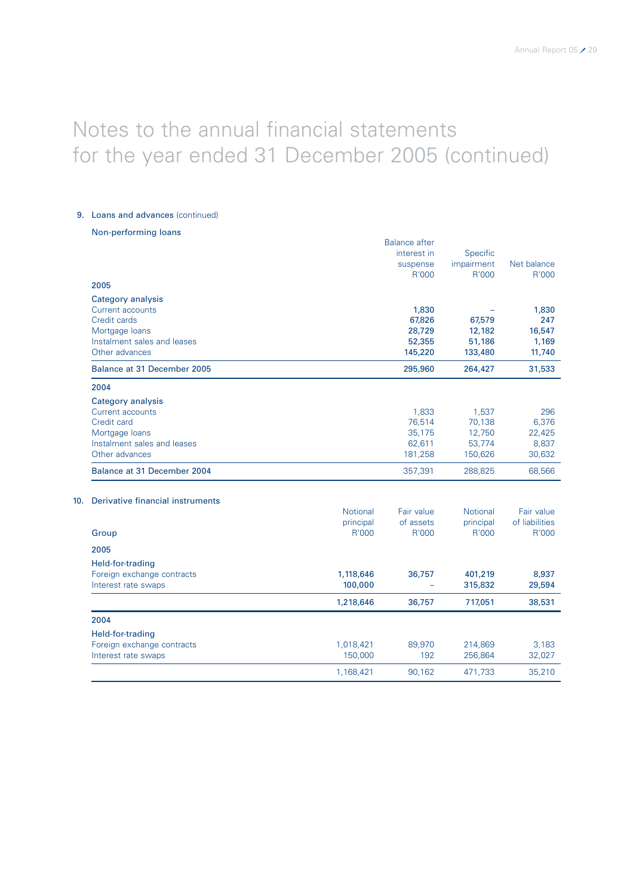### 9. Loans and advances (continued)

Non-performing loans

|                             | <b>Balance after</b> |            |             |
|-----------------------------|----------------------|------------|-------------|
|                             | interest in          | Specific   |             |
|                             | suspense             | impairment | Net balance |
|                             | R'000                | R'000      | R'000       |
| 2005                        |                      |            |             |
| Category analysis           |                      |            |             |
| Current accounts            | 1,830                |            | 1,830       |
| Credit cards                | 67,826               | 67,579     | 247         |
| Mortgage loans              | 28,729               | 12,182     | 16,547      |
| Instalment sales and leases | 52,355               | 51,186     | 1,169       |
| Other advances              | 145,220              | 133,480    | 11,740      |
| Balance at 31 December 2005 | 295,960              | 264,427    | 31,533      |
| 2004                        |                      |            |             |
| Category analysis           |                      |            |             |
| Current accounts            | 1,833                | 1,537      | 296         |
| Credit card                 | 76,514               | 70,138     | 6,376       |
| Mortgage loans              | 35,175               | 12,750     | 22,425      |
| Instalment sales and leases | 62,611               | 53,774     | 8,837       |
| Other advances              | 181,258              | 150,626    | 30,632      |
| Balance at 31 December 2004 | 357,391              | 288,825    | 68,566      |

### 10. Derivative financial instruments

|                            | <b>Notional</b><br>principal | Fair value<br>of assets | <b>Notional</b><br>principal | Fair value<br>of liabilities |
|----------------------------|------------------------------|-------------------------|------------------------------|------------------------------|
| Group                      | R'000                        | R'000                   | R'000                        | R'000                        |
| 2005                       |                              |                         |                              |                              |
| Held-for-trading           |                              |                         |                              |                              |
| Foreign exchange contracts | 1,118,646                    | 36,757                  | 401,219                      | 8,937                        |
| Interest rate swaps        | 100,000                      |                         | 315,832                      | 29,594                       |
|                            | 1,218,646                    | 36,757                  | 717,051                      | 38,531                       |
| 2004                       |                              |                         |                              |                              |
| Held-for-trading           |                              |                         |                              |                              |
| Foreign exchange contracts | 1,018,421                    | 89,970                  | 214,869                      | 3,183                        |
| Interest rate swaps        | 150,000                      | 192                     | 256,864                      | 32,027                       |
|                            | 1,168,421                    | 90.162                  | 471,733                      | 35,210                       |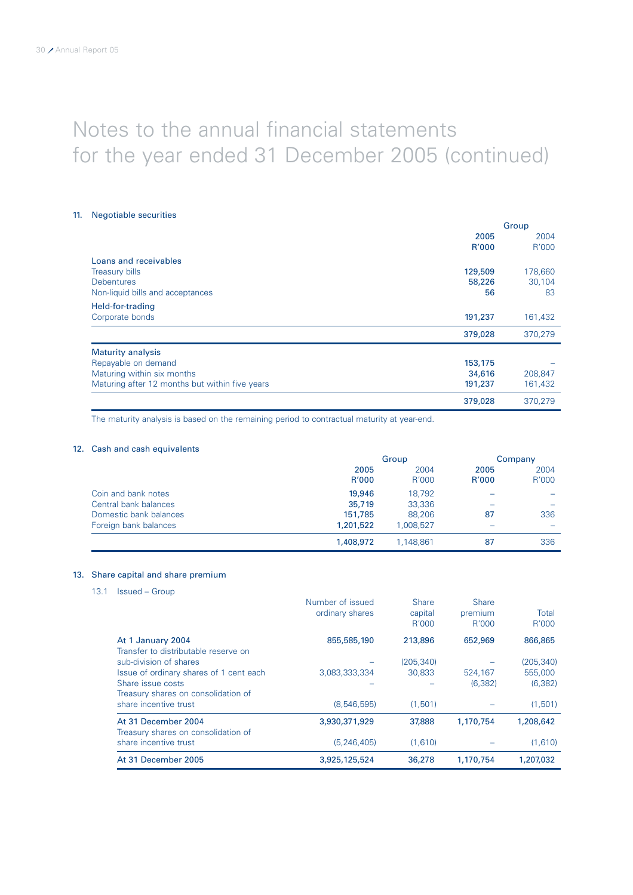### 11. Negotiable securities

|                                                | Group   |         |
|------------------------------------------------|---------|---------|
|                                                | 2005    | 2004    |
|                                                | R'000   | R'000   |
| Loans and receivables                          |         |         |
| <b>Treasury bills</b>                          | 129,509 | 178,660 |
| <b>Debentures</b>                              | 58,226  | 30,104  |
| Non-liquid bills and acceptances               | 56      | 83      |
| Held-for-trading                               |         |         |
| Corporate bonds                                | 191,237 | 161,432 |
|                                                | 379,028 | 370,279 |
| <b>Maturity analysis</b>                       |         |         |
| Repayable on demand                            | 153,175 |         |
| Maturing within six months                     | 34,616  | 208,847 |
| Maturing after 12 months but within five years | 191,237 | 161,432 |
|                                                | 379,028 | 370.279 |

The maturity analysis is based on the remaining period to contractual maturity at year-end.

### 12. Cash and cash equivalents

|                        | Group     |           |       | Company |
|------------------------|-----------|-----------|-------|---------|
|                        | 2005      | 2004      | 2005  | 2004    |
|                        | R'000     | R'000     | R'000 | R'000   |
| Coin and bank notes    | 19,946    | 18.792    |       |         |
| Central bank balances  | 35,719    | 33,336    |       | -       |
| Domestic bank balances | 151,785   | 88,206    | 87    | 336     |
| Foreign bank balances  | 1,201,522 | 1.008.527 |       |         |
|                        | 1,408,972 | 1.148.861 | 87    | 336     |

### 13. Share capital and share premium

13.1 Issued – Group

|                                                            | Number of issued<br>ordinary shares | Share<br>capital<br>R'000 | <b>Share</b><br>premium<br>R'000 | Total<br>R'000 |
|------------------------------------------------------------|-------------------------------------|---------------------------|----------------------------------|----------------|
| At 1 January 2004<br>Transfer to distributable reserve on  | 855,585,190                         | 213,896                   | 652,969                          | 866,865        |
| sub-division of shares                                     |                                     | (205, 340)                |                                  | (205, 340)     |
| Issue of ordinary shares of 1 cent each                    | 3,083,333,334                       | 30,833                    | 524.167                          | 555,000        |
| Share issue costs<br>Treasury shares on consolidation of   |                                     |                           | (6, 382)                         | (6, 382)       |
| share incentive trust                                      | (8,546,595)                         | (1.501)                   |                                  | (1,501)        |
| At 31 December 2004<br>Treasury shares on consolidation of | 3,930,371,929                       | 37,888                    | 1,170,754                        | 1,208,642      |
| share incentive trust                                      | (5, 246, 405)                       | (1,610)                   |                                  | (1,610)        |
| At 31 December 2005                                        | 3,925,125,524                       | 36,278                    | 1,170,754                        | 1.207.032      |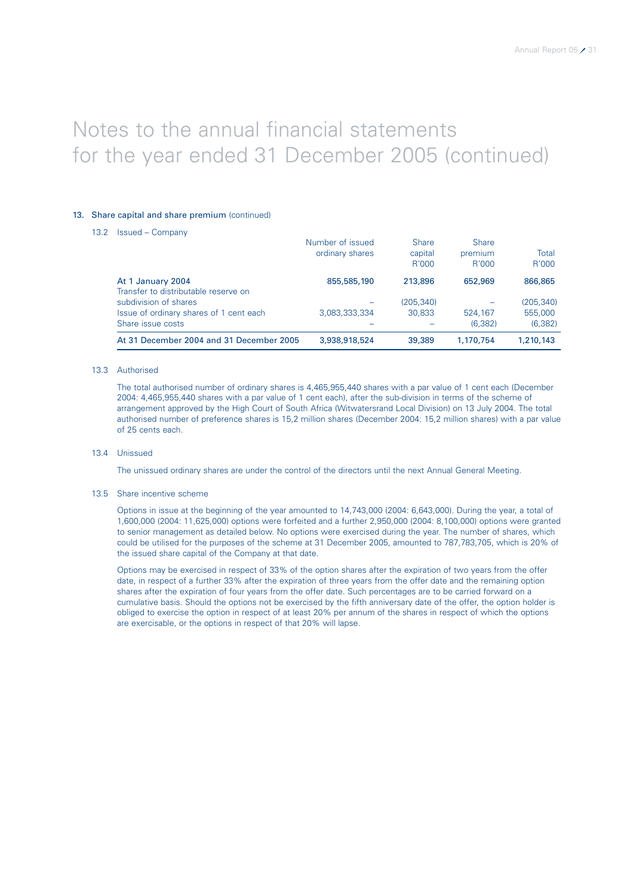### 13. Share capital and share premium (continued)

13.2 Issued – Company

|                                                           | Number of issued<br>ordinary shares | <b>Share</b><br>capital<br>R'000 | Share<br>premium<br>R'000 | Total<br>R'000 |
|-----------------------------------------------------------|-------------------------------------|----------------------------------|---------------------------|----------------|
| At 1 January 2004<br>Transfer to distributable reserve on | 855,585,190                         | 213,896                          | 652,969                   | 866,865        |
| subdivision of shares                                     |                                     | (205, 340)                       |                           | (205, 340)     |
| Issue of ordinary shares of 1 cent each                   | 3.083.333.334                       | 30.833                           | 524,167                   | 555,000        |
| Share issue costs                                         |                                     |                                  | (6,382)                   | (6, 382)       |
| At 31 December 2004 and 31 December 2005                  | 3,938,918,524                       | 39,389                           | 1,170,754                 | 1,210,143      |

### 13.3 Authorised

The total authorised number of ordinary shares is 4,465,955,440 shares with a par value of 1 cent each (December 2004: 4,465,955,440 shares with a par value of 1 cent each), after the sub-division in terms of the scheme of arrangement approved by the High Court of South Africa (Witwatersrand Local Division) on 13 July 2004. The total authorised number of preference shares is 15,2 million shares (December 2004: 15,2 million shares) with a par value of 25 cents each.

13.4 Unissued

The unissued ordinary shares are under the control of the directors until the next Annual General Meeting.

### 13.5 Share incentive scheme

Options in issue at the beginning of the year amounted to 14,743,000 (2004: 6,643,000). During the year, a total of 1,600,000 (2004: 11,625,000) options were forfeited and a further 2,950,000 (2004: 8,100,000) options were granted to senior management as detailed below. No options were exercised during the year. The number of shares, which could be utilised for the purposes of the scheme at 31 December 2005, amounted to 787,783,705, which is 20% of the issued share capital of the Company at that date.

Options may be exercised in respect of 33% of the option shares after the expiration of two years from the offer date, in respect of a further 33% after the expiration of three years from the offer date and the remaining option shares after the expiration of four years from the offer date. Such percentages are to be carried forward on a cumulative basis. Should the options not be exercised by the fifth anniversary date of the offer, the option holder is obliged to exercise the option in respect of at least 20% per annum of the shares in respect of which the options are exercisable, or the options in respect of that 20% will lapse.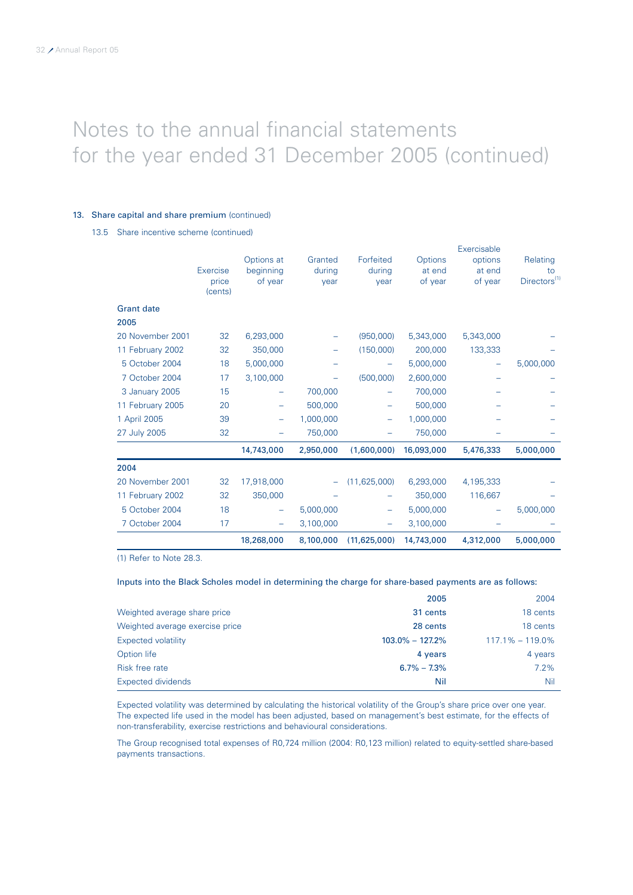### 13. Share capital and share premium (continued)

13.5 Share incentive scheme (continued)

|                   | Exercise<br>price | Options at<br>beginning<br>of year | Granted<br>during<br>year | Forfeited<br>during<br>year | Options<br>at end<br>of year | Exercisable<br>options<br>at end<br>of year | Relating<br>to<br>Directors <sup>(1)</sup> |
|-------------------|-------------------|------------------------------------|---------------------------|-----------------------------|------------------------------|---------------------------------------------|--------------------------------------------|
|                   | (cents)           |                                    |                           |                             |                              |                                             |                                            |
| <b>Grant date</b> |                   |                                    |                           |                             |                              |                                             |                                            |
| 2005              |                   |                                    |                           |                             |                              |                                             |                                            |
| 20 November 2001  | 32                | 6,293,000                          |                           | (950,000)                   | 5,343,000                    | 5,343,000                                   |                                            |
| 11 February 2002  | 32                | 350,000                            |                           | (150,000)                   | 200,000                      | 133,333                                     |                                            |
| 5 October 2004    | 18                | 5,000,000                          |                           |                             | 5,000,000                    | -                                           | 5,000,000                                  |
| 7 October 2004    | 17                | 3,100,000                          |                           | (500,000)                   | 2,600,000                    |                                             |                                            |
| 3 January 2005    | 15                |                                    | 700,000                   |                             | 700,000                      |                                             |                                            |
| 11 February 2005  | 20                |                                    | 500,000                   |                             | 500,000                      |                                             |                                            |
| 1 April 2005      | 39                | -                                  | 1,000,000                 |                             | 1,000,000                    |                                             |                                            |
| 27 July 2005      | 32                |                                    | 750.000                   |                             | 750,000                      |                                             |                                            |
|                   |                   | 14,743,000                         | 2,950,000                 | (1,600,000)                 | 16,093,000                   | 5,476,333                                   | 5,000,000                                  |
| 2004              |                   |                                    |                           |                             |                              |                                             |                                            |
| 20 November 2001  | 32                | 17,918,000                         |                           | (11, 625, 000)              | 6,293,000                    | 4,195,333                                   |                                            |
| 11 February 2002  | 32                | 350,000                            |                           |                             | 350,000                      | 116,667                                     |                                            |
| 5 October 2004    | 18                |                                    | 5,000,000                 | -                           | 5,000,000                    |                                             | 5,000,000                                  |
| 7 October 2004    | 17                |                                    | 3,100,000                 | -                           | 3,100,000                    |                                             |                                            |
|                   |                   | 18,268,000                         | 8,100,000                 | (11,625,000)                | 14,743,000                   | 4,312,000                                   | 5,000,000                                  |

(1) Refer to Note 28.3.

### Inputs into the Black Scholes model in determining the charge for share-based payments are as follows:

|                                 | 2005                | 2004                |
|---------------------------------|---------------------|---------------------|
| Weighted average share price    | 31 cents            | 18 cents            |
| Weighted average exercise price | 28 cents            | 18 cents            |
| Expected volatility             | $103.0\% - 127.2\%$ | $117.1\% - 119.0\%$ |
| Option life                     | 4 years             | 4 years             |
| Risk free rate                  | $6.7\% - 7.3\%$     | $7.2\%$             |
| Expected dividends              | Nil                 | Nil                 |

Expected volatility was determined by calculating the historical volatility of the Group's share price over one year. The expected life used in the model has been adjusted, based on management's best estimate, for the effects of non-transferability, exercise restrictions and behavioural considerations.

The Group recognised total expenses of R0,724 million (2004: R0,123 million) related to equity-settled share-based payments transactions.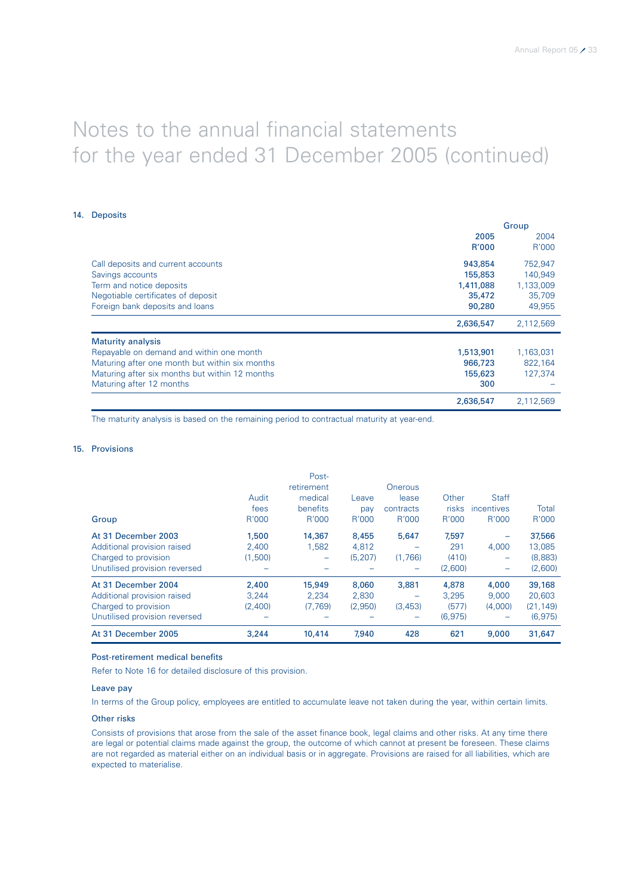### 14. Deposits

|                                                | Group     |           |
|------------------------------------------------|-----------|-----------|
|                                                | 2005      | 2004      |
|                                                | R'000     | R'000     |
| Call deposits and current accounts             | 943,854   | 752,947   |
| Savings accounts                               | 155,853   | 140.949   |
| Term and notice deposits                       | 1,411,088 | 1,133,009 |
| Negotiable certificates of deposit             | 35,472    | 35,709    |
| Foreign bank deposits and loans                | 90,280    | 49,955    |
|                                                | 2,636,547 | 2,112,569 |
| <b>Maturity analysis</b>                       |           |           |
| Repayable on demand and within one month       | 1,513,901 | 1,163,031 |
| Maturing after one month but within six months | 966,723   | 822.164   |
| Maturing after six months but within 12 months | 155,623   | 127,374   |
| Maturing after 12 months                       | 300       |           |
|                                                | 2,636,547 | 2,112,569 |

The maturity analysis is based on the remaining period to contractual maturity at year-end.

### 15. Provisions

|                               |         | Post-                    |          |                |              |                          |           |
|-------------------------------|---------|--------------------------|----------|----------------|--------------|--------------------------|-----------|
|                               |         | retirement               |          | <b>Onerous</b> |              |                          |           |
|                               | Audit   | medical                  | Leave    | lease          | Other        | <b>Staff</b>             |           |
|                               | fees    | benefits                 | pay      | contracts      | <b>risks</b> | incentives               | Total     |
| Group                         | R'000   | R'000                    | R'000    | R'000          | R'000        | R'000                    | R'000     |
| At 31 December 2003           | 1,500   | 14,367                   | 8,455    | 5,647          | 7.597        | $\overline{\phantom{0}}$ | 37,566    |
| Additional provision raised   | 2.400   | 1.582                    | 4,812    |                | 291          | 4,000                    | 13.085    |
| Charged to provision          | (1,500) | $\overline{\phantom{m}}$ | (5, 207) | (1,766)        | (410)        | $\overline{\phantom{0}}$ | (8,883)   |
| Unutilised provision reversed |         |                          |          |                | (2.600)      | -                        | (2,600)   |
| At 31 December 2004           | 2,400   | 15,949                   | 8,060    | 3,881          | 4,878        | 4,000                    | 39,168    |
| Additional provision raised   | 3.244   | 2.234                    | 2,830    |                | 3.295        | 9,000                    | 20,603    |
| Charged to provision          | (2,400) | (7.769)                  | (2,950)  | (3, 453)       | (577)        | (4,000)                  | (21, 149) |
| Unutilised provision reversed |         |                          |          |                | (6.975)      |                          | (6, 975)  |
| At 31 December 2005           | 3.244   | 10,414                   | 7.940    | 428            | 621          | 9,000                    | 31,647    |

### Post-retirement medical benefits

Refer to Note 16 for detailed disclosure of this provision.

### Leave pay

In terms of the Group policy, employees are entitled to accumulate leave not taken during the year, within certain limits.

### Other risks

Consists of provisions that arose from the sale of the asset finance book, legal claims and other risks. At any time there are legal or potential claims made against the group, the outcome of which cannot at present be foreseen. These claims are not regarded as material either on an individual basis or in aggregate. Provisions are raised for all liabilities, which are expected to materialise.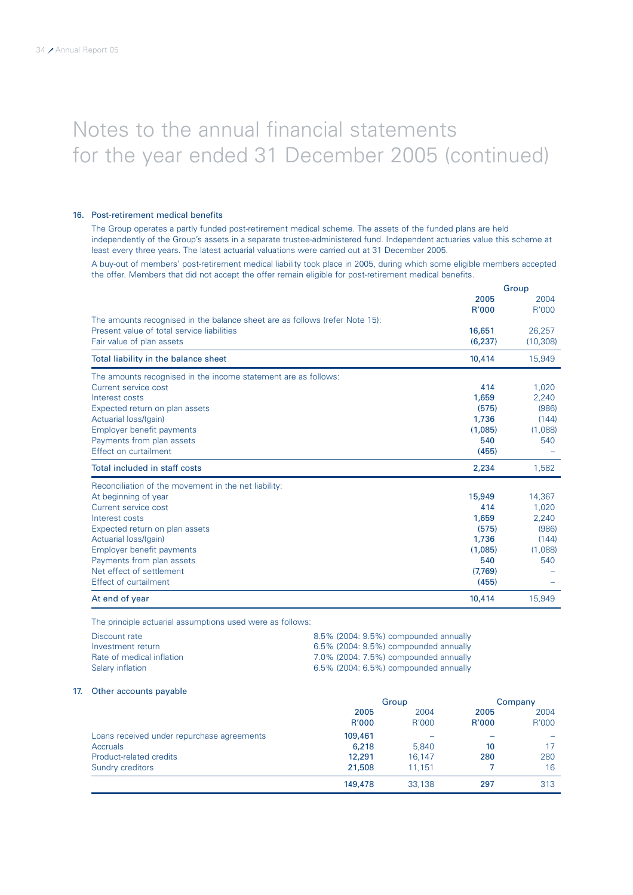### 16. Post-retirement medical benefits

The Group operates a partly funded post-retirement medical scheme. The assets of the funded plans are held independently of the Group's assets in a separate trustee-administered fund. Independent actuaries value this scheme at least every three years. The latest actuarial valuations were carried out at 31 December 2005.

A buy-out of members' post-retirement medical liability took place in 2005, during which some eligible members accepted the offer. Members that did not accept the offer remain eligible for post-retirement medical benefits.

|                                                                             |         | Group     |
|-----------------------------------------------------------------------------|---------|-----------|
|                                                                             | 2005    | 2004      |
|                                                                             | R'000   | R'000     |
| The amounts recognised in the balance sheet are as follows (refer Note 15): |         |           |
| Present value of total service liabilities                                  | 16,651  | 26,257    |
| Fair value of plan assets                                                   | (6,237) | (10, 308) |
| Total liability in the balance sheet                                        | 10,414  | 15,949    |
| The amounts recognised in the income statement are as follows:              |         |           |
| Current service cost                                                        | 414     | 1.020     |
| Interest costs                                                              | 1,659   | 2,240     |
| Expected return on plan assets                                              | (575)   | (986)     |
| Actuarial loss/(gain)                                                       | 1,736   | (144)     |
| Employer benefit payments                                                   | (1,085) | (1,088)   |
| Payments from plan assets                                                   | 540     | 540       |
| Effect on curtailment                                                       | (455)   |           |
| Total included in staff costs                                               | 2,234   | 1,582     |
| Reconciliation of the movement in the net liability:                        |         |           |
| At beginning of year                                                        | 15,949  | 14,367    |
| Current service cost                                                        | 414     | 1,020     |
| Interest costs                                                              | 1,659   | 2,240     |
| Expected return on plan assets                                              | (575)   | (986)     |
| Actuarial loss/(gain)                                                       | 1.736   | (144)     |
| Employer benefit payments                                                   | (1,085) | (1,088)   |
| Payments from plan assets                                                   | 540     | 540       |
| Net effect of settlement                                                    | (7,769) |           |
| Effect of curtailment                                                       | (455)   |           |
| At end of year                                                              | 10,414  | 15,949    |

The principle actuarial assumptions used were as follows:

| Discount rate             | 8.5% (2004: 9.5%) compounded annually |
|---------------------------|---------------------------------------|
| Investment return         | 6.5% (2004: 9.5%) compounded annually |
| Rate of medical inflation | 7.0% (2004: 7.5%) compounded annually |
| Salary inflation          | 6.5% (2004: 6.5%) compounded annually |

### 17. Other accounts payable

|                                            | Group   |        | Company |       |
|--------------------------------------------|---------|--------|---------|-------|
|                                            | 2005    | 2004   | 2005    | 2004  |
|                                            | R'000   | R'000  | R'000   | R'000 |
| Loans received under repurchase agreements | 109,461 |        |         |       |
| <b>Accruals</b>                            | 6,218   | 5.840  | 10      | 17    |
| Product-related credits                    | 12,291  | 16.147 | 280     | 280   |
| Sundry creditors                           | 21,508  | 11.151 |         | 16    |
|                                            | 149,478 | 33.138 | 297     | 313   |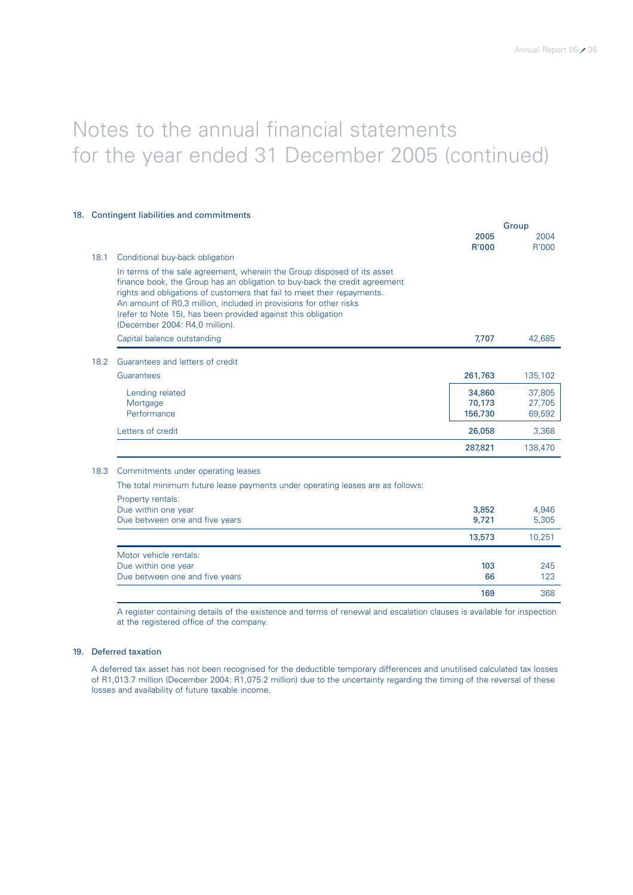|      | 18. Contingent liabilities and commitments                                                                                                                                                                                                                                                                                                                                                               |                             | Group                      |
|------|----------------------------------------------------------------------------------------------------------------------------------------------------------------------------------------------------------------------------------------------------------------------------------------------------------------------------------------------------------------------------------------------------------|-----------------------------|----------------------------|
|      |                                                                                                                                                                                                                                                                                                                                                                                                          | 2005<br>R'000               | 2004<br>R'000              |
| 18.1 | Conditional buy-back obligation                                                                                                                                                                                                                                                                                                                                                                          |                             |                            |
|      | In terms of the sale agreement, wherein the Group disposed of its asset<br>finance book, the Group has an obligation to buy-back the credit agreement<br>rights and obligations of customers that fail to meet their repayments.<br>An amount of R0,3 million, included in provisions for other risks<br>(refer to Note 15), has been provided against this obligation<br>(December 2004: R4,0 million). |                             |                            |
|      | Capital balance outstanding                                                                                                                                                                                                                                                                                                                                                                              | 7.707                       | 42,685                     |
| 18.2 | Guarantees and letters of credit                                                                                                                                                                                                                                                                                                                                                                         |                             |                            |
|      | Guarantees                                                                                                                                                                                                                                                                                                                                                                                               | 261,763                     | 135,102                    |
|      | Lending related<br>Mortgage<br>Performance                                                                                                                                                                                                                                                                                                                                                               | 34,860<br>70,173<br>156,730 | 37,805<br>27,705<br>69,592 |
|      | Letters of credit                                                                                                                                                                                                                                                                                                                                                                                        | 26,058                      | 3,368                      |
|      |                                                                                                                                                                                                                                                                                                                                                                                                          | 287,821                     | 138,470                    |
| 18.3 | Commitments under operating leases                                                                                                                                                                                                                                                                                                                                                                       |                             |                            |
|      | The total minimum future lease payments under operating leases are as follows:                                                                                                                                                                                                                                                                                                                           |                             |                            |
|      | Property rentals:<br>Due within one year<br>Due between one and five years                                                                                                                                                                                                                                                                                                                               | 3,852<br>9,721              | 4,946<br>5,305             |
|      |                                                                                                                                                                                                                                                                                                                                                                                                          | 13,573                      | 10,251                     |
|      | Motor vehicle rentals:<br>Due within one year<br>Due between one and five years                                                                                                                                                                                                                                                                                                                          | 103<br>66                   | 245<br>123                 |
|      |                                                                                                                                                                                                                                                                                                                                                                                                          | 169                         | 368                        |

A register containing details of the existence and terms of renewal and escalation clauses is available for inspection at the registered office of the company.

### 19. Deferred taxation

A deferred tax asset has not been recognised for the deductible temporary differences and unutilised calculated tax losses of R1,013.7 million (December 2004: R1,075.2 million) due to the uncertainty regarding the timing of the reversal of these losses and availability of future taxable income.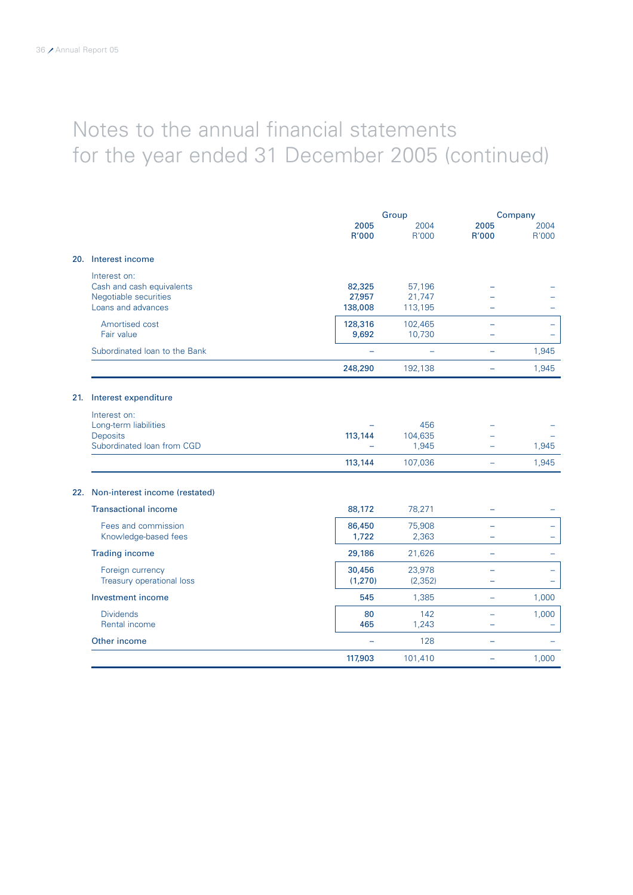|     |                                                                                          |                             | Group                       |                          | Company                  |  |
|-----|------------------------------------------------------------------------------------------|-----------------------------|-----------------------------|--------------------------|--------------------------|--|
|     |                                                                                          | 2005<br>R'000               | 2004<br>R'000               | 2005<br>R'000            | 2004<br>R'000            |  |
|     | 20. Interest income                                                                      |                             |                             |                          |                          |  |
|     | Interest on:<br>Cash and cash equivalents<br>Negotiable securities<br>Loans and advances | 82,325<br>27,957<br>138,008 | 57,196<br>21,747<br>113,195 |                          |                          |  |
|     | Amortised cost<br>Fair value                                                             | 128,316<br>9,692            | 102,465<br>10,730           |                          |                          |  |
|     | Subordinated Ioan to the Bank                                                            |                             | $\equiv$                    | $\overline{\phantom{0}}$ | 1,945                    |  |
|     |                                                                                          | 248,290                     | 192,138                     | ÷                        | 1,945                    |  |
| 21. | Interest expenditure                                                                     |                             |                             |                          |                          |  |
|     | Interest on:<br>Long-term liabilities<br><b>Deposits</b><br>Subordinated Ioan from CGD   | 113,144                     | 456<br>104,635<br>1,945     |                          | 1,945                    |  |
|     |                                                                                          | 113,144                     | 107,036                     | ÷                        | 1,945                    |  |
|     | 22. Non-interest income (restated)                                                       |                             |                             |                          |                          |  |
|     | <b>Transactional income</b>                                                              | 88,172                      | 78,271                      |                          |                          |  |
|     | Fees and commission<br>Knowledge-based fees                                              | 86,450<br>1,722             | 75,908<br>2,363             |                          |                          |  |
|     | <b>Trading income</b>                                                                    | 29,186                      | 21,626                      | ÷                        |                          |  |
|     | Foreign currency<br>Treasury operational loss                                            | 30,456<br>(1,270)           | 23,978<br>(2, 352)          |                          | $\overline{\phantom{0}}$ |  |
|     | Investment income                                                                        | 545                         | 1,385                       | ۳                        | 1,000                    |  |
|     | <b>Dividends</b><br>Rental income                                                        | 80<br>465                   | 142<br>1,243                | ÷                        | 1,000                    |  |
|     | Other income                                                                             | $\overline{\phantom{0}}$    | 128                         | $\equiv$                 |                          |  |
|     |                                                                                          | 117,903                     | 101,410                     |                          | 1,000                    |  |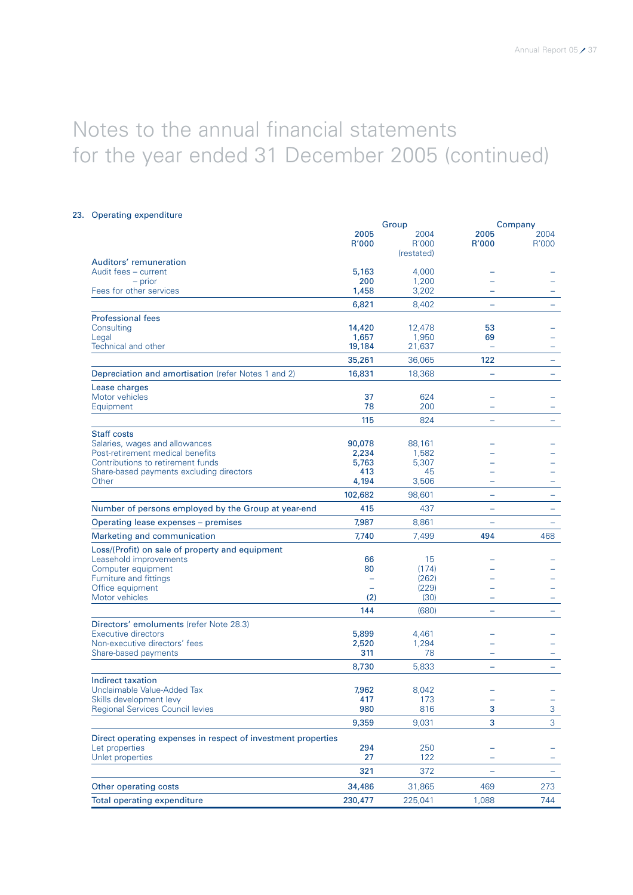### 23. Operating expenditure

|                                                                           |                 | Group           | Company                  |               |  |
|---------------------------------------------------------------------------|-----------------|-----------------|--------------------------|---------------|--|
|                                                                           | 2005<br>R'000   | 2004<br>R'000   | 2005<br>R'000            | 2004<br>R'000 |  |
|                                                                           |                 | (restated)      |                          |               |  |
| Auditors' remuneration<br>Audit fees - current                            | 5,163           | 4,000           |                          |               |  |
| - prior                                                                   | 200             | 1,200           |                          |               |  |
| Fees for other services                                                   | 1,458           | 3,202           |                          |               |  |
|                                                                           | 6,821           | 8,402           | $\equiv$                 |               |  |
| <b>Professional fees</b>                                                  |                 |                 |                          |               |  |
| Consulting                                                                | 14,420          | 12,478          | 53                       |               |  |
| Legal<br>Technical and other                                              | 1,657<br>19,184 | 1,950<br>21,637 | 69                       |               |  |
|                                                                           |                 |                 | 122                      |               |  |
|                                                                           | 35,261          | 36,065          |                          |               |  |
| Depreciation and amortisation (refer Notes 1 and 2)                       | 16,831          | 18,368          |                          |               |  |
| Lease charges<br>Motor vehicles                                           | 37              | 624             |                          |               |  |
| Equipment                                                                 | 78              | 200             | $\rightarrow$            |               |  |
|                                                                           | 115             | 824             | $\equiv$                 |               |  |
| <b>Staff costs</b>                                                        |                 |                 |                          |               |  |
| Salaries, wages and allowances                                            | 90,078          | 88,161          |                          |               |  |
| Post-retirement medical benefits                                          | 2,234           | 1,582           |                          |               |  |
| Contributions to retirement funds                                         | 5,763           | 5,307           |                          |               |  |
| Share-based payments excluding directors<br>Other                         | 413<br>4,194    | 45<br>3,506     |                          |               |  |
|                                                                           | 102,682         | 98,601          | -                        |               |  |
| Number of persons employed by the Group at year-end                       | 415             | 437             | ÷                        |               |  |
|                                                                           | 7,987           | 8,861           |                          |               |  |
| Operating lease expenses - premises                                       |                 |                 |                          |               |  |
| Marketing and communication                                               | 7,740           | 7,499           | 494                      | 468           |  |
| Loss/(Profit) on sale of property and equipment<br>Leasehold improvements | 66              | 15              |                          |               |  |
| Computer equipment                                                        | 80              | (174)           |                          |               |  |
| Furniture and fittings                                                    |                 | (262)           |                          |               |  |
| Office equipment                                                          |                 | (229)           |                          |               |  |
| Motor vehicles                                                            | (2)             | (30)            |                          |               |  |
|                                                                           | 144             | (680)           | $\overline{\phantom{0}}$ |               |  |
| Directors' emoluments (refer Note 28.3)                                   |                 |                 |                          |               |  |
| Executive directors<br>Non-executive directors' fees                      | 5,899<br>2,520  | 4,461<br>1,294  |                          |               |  |
| Share-based payments                                                      | 311             | 78              | -                        |               |  |
|                                                                           | 8,730           | 5,833           | $\overline{\phantom{0}}$ |               |  |
| Indirect taxation                                                         |                 |                 |                          |               |  |
| Unclaimable Value-Added Tax                                               | 7,962           | 8,042           |                          |               |  |
| Skills development levy                                                   | 417             | 173             |                          | -             |  |
| <b>Regional Services Council levies</b>                                   | 980             | 816             | 3                        | $\mathbf{3}$  |  |
|                                                                           | 9,359           | 9,031           | 3                        | 3             |  |
| Direct operating expenses in respect of investment properties             |                 |                 |                          |               |  |
| Let properties                                                            | 294             | 250             |                          |               |  |
| Unlet properties                                                          | 27              | 122             | $\overline{\phantom{a}}$ |               |  |
|                                                                           | 321             | 372             |                          |               |  |
| Other operating costs                                                     | 34,486          | 31,865          | 469                      | 273           |  |
| Total operating expenditure                                               | 230,477         | 225,041         | 1,088                    | 744           |  |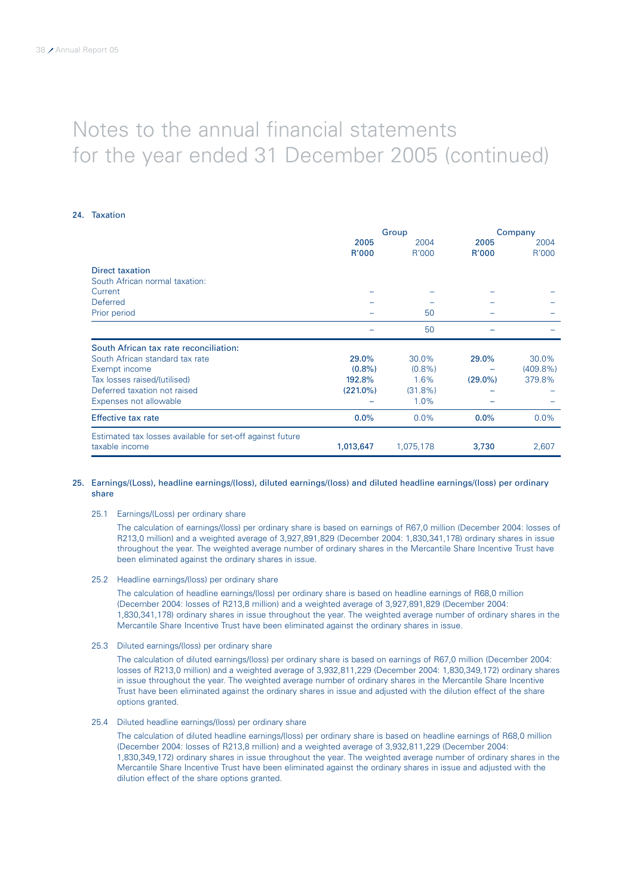### 24. Taxation

|                                                           |             | Group      | Company    |             |  |
|-----------------------------------------------------------|-------------|------------|------------|-------------|--|
|                                                           | 2005        | 2004       | 2005       | 2004        |  |
|                                                           | R'000       | R'000      | R'000      | R'000       |  |
| <b>Direct taxation</b>                                    |             |            |            |             |  |
| South African normal taxation:                            |             |            |            |             |  |
| Current                                                   |             |            |            |             |  |
| Deferred                                                  |             |            |            |             |  |
| Prior period                                              |             | 50         |            |             |  |
|                                                           |             | 50         |            |             |  |
| South African tax rate reconciliation:                    |             |            |            |             |  |
| South African standard tax rate                           | 29.0%       | 30.0%      | 29.0%      | 30.0%       |  |
| Exempt income                                             | $(0.8\%)$   | $(0.8\%)$  |            | $(409.8\%)$ |  |
| Tax losses raised/(utilised)                              | 192.8%      | 1.6%       | $(29.0\%)$ | 379.8%      |  |
| Deferred taxation not raised                              | $(221.0\%)$ | $(31.8\%)$ |            |             |  |
| Expenses not allowable                                    |             | 1.0%       |            |             |  |
| <b>Effective tax rate</b>                                 | 0.0%        | $0.0\%$    | 0.0%       | 0.0%        |  |
| Estimated tax losses available for set-off against future |             |            |            |             |  |
| taxable income                                            | 1,013,647   | 1,075,178  | 3,730      | 2,607       |  |

### 25. Earnings/(Loss), headline earnings/(loss), diluted earnings/(loss) and diluted headline earnings/(loss) per ordinary share

### 25.1 Earnings/(Loss) per ordinary share

The calculation of earnings/(loss) per ordinary share is based on earnings of R67,0 million (December 2004: losses of R213,0 million) and a weighted average of 3,927,891,829 (December 2004: 1,830,341,178) ordinary shares in issue throughout the year. The weighted average number of ordinary shares in the Mercantile Share Incentive Trust have been eliminated against the ordinary shares in issue.

25.2 Headline earnings/(loss) per ordinary share

The calculation of headline earnings/(loss) per ordinary share is based on headline earnings of R68,0 million (December 2004: losses of R213,8 million) and a weighted average of 3,927,891,829 (December 2004: 1,830,341,178) ordinary shares in issue throughout the year. The weighted average number of ordinary shares in the Mercantile Share Incentive Trust have been eliminated against the ordinary shares in issue.

25.3 Diluted earnings/(loss) per ordinary share

The calculation of diluted earnings/(loss) per ordinary share is based on earnings of R67,0 million (December 2004: losses of R213,0 million) and a weighted average of 3,932,811,229 (December 2004: 1,830,349,172) ordinary shares in issue throughout the year. The weighted average number of ordinary shares in the Mercantile Share Incentive Trust have been eliminated against the ordinary shares in issue and adjusted with the dilution effect of the share options granted.

### 25.4 Diluted headline earnings/(loss) per ordinary share

The calculation of diluted headline earnings/(loss) per ordinary share is based on headline earnings of R68,0 million (December 2004: losses of R213,8 million) and a weighted average of 3,932,811,229 (December 2004: 1,830,349,172) ordinary shares in issue throughout the year. The weighted average number of ordinary shares in the Mercantile Share Incentive Trust have been eliminated against the ordinary shares in issue and adjusted with the dilution effect of the share options granted.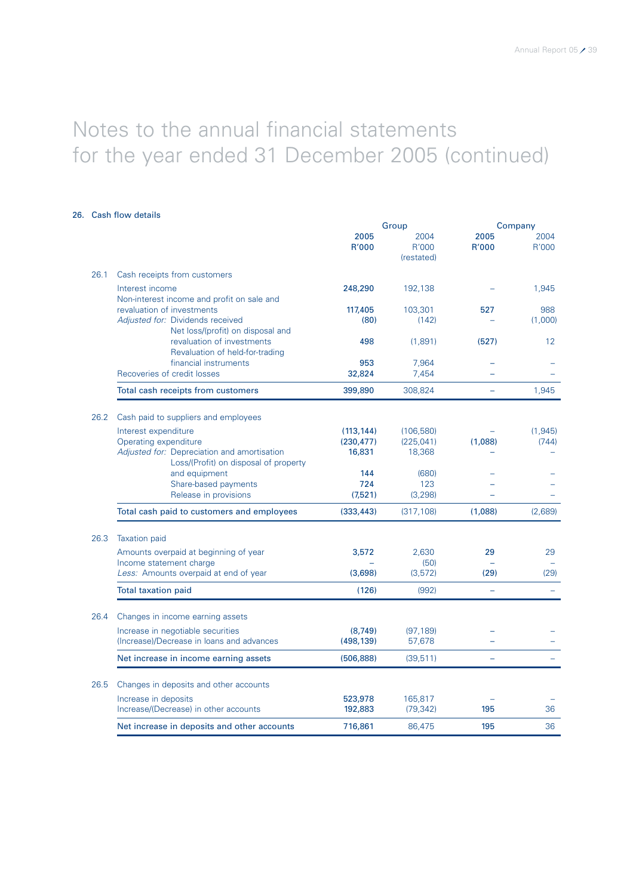### 26. Cash flow details

|      |                                                                                                     |                 | Group                       | Company       |                |  |
|------|-----------------------------------------------------------------------------------------------------|-----------------|-----------------------------|---------------|----------------|--|
|      |                                                                                                     | 2005<br>R'000   | 2004<br>R'000<br>(restated) | 2005<br>R'000 | 2004<br>R'000  |  |
| 26.1 | Cash receipts from customers                                                                        |                 |                             |               |                |  |
|      | Interest income<br>Non-interest income and profit on sale and                                       | 248,290         | 192,138                     |               | 1,945          |  |
|      | revaluation of investments<br>Adjusted for: Dividends received<br>Net loss/(profit) on disposal and | 117,405<br>(80) | 103,301<br>(142)            | 527           | 988<br>(1,000) |  |
|      | revaluation of investments<br>Revaluation of held-for-trading                                       | 498             | (1,891)                     | (527)         | 12             |  |
|      | financial instruments                                                                               | 953             | 7,964                       |               |                |  |
|      | Recoveries of credit losses                                                                         | 32,824          | 7,454                       |               |                |  |
|      | Total cash receipts from customers                                                                  | 399,890         | 308,824                     |               | 1,945          |  |
| 26.2 | Cash paid to suppliers and employees                                                                |                 |                             |               |                |  |
|      | Interest expenditure                                                                                | (113, 144)      | (106, 580)                  |               | (1, 945)       |  |
|      | Operating expenditure                                                                               | (230, 477)      | (225, 041)                  | (1,088)       | (744)          |  |
|      | Adjusted for: Depreciation and amortisation                                                         | 16,831          | 18,368                      |               |                |  |
|      | Loss/(Profit) on disposal of property                                                               |                 |                             |               |                |  |
|      | and equipment                                                                                       | 144             | (680)                       |               |                |  |
|      | Share-based payments                                                                                | 724<br>(7,521)  | 123<br>(3, 298)             |               |                |  |
|      | Release in provisions                                                                               |                 |                             |               |                |  |
|      | Total cash paid to customers and employees                                                          | (333, 443)      | (317, 108)                  | (1,088)       | (2,689)        |  |
| 26.3 | <b>Taxation paid</b>                                                                                |                 |                             |               |                |  |
|      | Amounts overpaid at beginning of year                                                               | 3,572           | 2,630                       | 29            | 29             |  |
|      | Income statement charge                                                                             |                 | (50)                        |               |                |  |
|      | Less: Amounts overpaid at end of year                                                               | (3,698)         | (3, 572)                    | (29)          | (29)           |  |
|      | <b>Total taxation paid</b>                                                                          | (126)           | (992)                       |               |                |  |
| 26.4 | Changes in income earning assets                                                                    |                 |                             |               |                |  |
|      | Increase in negotiable securities                                                                   | (8, 749)        | (97, 189)                   |               |                |  |
|      | (Increase)/Decrease in loans and advances                                                           | (498, 139)      | 57,678                      |               |                |  |
|      | Net increase in income earning assets                                                               | (506, 888)      | (39, 511)                   |               |                |  |
| 26.5 | Changes in deposits and other accounts                                                              |                 |                             |               |                |  |
|      | Increase in deposits                                                                                | 523,978         | 165,817                     |               |                |  |
|      | Increase/(Decrease) in other accounts                                                               | 192,883         | (79, 342)                   | 195           | 36             |  |
|      | Net increase in deposits and other accounts                                                         | 716,861         | 86,475                      | 195           | 36             |  |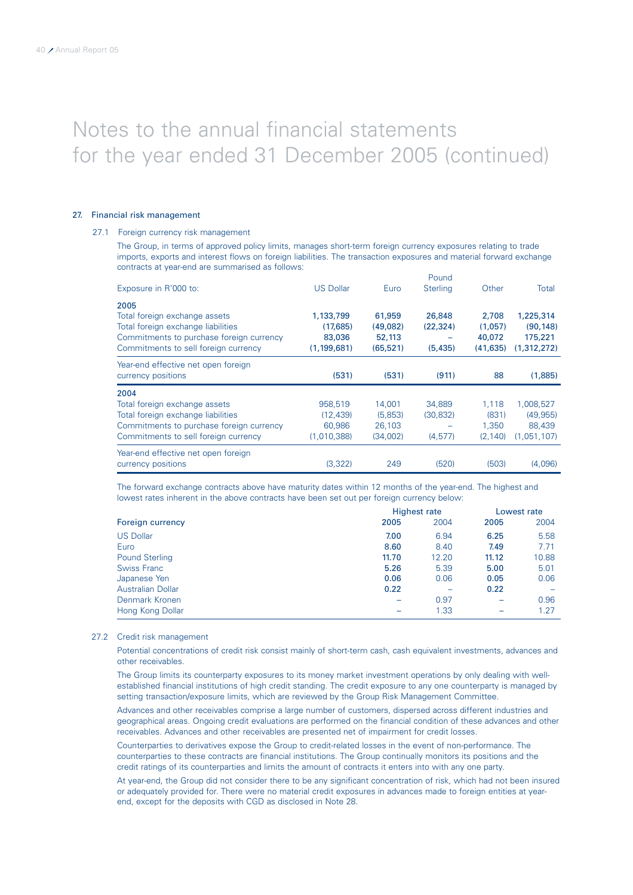### 27. Financial risk management

### 27.1 Foreign currency risk management

The Group, in terms of approved policy limits, manages short-term foreign currency exposures relating to trade imports, exports and interest flows on foreign liabilities. The transaction exposures and material forward exchange contracts at year-end are summarised as follows:

|                                          |                  |           | Pound           |           |             |
|------------------------------------------|------------------|-----------|-----------------|-----------|-------------|
| Exposure in R'000 to:                    | <b>US Dollar</b> | Euro      | <b>Sterling</b> | Other     | Total       |
| 2005                                     |                  |           |                 |           |             |
| Total foreign exchange assets            | 1,133,799        | 61,959    | 26,848          | 2.708     | 1,225,314   |
| Total foreign exchange liabilities       | (17,685)         | (49,082)  | (22, 324)       | (1,057)   | (90, 148)   |
| Commitments to purchase foreign currency | 83,036           | 52,113    |                 | 40,072    | 175,221     |
| Commitments to sell foreign currency     | (1, 199, 681)    | (65, 521) | (5, 435)        | (41, 635) | (1,312,272) |
| Year-end effective net open foreign      |                  |           |                 |           |             |
| currency positions                       | (531)            | (531)     | (911)           | 88        | (1,885)     |
| 2004                                     |                  |           |                 |           |             |
| Total foreign exchange assets            | 958,519          | 14,001    | 34,889          | 1,118     | 1,008,527   |
| Total foreign exchange liabilities       | (12, 439)        | (5,853)   | (30, 832)       | (831)     | (49, 955)   |
| Commitments to purchase foreign currency | 60.986           | 26.103    |                 | 1.350     | 88,439      |
| Commitments to sell foreign currency     | (1,010,388)      | (34,002)  | (4, 577)        | (2, 140)  | (1,051,107) |
| Year-end effective net open foreign      |                  |           |                 |           |             |
| currency positions                       | (3,322)          | 249       | (520)           | (503)     | (4,096)     |

The forward exchange contracts above have maturity dates within 12 months of the year-end. The highest and lowest rates inherent in the above contracts have been set out per foreign currency below:

|                          | <b>Highest rate</b> |       |       | Lowest rate |  |
|--------------------------|---------------------|-------|-------|-------------|--|
| Foreign currency         | 2005                | 2004  | 2005  | 2004        |  |
| <b>US Dollar</b>         | 7.00                | 6.94  | 6.25  | 5.58        |  |
| Euro                     | 8.60                | 8.40  | 7.49  | 7.71        |  |
| <b>Pound Sterling</b>    | 11.70               | 12.20 | 11.12 | 10.88       |  |
| <b>Swiss Franc</b>       | 5.26                | 5.39  | 5.00  | 5.01        |  |
| Japanese Yen             | 0.06                | 0.06  | 0.05  | 0.06        |  |
| <b>Australian Dollar</b> | 0.22                | -     | 0.22  |             |  |
| Denmark Kronen           |                     | 0.97  |       | 0.96        |  |
| Hong Kong Dollar         |                     | 1.33  |       | 1.27        |  |

#### 27.2 Credit risk management

Potential concentrations of credit risk consist mainly of short-term cash, cash equivalent investments, advances and other receivables.

The Group limits its counterparty exposures to its money market investment operations by only dealing with wellestablished financial institutions of high credit standing. The credit exposure to any one counterparty is managed by setting transaction/exposure limits, which are reviewed by the Group Risk Management Committee.

Advances and other receivables comprise a large number of customers, dispersed across different industries and geographical areas. Ongoing credit evaluations are performed on the financial condition of these advances and other receivables. Advances and other receivables are presented net of impairment for credit losses.

Counterparties to derivatives expose the Group to credit-related losses in the event of non-performance. The counterparties to these contracts are financial institutions. The Group continually monitors its positions and the credit ratings of its counterparties and limits the amount of contracts it enters into with any one party.

At year-end, the Group did not consider there to be any significant concentration of risk, which had not been insured or adequately provided for. There were no material credit exposures in advances made to foreign entities at yearend, except for the deposits with CGD as disclosed in Note 28.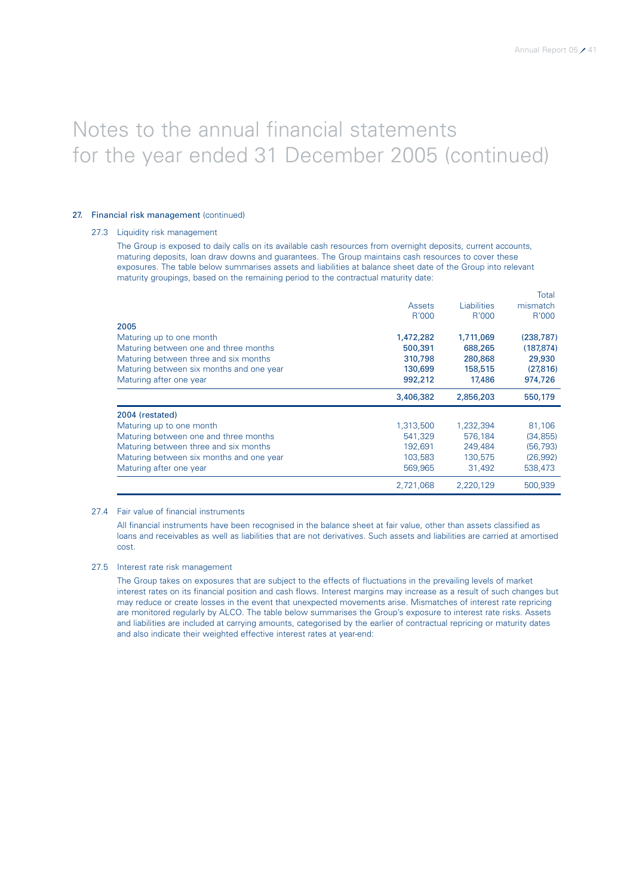### 27. Financial risk management (continued)

### 27.3 Liquidity risk management

The Group is exposed to daily calls on its available cash resources from overnight deposits, current accounts, maturing deposits, loan draw downs and guarantees. The Group maintains cash resources to cover these exposures. The table below summarises assets and liabilities at balance sheet date of the Group into relevant maturity groupings, based on the remaining period to the contractual maturity date:

|                                          |           |                    | Total      |
|------------------------------------------|-----------|--------------------|------------|
|                                          | Assets    | <b>Liabilities</b> | mismatch   |
|                                          | R'000     | R'000              | R'000      |
| 2005                                     |           |                    |            |
| Maturing up to one month                 | 1,472,282 | 1,711,069          | (238, 787) |
| Maturing between one and three months    | 500,391   | 688,265            | (187, 874) |
| Maturing between three and six months    | 310,798   | 280,868            | 29,930     |
| Maturing between six months and one year | 130,699   | 158,515            | (27, 816)  |
| Maturing after one year                  | 992,212   | 17,486             | 974,726    |
|                                          | 3,406,382 | 2,856,203          | 550,179    |
| 2004 (restated)                          |           |                    |            |
| Maturing up to one month                 | 1,313,500 | 1,232,394          | 81,106     |
| Maturing between one and three months    | 541,329   | 576,184            | (34, 855)  |
| Maturing between three and six months    | 192,691   | 249,484            | (56, 793)  |
| Maturing between six months and one year | 103,583   | 130,575            | (26,992)   |
| Maturing after one year                  | 569,965   | 31,492             | 538,473    |
|                                          | 2,721,068 | 2,220,129          | 500,939    |

### 27.4 Fair value of financial instruments

All financial instruments have been recognised in the balance sheet at fair value, other than assets classified as loans and receivables as well as liabilities that are not derivatives. Such assets and liabilities are carried at amortised cost.

### 27.5 Interest rate risk management

The Group takes on exposures that are subject to the effects of fluctuations in the prevailing levels of market interest rates on its financial position and cash flows. Interest margins may increase as a result of such changes but may reduce or create losses in the event that unexpected movements arise. Mismatches of interest rate repricing are monitored regularly by ALCO. The table below summarises the Group's exposure to interest rate risks. Assets and liabilities are included at carrying amounts, categorised by the earlier of contractual repricing or maturity dates and also indicate their weighted effective interest rates at year-end: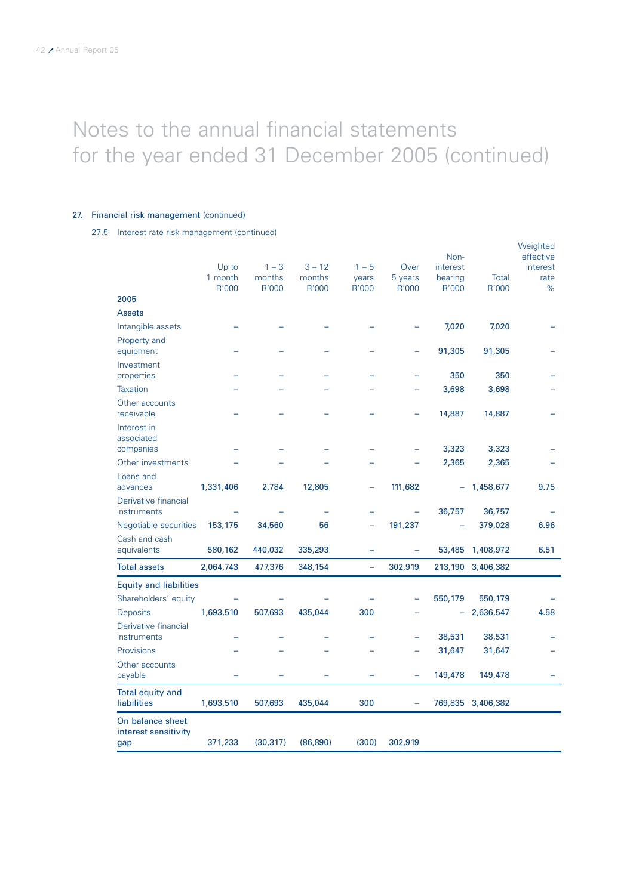### 27. Financial risk management (continued)

27.5 Interest rate risk management (continued)

|                                                 | Up to            | $1 - 3$         | $3 - 12$        | $1 - 5$           | Over             | Non-<br>interest |                   | Weighted<br>effective<br>interest |
|-------------------------------------------------|------------------|-----------------|-----------------|-------------------|------------------|------------------|-------------------|-----------------------------------|
|                                                 | 1 month<br>R'000 | months<br>R'000 | months<br>R'000 | years<br>R'000    | 5 years<br>R'000 | bearing<br>R'000 | Total<br>R'000    | rate<br>$\%$                      |
| 2005                                            |                  |                 |                 |                   |                  |                  |                   |                                   |
| <b>Assets</b>                                   |                  |                 |                 |                   |                  |                  |                   |                                   |
| Intangible assets                               |                  |                 |                 |                   |                  | 7,020            | 7,020             |                                   |
| Property and<br>equipment                       |                  |                 |                 |                   |                  | 91,305           | 91,305            |                                   |
| Investment<br>properties                        |                  |                 |                 |                   |                  | 350              | 350               |                                   |
| <b>Taxation</b>                                 |                  |                 |                 |                   |                  | 3,698            | 3,698             |                                   |
| Other accounts<br>receivable                    |                  |                 |                 |                   |                  | 14,887           | 14,887            |                                   |
| Interest in<br>associated                       |                  |                 |                 |                   |                  |                  |                   |                                   |
| companies                                       |                  |                 |                 |                   |                  | 3,323            | 3,323             |                                   |
| Other investments                               |                  |                 |                 |                   |                  | 2,365            | 2,365             |                                   |
| Loans and<br>advances                           | 1,331,406        | 2,784           | 12,805          | -                 | 111,682          | -                | 1,458,677         | 9.75                              |
| Derivative financial<br>instruments             |                  |                 |                 |                   |                  | 36,757           | 36,757            |                                   |
| Negotiable securities                           | 153,175          | 34,560          | 56              |                   | 191,237          |                  | 379,028           | 6.96                              |
| Cash and cash<br>equivalents                    | 580,162          | 440,032         | 335,293         |                   |                  | 53,485           | 1,408,972         | 6.51                              |
| <b>Total assets</b>                             | 2,064,743        | 477,376         | 348,154         | $\qquad \qquad -$ | 302,919          |                  | 213,190 3,406,382 |                                   |
| <b>Equity and liabilities</b>                   |                  |                 |                 |                   |                  |                  |                   |                                   |
| Shareholders' equity                            |                  |                 |                 |                   |                  | 550,179          | 550,179           |                                   |
| <b>Deposits</b>                                 | 1,693,510        | 507,693         | 435,044         | 300               |                  | ÷                | 2,636,547         | 4.58                              |
| Derivative financial<br>instruments             |                  |                 |                 |                   |                  | 38,531           | 38,531            |                                   |
| Provisions                                      |                  |                 |                 |                   |                  | 31,647           | 31,647            |                                   |
| Other accounts<br>payable                       |                  |                 |                 |                   |                  | 149,478          | 149,478           |                                   |
| <b>Total equity and</b><br>liabilities          | 1,693,510        | 507,693         | 435,044         | 300               | ÷                |                  | 769,835 3,406,382 |                                   |
| On balance sheet<br>interest sensitivity<br>gap | 371,233          | (30, 317)       | (86, 890)       | (300)             | 302,919          |                  |                   |                                   |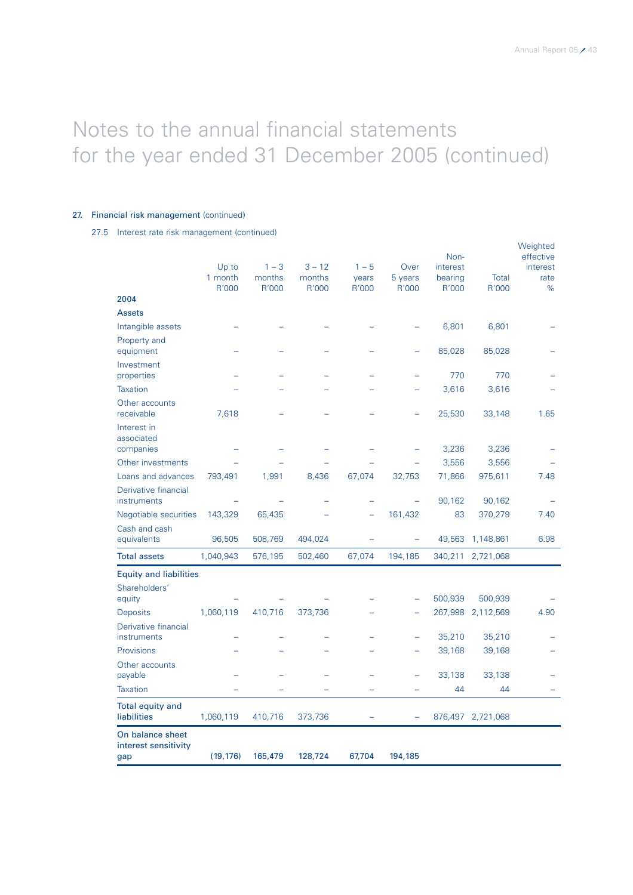### 27. Financial risk management (continued)

27.5 Interest rate risk management (continued)

|                                        |           |         |          |         |         | Non-     |           | Weighted<br>effective |
|----------------------------------------|-----------|---------|----------|---------|---------|----------|-----------|-----------------------|
|                                        | Up to     | $1 - 3$ | $3 - 12$ | $1 - 5$ | Over    | interest |           | interest              |
|                                        | 1 month   | months  | months   | years   | 5 years | bearing  | Total     | rate                  |
| 2004                                   | R'000     | R'000   | R'000    | R'000   | R'000   | R'000    | R'000     | %                     |
| <b>Assets</b>                          |           |         |          |         |         |          |           |                       |
| Intangible assets                      |           |         |          |         |         | 6,801    | 6,801     |                       |
| Property and                           |           |         |          |         |         |          |           |                       |
| equipment                              |           |         |          |         |         | 85,028   | 85,028    |                       |
| Investment                             |           |         |          |         |         |          |           |                       |
| properties                             |           |         |          |         |         | 770      | 770       |                       |
| <b>Taxation</b>                        |           |         |          |         |         | 3,616    | 3,616     |                       |
| Other accounts<br>receivable           | 7,618     |         |          |         |         | 25,530   | 33,148    | 1.65                  |
| Interest in                            |           |         |          |         |         |          |           |                       |
| associated<br>companies                |           |         |          |         |         | 3,236    | 3,236     |                       |
| Other investments                      |           |         |          |         |         | 3,556    | 3,556     |                       |
| Loans and advances                     | 793,491   | 1,991   | 8,436    | 67,074  | 32,753  | 71,866   | 975,611   | 7.48                  |
| Derivative financial                   |           |         |          |         |         |          |           |                       |
| instruments                            |           |         |          |         |         | 90,162   | 90,162    |                       |
| Negotiable securities                  | 143,329   | 65,435  |          |         | 161,432 | 83       | 370,279   | 7.40                  |
| Cash and cash                          |           |         |          |         |         |          |           |                       |
| equivalents                            | 96,505    | 508,769 | 494,024  |         |         | 49,563   | 1,148,861 | 6.98                  |
| <b>Total assets</b>                    | 1,040,943 | 576,195 | 502,460  | 67,074  | 194,185 | 340,211  | 2,721,068 |                       |
| <b>Equity and liabilities</b>          |           |         |          |         |         |          |           |                       |
| Shareholders'                          |           |         |          |         |         |          |           |                       |
| equity                                 |           |         |          |         |         | 500,939  | 500,939   |                       |
| <b>Deposits</b>                        | 1,060,119 | 410,716 | 373,736  |         |         | 267,998  | 2,112,569 | 4.90                  |
| Derivative financial<br>instruments    |           |         |          |         |         | 35,210   | 35,210    |                       |
| Provisions                             |           |         |          |         |         | 39,168   | 39,168    |                       |
| Other accounts                         |           |         |          |         |         |          |           |                       |
| payable                                |           |         |          |         |         | 33,138   | 33,138    |                       |
| <b>Taxation</b>                        |           |         |          |         |         | 44       | 44        |                       |
| <b>Total equity and</b><br>liabilities | 1,060,119 | 410,716 | 373,736  |         |         | 876,497  | 2,721,068 |                       |
| On balance sheet                       |           |         |          |         |         |          |           |                       |
| interest sensitivity<br>gap            | (19, 176) | 165,479 | 128,724  | 67,704  | 194,185 |          |           |                       |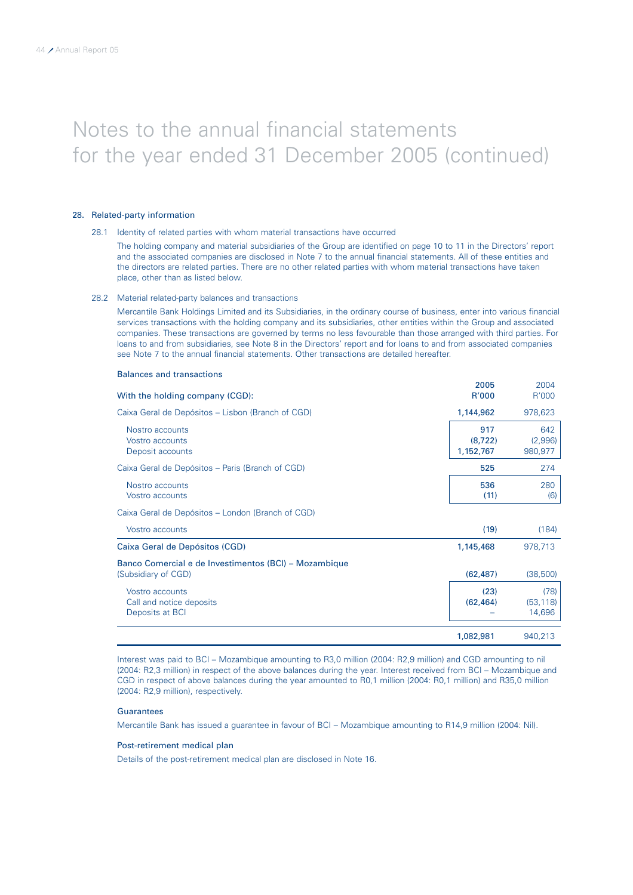### 28. Related-party information

### 28.1 Identity of related parties with whom material transactions have occurred

The holding company and material subsidiaries of the Group are identified on page 10 to 11 in the Directors' report and the associated companies are disclosed in Note 7 to the annual financial statements. All of these entities and the directors are related parties. There are no other related parties with whom material transactions have taken place, other than as listed below.

### 28.2 Material related-party balances and transactions

Balances and transactions

Mercantile Bank Holdings Limited and its Subsidiaries, in the ordinary course of business, enter into various financial services transactions with the holding company and its subsidiaries, other entities within the Group and associated companies. These transactions are governed by terms no less favourable than those arranged with third parties. For loans to and from subsidiaries, see Note 8 in the Directors' report and for loans to and from associated companies see Note 7 to the annual financial statements. Other transactions are detailed hereafter.

|                                                                              | 2005                         | 2004                        |
|------------------------------------------------------------------------------|------------------------------|-----------------------------|
| With the holding company (CGD):                                              | R'000                        | R'000                       |
| Caixa Geral de Depósitos - Lisbon (Branch of CGD)                            | 1,144,962                    | 978,623                     |
| Nostro accounts<br>Vostro accounts<br>Deposit accounts                       | 917<br>(8, 722)<br>1,152,767 | 642<br>(2,996)<br>980,977   |
| Caixa Geral de Depósitos - Paris (Branch of CGD)                             | 525                          | 274                         |
| Nostro accounts<br>Vostro accounts                                           | 536<br>(11)                  | 280<br>(6)                  |
| Caixa Geral de Depósitos - London (Branch of CGD)                            |                              |                             |
| Vostro accounts                                                              | (19)                         | (184)                       |
| Caixa Geral de Depósitos (CGD)                                               | 1,145,468                    | 978,713                     |
| Banco Comercial e de Investimentos (BCI) – Mozambique<br>(Subsidiary of CGD) | (62, 487)                    | (38, 500)                   |
| Vostro accounts<br>Call and notice deposits<br>Deposits at BCI               | (23)<br>(62, 464)            | (78)<br>(53, 118)<br>14,696 |
|                                                                              | 1,082,981                    | 940,213                     |

Interest was paid to BCI – Mozambique amounting to R3,0 million (2004: R2,9 million) and CGD amounting to nil (2004: R2,3 million) in respect of the above balances during the year. Interest received from BCI – Mozambique and CGD in respect of above balances during the year amounted to R0,1 million (2004: R0,1 million) and R35,0 million (2004: R2,9 million), respectively.

### **Guarantees**

Mercantile Bank has issued a guarantee in favour of BCI – Mozambique amounting to R14,9 million (2004: Nil).

### Post-retirement medical plan

Details of the post-retirement medical plan are disclosed in Note 16.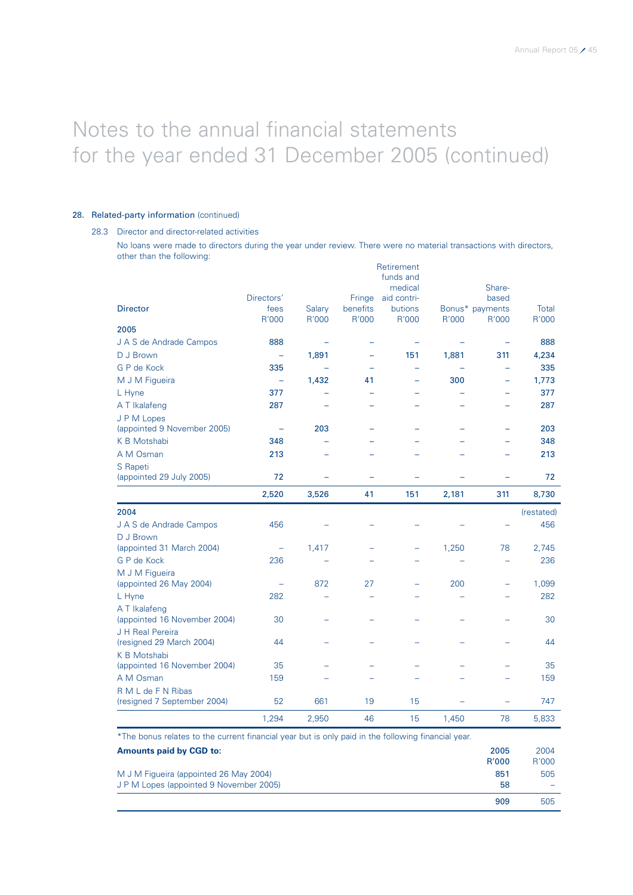### 28. Related-party information (continued)

### 28.3 Director and director-related activities

No loans were made to directors during the year under review. There were no material transactions with directors, other than the following: Retirement

|                                               | 1,294                    | 2,950                    | 46                       | 15                       | 1,450 | 78                       | 5,833             |
|-----------------------------------------------|--------------------------|--------------------------|--------------------------|--------------------------|-------|--------------------------|-------------------|
| (resigned 7 September 2004)                   | 52                       | 661                      | 19                       | 15                       |       |                          | 747               |
| R M L de F N Ribas                            |                          |                          |                          |                          |       |                          |                   |
| A M Osman                                     | 159                      |                          |                          |                          |       |                          | 159               |
| K B Motshabi<br>(appointed 16 November 2004)  | 35                       |                          |                          |                          |       |                          | 35                |
| J H Real Pereira<br>(resigned 29 March 2004)  | 44                       |                          |                          |                          |       |                          | 44                |
| A T Ikalafeng<br>(appointed 16 November 2004) | 30                       |                          |                          |                          |       |                          | 30                |
| L Hyne                                        | 282                      |                          |                          |                          |       |                          | 282               |
| M J M Figueira<br>(appointed 26 May 2004)     |                          | 872                      | 27                       |                          | 200   | ÷                        | 1,099             |
| G P de Kock                                   | 236                      |                          |                          |                          |       |                          | 236               |
| D J Brown<br>(appointed 31 March 2004)        | $\overline{\phantom{0}}$ | 1,417                    |                          |                          | 1,250 | 78                       | 2,745             |
| 2004<br>J A S de Andrade Campos               | 456                      |                          |                          |                          |       |                          | (restated)<br>456 |
|                                               | 2,520                    | 3,526                    | 41                       | 151                      | 2,181 | 311                      | 8,730             |
| S Rapeti<br>(appointed 29 July 2005)          | 72                       |                          |                          |                          |       |                          | 72                |
| A M Osman                                     | 213                      |                          |                          |                          |       |                          | 213               |
| K B Motshabi                                  | 348                      |                          |                          |                          |       |                          | 348               |
| J P M Lopes<br>(appointed 9 November 2005)    | $\equiv$                 | 203                      |                          |                          |       | $\overline{\phantom{0}}$ | 203               |
| A T Ikalafeng                                 | 287                      |                          |                          |                          |       |                          | 287               |
| L Hyne                                        | 377                      |                          |                          |                          |       |                          | 377               |
| M J M Figueira                                | $\equiv$                 | 1,432                    | 41                       |                          | 300   | $\overline{\phantom{0}}$ | 1,773             |
| G P de Kock                                   | 335                      | $\overline{\phantom{0}}$ |                          | $\overline{a}$           |       | $\overline{\phantom{0}}$ | 335               |
| D J Brown                                     | $\overline{\phantom{0}}$ | 1,891                    | $\overline{\phantom{0}}$ | 151                      | 1,881 | 311                      | 4,234             |
| J A S de Andrade Campos                       | 888                      | ۰                        | -                        | $\overline{\phantom{0}}$ |       |                          | 888               |
| 2005                                          | R'000                    | R'000                    | R'000                    | R'000                    | R'000 | R'000                    | R'000             |
| <b>Director</b>                               | Directors'<br>fees       | Salary                   | Fringe<br>benefits       | aid contri-<br>butions   |       | based<br>Bonus* payments | Total             |
|                                               |                          |                          |                          | funds and<br>medical     |       | Share-                   |                   |
|                                               |                          |                          |                          | Retirement               |       |                          |                   |

\*The bonus relates to the current financial year but is only paid in the following financial year.

| <b>Amounts paid by CGD to:</b>                                                    | 2005<br>R'000 | 2004<br>R'000 |
|-----------------------------------------------------------------------------------|---------------|---------------|
| M J M Figueira (appointed 26 May 2004)<br>J P M Lopes (appointed 9 November 2005) | 851<br>58     | 505<br>-      |
|                                                                                   | 909           | 505           |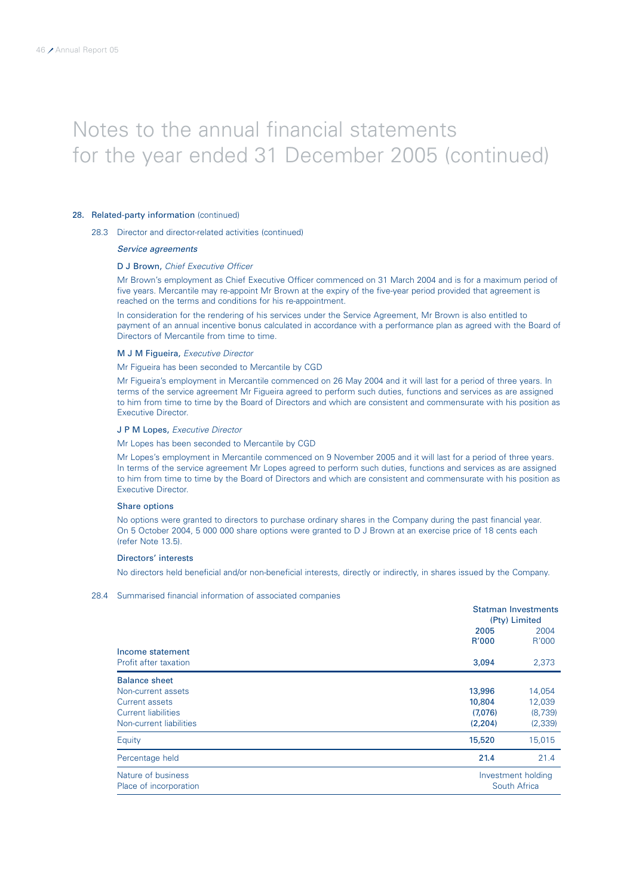### 28. Related-party information (continued)

28.3 Director and director-related activities (continued)

### Service agreements

### D J Brown, Chief Executive Officer

Mr Brown's employment as Chief Executive Officer commenced on 31 March 2004 and is for a maximum period of five years. Mercantile may re-appoint Mr Brown at the expiry of the five-year period provided that agreement is reached on the terms and conditions for his re-appointment.

In consideration for the rendering of his services under the Service Agreement, Mr Brown is also entitled to payment of an annual incentive bonus calculated in accordance with a performance plan as agreed with the Board of Directors of Mercantile from time to time.

### M J M Figueira, Executive Director

Mr Figueira has been seconded to Mercantile by CGD

Mr Figueira's employment in Mercantile commenced on 26 May 2004 and it will last for a period of three years. In terms of the service agreement Mr Figueira agreed to perform such duties, functions and services as are assigned to him from time to time by the Board of Directors and which are consistent and commensurate with his position as Executive Director.

#### J P M Lopes, Executive Director

#### Mr Lopes has been seconded to Mercantile by CGD

Mr Lopes's employment in Mercantile commenced on 9 November 2005 and it will last for a period of three years. In terms of the service agreement Mr Lopes agreed to perform such duties, functions and services as are assigned to him from time to time by the Board of Directors and which are consistent and commensurate with his position as Executive Director.

#### Share options

No options were granted to directors to purchase ordinary shares in the Company during the past financial year. On 5 October 2004, 5 000 000 share options were granted to D J Brown at an exercise price of 18 cents each (refer Note 13.5).

### Directors' interests

No directors held beneficial and/or non-beneficial interests, directly or indirectly, in shares issued by the Company.

28.4 Summarised financial information of associated companies

|                            | <b>Statman Investments</b> |                    |  |  |
|----------------------------|----------------------------|--------------------|--|--|
|                            |                            | (Pty) Limited      |  |  |
|                            | 2005                       | 2004               |  |  |
|                            | R'000                      | R'000              |  |  |
| Income statement           |                            |                    |  |  |
| Profit after taxation      | 3,094                      | 2,373              |  |  |
| <b>Balance sheet</b>       |                            |                    |  |  |
| Non-current assets         | 13,996                     | 14,054             |  |  |
| Current assets             | 10,804                     | 12,039             |  |  |
| <b>Current liabilities</b> | (7,076)                    | (8,739)            |  |  |
| Non-current liabilities    | (2,204)                    | (2, 339)           |  |  |
| Equity                     | 15,520                     | 15,015             |  |  |
| Percentage held            | 21.4                       | 21.4               |  |  |
| Nature of business         |                            | Investment holding |  |  |
| Place of incorporation     | South Africa               |                    |  |  |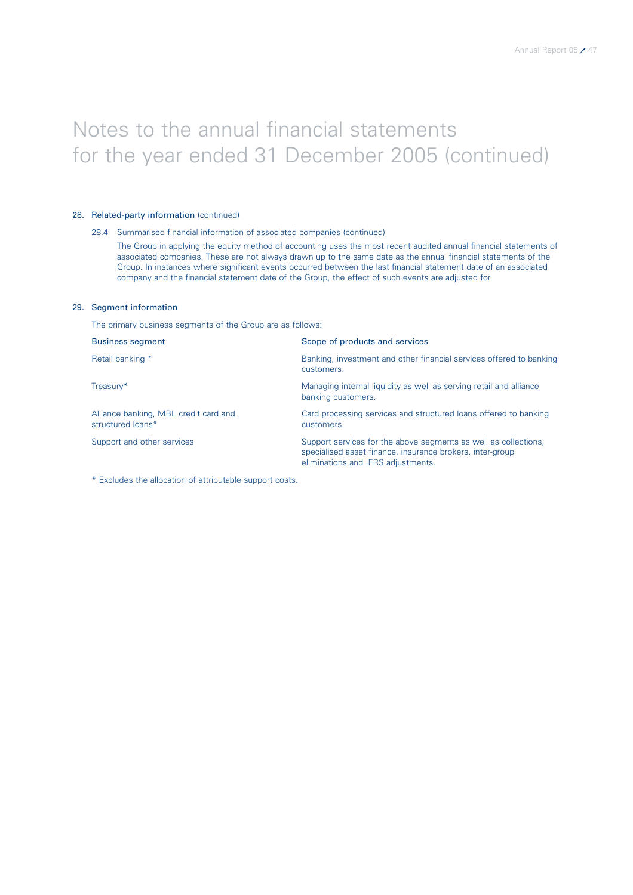### 28. Related-party information (continued)

### 28.4 Summarised financial information of associated companies (continued)

The Group in applying the equity method of accounting uses the most recent audited annual financial statements of associated companies. These are not always drawn up to the same date as the annual financial statements of the Group. In instances where significant events occurred between the last financial statement date of an associated company and the financial statement date of the Group, the effect of such events are adjusted for.

### 29. Segment information

The primary business segments of the Group are as follows:

| <b>Business segment</b>                                    | Scope of products and services                                                                                                                                     |
|------------------------------------------------------------|--------------------------------------------------------------------------------------------------------------------------------------------------------------------|
| Retail banking *                                           | Banking, investment and other financial services offered to banking<br>customers.                                                                                  |
| Treasury*                                                  | Managing internal liquidity as well as serving retail and alliance<br>banking customers.                                                                           |
| Alliance banking, MBL credit card and<br>structured loans* | Card processing services and structured loans offered to banking<br>customers.                                                                                     |
| Support and other services                                 | Support services for the above segments as well as collections,<br>specialised asset finance, insurance brokers, inter-group<br>eliminations and IFRS adjustments. |

\* Excludes the allocation of attributable support costs.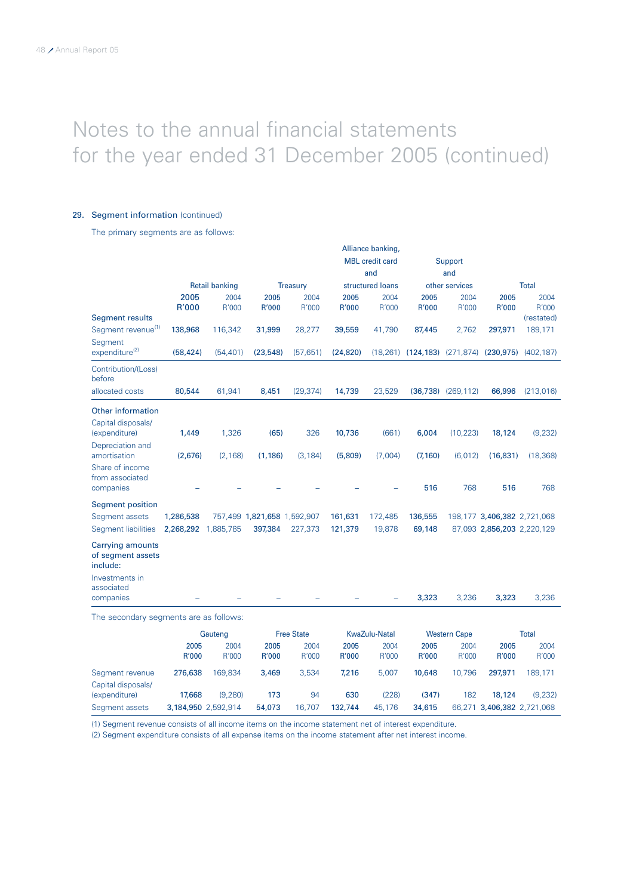### 29. Segment information (continued)

Capital disposals/<br>(expenditure)

The primary segments are as follows:

|                                                          |               |                          |                             |                   |                      | Alliance banking,              |                      |                                      |                             |                                                  |  |
|----------------------------------------------------------|---------------|--------------------------|-----------------------------|-------------------|----------------------|--------------------------------|----------------------|--------------------------------------|-----------------------------|--------------------------------------------------|--|
|                                                          |               |                          |                             |                   |                      | <b>MBL</b> credit card         |                      | Support                              |                             |                                                  |  |
|                                                          |               |                          |                             |                   |                      | and                            |                      | and                                  |                             |                                                  |  |
|                                                          |               | <b>Retail banking</b>    |                             | <b>Treasury</b>   |                      | structured loans               | other services       |                                      |                             | <b>Total</b>                                     |  |
|                                                          | 2005<br>R'000 | 2004<br>R'000            | 2005<br>R'000               | 2004<br>R'000     | 2005<br>R'000        | 2004<br>R'000                  | 2005<br>R'000        | 2004<br>R'000                        | 2005<br>R'000               | 2004<br>R'000                                    |  |
| Segment results                                          |               |                          |                             |                   |                      |                                |                      |                                      |                             | (restated)                                       |  |
| Segment revenue <sup>(1)</sup>                           | 138,968       | 116,342                  | 31,999                      | 28,277            | 39,559               | 41,790                         | 87,445               | 2,762                                | 297,971                     | 189,171                                          |  |
| Segment<br>expenditure <sup>(2)</sup>                    | (58, 424)     | (54, 401)                | (23, 548)                   | (57, 651)         | (24, 820)            |                                |                      |                                      |                             | (18,261) (124,183) (271,874) (230,975) (402,187) |  |
| Contribution/(Loss)<br>before                            |               |                          |                             |                   |                      |                                |                      |                                      |                             |                                                  |  |
| allocated costs                                          | 80,544        | 61,941                   | 8,451                       | (29, 374)         | 14,739               | 23,529                         |                      | $(36,738)$ $(269,112)$               | 66,996                      | (213,016)                                        |  |
| Other information                                        |               |                          |                             |                   |                      |                                |                      |                                      |                             |                                                  |  |
| Capital disposals/<br>(expenditure)                      | 1,449         | 1,326                    | (65)                        | 326               | 10,736               | (661)                          | 6,004                | (10, 223)                            | 18,124                      | (9, 232)                                         |  |
| Depreciation and<br>amortisation                         | (2,676)       | (2, 168)                 | (1, 186)                    | (3, 184)          | (5,809)              | (7,004)                        | (7, 160)             | (6,012)                              | (16, 831)                   | (18, 368)                                        |  |
| Share of income<br>from associated<br>companies          |               |                          |                             |                   |                      |                                | 516                  | 768                                  | 516                         | 768                                              |  |
| <b>Segment position</b>                                  |               |                          |                             |                   |                      |                                |                      |                                      |                             |                                                  |  |
| Segment assets                                           | 1,286,538     |                          | 757,499 1,821,658 1,592,907 |                   | 161,631              | 172,485                        | 136,555              |                                      | 198,177 3,406,382 2,721,068 |                                                  |  |
| Segment liabilities                                      | 2,268,292     | 1,885,785                | 397,384                     | 227,373           | 121,379              | 19,878                         | 69,148               |                                      | 87,093 2,856,203 2,220,129  |                                                  |  |
| <b>Carrying amounts</b><br>of segment assets<br>include: |               |                          |                             |                   |                      |                                |                      |                                      |                             |                                                  |  |
| Investments in<br>associated<br>companies                |               |                          |                             |                   |                      |                                | 3,323                | 3,236                                | 3,323                       | 3,236                                            |  |
| The secondary segments are as follows:                   |               |                          |                             |                   |                      |                                |                      |                                      |                             |                                                  |  |
|                                                          |               |                          |                             | <b>Free State</b> |                      |                                |                      |                                      |                             |                                                  |  |
|                                                          | 2005<br>R'000 | Gauteng<br>2004<br>R'000 | 2005<br>R'000               | 2004<br>R'000     | 2005<br><b>R'000</b> | KwaZulu-Natal<br>2004<br>R'000 | 2005<br><b>R'000</b> | <b>Western Cape</b><br>2004<br>R'000 | 2005<br>R'000               | <b>Total</b><br>2004<br>R'000                    |  |
| Segment revenue                                          | 276,638       | 169,834                  | 3.469                       | 3.534             | 7.216                | 5.007                          | 10,648               | 10,796                               | 297,971                     | 189,171                                          |  |

(expenditure) 17,668 (9,280) 173 94 630 (228) (347) 182 18,124 (9,232)

Segment assets 3,184,950 2,592,914 54,073 16,707 132,744 45,176 34,615 66,271 3,406,382 2,721,068

(1) Segment revenue consists of all income items on the income statement net of interest expenditure.

(2) Segment expenditure consists of all expense items on the income statement after net interest income.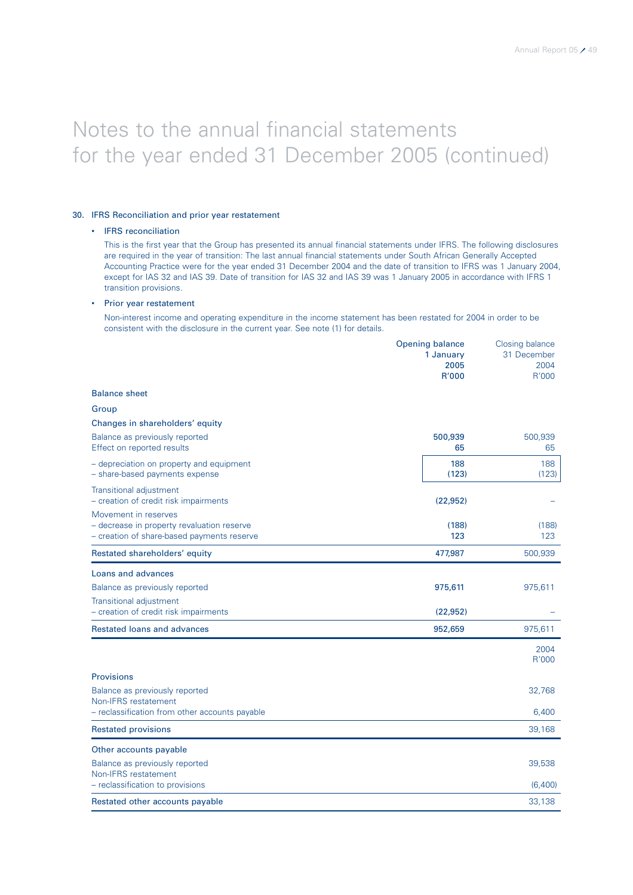### 30. IFRS Reconciliation and prior year restatement

### • IFRS reconciliation

This is the first year that the Group has presented its annual financial statements under IFRS. The following disclosures are required in the year of transition: The last annual financial statements under South African Generally Accepted Accounting Practice were for the year ended 31 December 2004 and the date of transition to IFRS was 1 January 2004, except for IAS 32 and IAS 39. Date of transition for IAS 32 and IAS 39 was 1 January 2005 in accordance with IFRS 1 transition provisions.

### • Prior year restatement

Non-interest income and operating expenditure in the income statement has been restated for 2004 in order to be consistent with the disclosure in the current year. See note (1) for details.

|                                                                                                                  | <b>Opening balance</b><br>1 January<br>2005<br>R'000 | <b>Closing balance</b><br>31 December<br>2004<br>R'000 |
|------------------------------------------------------------------------------------------------------------------|------------------------------------------------------|--------------------------------------------------------|
| <b>Balance sheet</b>                                                                                             |                                                      |                                                        |
| Group                                                                                                            |                                                      |                                                        |
| Changes in shareholders' equity                                                                                  |                                                      |                                                        |
| Balance as previously reported<br>Effect on reported results                                                     | 500,939<br>65                                        | 500,939<br>65                                          |
| - depreciation on property and equipment<br>- share-based payments expense                                       | 188<br>(123)                                         | 188<br>(123)                                           |
| Transitional adjustment<br>- creation of credit risk impairments                                                 | (22, 952)                                            |                                                        |
| Movement in reserves<br>- decrease in property revaluation reserve<br>- creation of share-based payments reserve | (188)<br>123                                         | (188)<br>123                                           |
| Restated shareholders' equity                                                                                    | 477,987                                              | 500,939                                                |
| Loans and advances                                                                                               |                                                      |                                                        |
| Balance as previously reported                                                                                   | 975,611                                              | 975,611                                                |
| <b>Transitional adjustment</b><br>- creation of credit risk impairments                                          | (22, 952)                                            |                                                        |
| Restated loans and advances                                                                                      | 952,659                                              | 975,611                                                |
|                                                                                                                  |                                                      | 2004<br>R'000                                          |
| <b>Provisions</b>                                                                                                |                                                      |                                                        |
| Balance as previously reported<br>Non-IFRS restatement                                                           |                                                      | 32,768                                                 |
| - reclassification from other accounts payable                                                                   |                                                      | 6,400                                                  |
| <b>Restated provisions</b>                                                                                       |                                                      | 39,168                                                 |
| Other accounts payable                                                                                           |                                                      |                                                        |
| Balance as previously reported<br>Non-IFRS restatement                                                           |                                                      | 39,538                                                 |
| - reclassification to provisions                                                                                 |                                                      | (6,400)                                                |
| Restated other accounts payable                                                                                  |                                                      | 33,138                                                 |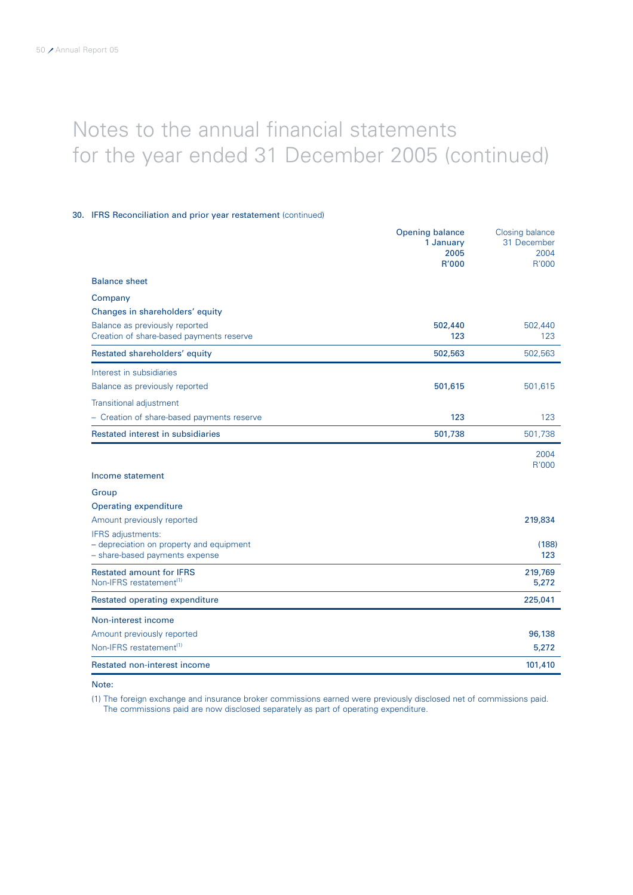### 30. IFRS Reconciliation and prior year restatement (continued)

|                                                                                                 | <b>Opening balance</b><br>1 January<br>2005 | Closing balance<br>31 December<br>2004 |
|-------------------------------------------------------------------------------------------------|---------------------------------------------|----------------------------------------|
|                                                                                                 | R'000                                       | R'000                                  |
| <b>Balance sheet</b>                                                                            |                                             |                                        |
| Company                                                                                         |                                             |                                        |
| Changes in shareholders' equity                                                                 |                                             |                                        |
| Balance as previously reported<br>Creation of share-based payments reserve                      | 502,440<br>123                              | 502,440<br>123                         |
| Restated shareholders' equity                                                                   | 502,563                                     | 502,563                                |
| Interest in subsidiaries                                                                        |                                             |                                        |
| Balance as previously reported                                                                  | 501,615                                     | 501,615                                |
| <b>Transitional adjustment</b>                                                                  |                                             |                                        |
| - Creation of share-based payments reserve                                                      | 123                                         | 123                                    |
| Restated interest in subsidiaries                                                               | 501,738                                     | 501,738                                |
|                                                                                                 |                                             | 2004                                   |
| Income statement                                                                                |                                             | R'000                                  |
| Group                                                                                           |                                             |                                        |
| Operating expenditure                                                                           |                                             |                                        |
| Amount previously reported                                                                      |                                             | 219,834                                |
| IFRS adjustments:<br>- depreciation on property and equipment<br>- share-based payments expense |                                             | (188)<br>123                           |
| <b>Restated amount for IFRS</b><br>Non-IFRS restatement <sup>(1)</sup>                          |                                             | 219,769<br>5,272                       |
| Restated operating expenditure                                                                  |                                             | 225,041                                |
| Non-interest income                                                                             |                                             |                                        |
| Amount previously reported                                                                      |                                             | 96,138                                 |
| Non-IFRS restatement <sup>(1)</sup>                                                             |                                             | 5,272                                  |
| Restated non-interest income                                                                    |                                             | 101,410                                |

Note:

(1) The foreign exchange and insurance broker commissions earned were previously disclosed net of commissions paid. The commissions paid are now disclosed separately as part of operating expenditure.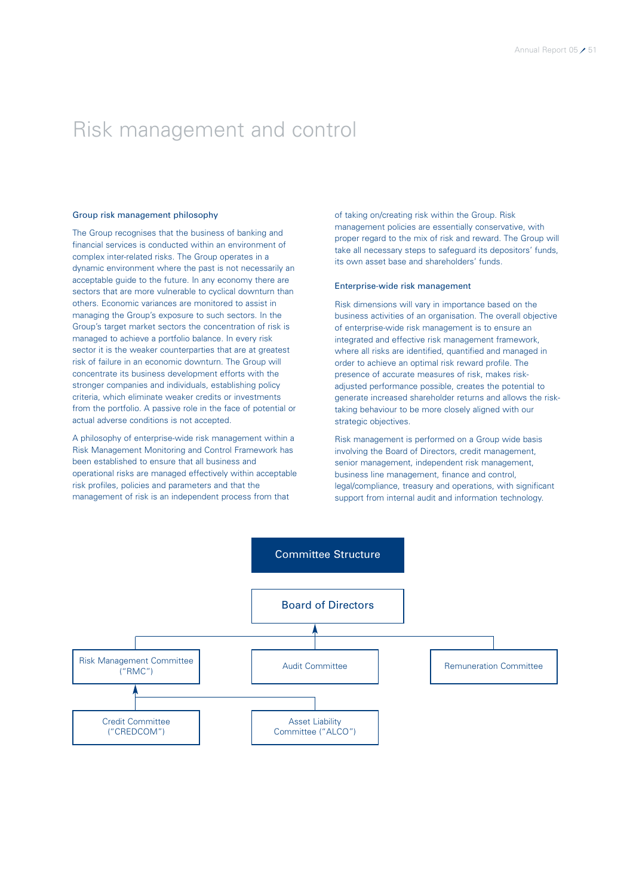### Risk management and control

### Group risk management philosophy

The Group recognises that the business of banking and financial services is conducted within an environment of complex inter-related risks. The Group operates in a dynamic environment where the past is not necessarily an acceptable guide to the future. In any economy there are sectors that are more vulnerable to cyclical downturn than others. Economic variances are monitored to assist in managing the Group's exposure to such sectors. In the Group's target market sectors the concentration of risk is managed to achieve a portfolio balance. In every risk sector it is the weaker counterparties that are at greatest risk of failure in an economic downturn. The Group will concentrate its business development efforts with the stronger companies and individuals, establishing policy criteria, which eliminate weaker credits or investments from the portfolio. A passive role in the face of potential or actual adverse conditions is not accepted.

A philosophy of enterprise-wide risk management within a Risk Management Monitoring and Control Framework has been established to ensure that all business and operational risks are managed effectively within acceptable risk profiles, policies and parameters and that the management of risk is an independent process from that

of taking on/creating risk within the Group. Risk management policies are essentially conservative, with proper regard to the mix of risk and reward. The Group will take all necessary steps to safeguard its depositors' funds, its own asset base and shareholders' funds.

### Enterprise-wide risk management

Risk dimensions will vary in importance based on the business activities of an organisation. The overall objective of enterprise-wide risk management is to ensure an integrated and effective risk management framework, where all risks are identified, quantified and managed in order to achieve an optimal risk reward profile. The presence of accurate measures of risk, makes riskadjusted performance possible, creates the potential to generate increased shareholder returns and allows the risktaking behaviour to be more closely aligned with our strategic objectives.

Risk management is performed on a Group wide basis involving the Board of Directors, credit management, senior management, independent risk management, business line management, finance and control, legal/compliance, treasury and operations, with significant support from internal audit and information technology.

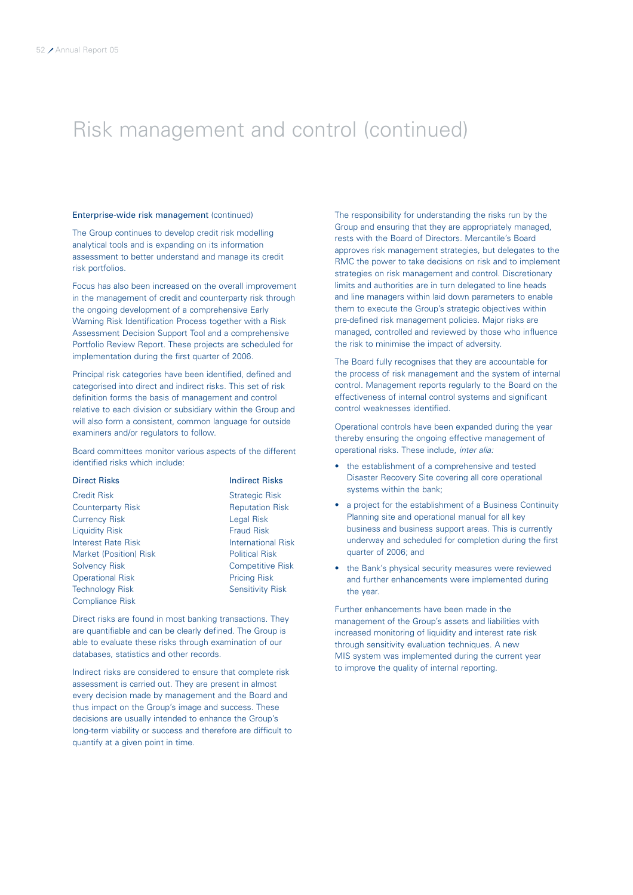# Risk management and control (continued)

### Enterprise-wide risk management (continued)

The Group continues to develop credit risk modelling analytical tools and is expanding on its information assessment to better understand and manage its credit risk portfolios.

Focus has also been increased on the overall improvement in the management of credit and counterparty risk through the ongoing development of a comprehensive Early Warning Risk Identification Process together with a Risk Assessment Decision Support Tool and a comprehensive Portfolio Review Report. These projects are scheduled for implementation during the first quarter of 2006.

Principal risk categories have been identified, defined and categorised into direct and indirect risks. This set of risk definition forms the basis of management and control relative to each division or subsidiary within the Group and will also form a consistent, common language for outside examiners and/or regulators to follow.

Board committees monitor various aspects of the different identified risks which include:

### **Direct Risks Indirect Risks**

Credit Risk Strategic Risk **Counterparty Risk Counterparty Risk Reputation Risk** Currency Risk Legal Risk Liquidity Risk Fraud Risk Fraud Risk Fraud Risk International Risk Fraud Risk Fraud Risk Fraud Risk Fraud Risk Interest Rate Risk Market (Position) Risk Political Risk Solvency Risk Competitive Risk **Operational Risk Pricing Risk** Pricing Risk Technology Risk Sensitivity Risk Compliance Risk

Direct risks are found in most banking transactions. They are quantifiable and can be clearly defined. The Group is able to evaluate these risks through examination of our databases, statistics and other records.

Indirect risks are considered to ensure that complete risk assessment is carried out. They are present in almost every decision made by management and the Board and thus impact on the Group's image and success. These decisions are usually intended to enhance the Group's long-term viability or success and therefore are difficult to quantify at a given point in time.

The responsibility for understanding the risks run by the Group and ensuring that they are appropriately managed, rests with the Board of Directors. Mercantile's Board approves risk management strategies, but delegates to the RMC the power to take decisions on risk and to implement strategies on risk management and control. Discretionary limits and authorities are in turn delegated to line heads and line managers within laid down parameters to enable them to execute the Group's strategic objectives within pre-defined risk management policies. Major risks are managed, controlled and reviewed by those who influence the risk to minimise the impact of adversity.

The Board fully recognises that they are accountable for the process of risk management and the system of internal control. Management reports regularly to the Board on the effectiveness of internal control systems and significant control weaknesses identified.

Operational controls have been expanded during the year thereby ensuring the ongoing effective management of operational risks. These include, inter alia:

- the establishment of a comprehensive and tested Disaster Recovery Site covering all core operational systems within the bank;
- a project for the establishment of a Business Continuity Planning site and operational manual for all key business and business support areas. This is currently underway and scheduled for completion during the first quarter of 2006; and
- the Bank's physical security measures were reviewed and further enhancements were implemented during the year.

Further enhancements have been made in the management of the Group's assets and liabilities with increased monitoring of liquidity and interest rate risk through sensitivity evaluation techniques. A new MIS system was implemented during the current year to improve the quality of internal reporting.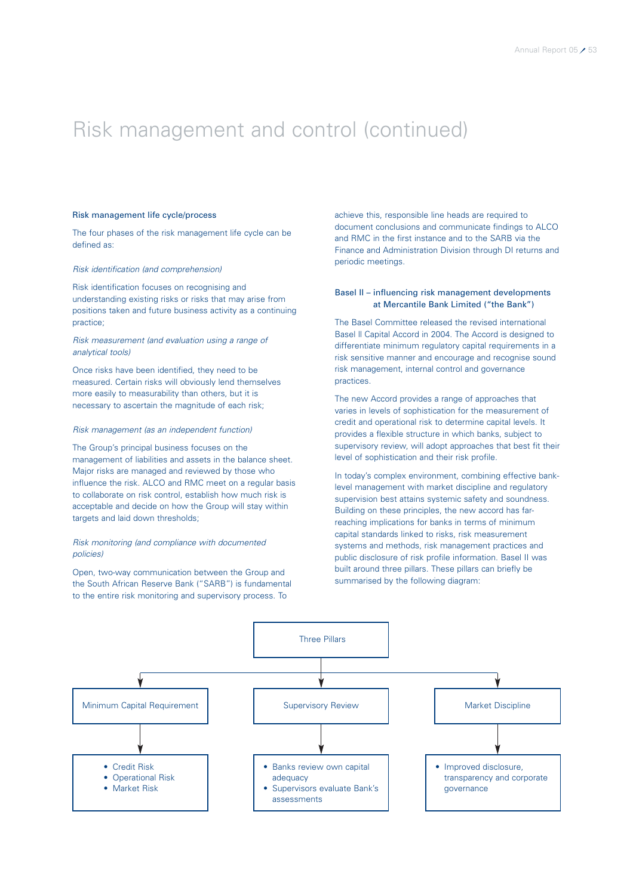### Risk management and control (continued)

### Risk management life cycle/process

The four phases of the risk management life cycle can be defined as:

### Risk identification (and comprehension)

Risk identification focuses on recognising and understanding existing risks or risks that may arise from positions taken and future business activity as a continuing practice;

### Risk measurement (and evaluation using a range of analytical tools)

Once risks have been identified, they need to be measured. Certain risks will obviously lend themselves more easily to measurability than others, but it is necessary to ascertain the magnitude of each risk;

#### Risk management (as an independent function)

The Group's principal business focuses on the management of liabilities and assets in the balance sheet. Major risks are managed and reviewed by those who influence the risk. ALCO and RMC meet on a regular basis to collaborate on risk control, establish how much risk is acceptable and decide on how the Group will stay within targets and laid down thresholds;

### Risk monitoring (and compliance with documented policies)

Open, two-way communication between the Group and the South African Reserve Bank ("SARB") is fundamental to the entire risk monitoring and supervisory process. To

achieve this, responsible line heads are required to document conclusions and communicate findings to ALCO and RMC in the first instance and to the SARB via the Finance and Administration Division through DI returns and periodic meetings.

### Basel II – influencing risk management developments at Mercantile Bank Limited ("the Bank")

The Basel Committee released the revised international Basel ll Capital Accord in 2004. The Accord is designed to differentiate minimum regulatory capital requirements in a risk sensitive manner and encourage and recognise sound risk management, internal control and governance practices.

The new Accord provides a range of approaches that varies in levels of sophistication for the measurement of credit and operational risk to determine capital levels. It provides a flexible structure in which banks, subject to supervisory review, will adopt approaches that best fit their level of sophistication and their risk profile.

In today's complex environment, combining effective banklevel management with market discipline and regulatory supervision best attains systemic safety and soundness. Building on these principles, the new accord has farreaching implications for banks in terms of minimum capital standards linked to risks, risk measurement systems and methods, risk management practices and public disclosure of risk profile information. Basel II was built around three pillars. These pillars can briefly be summarised by the following diagram:

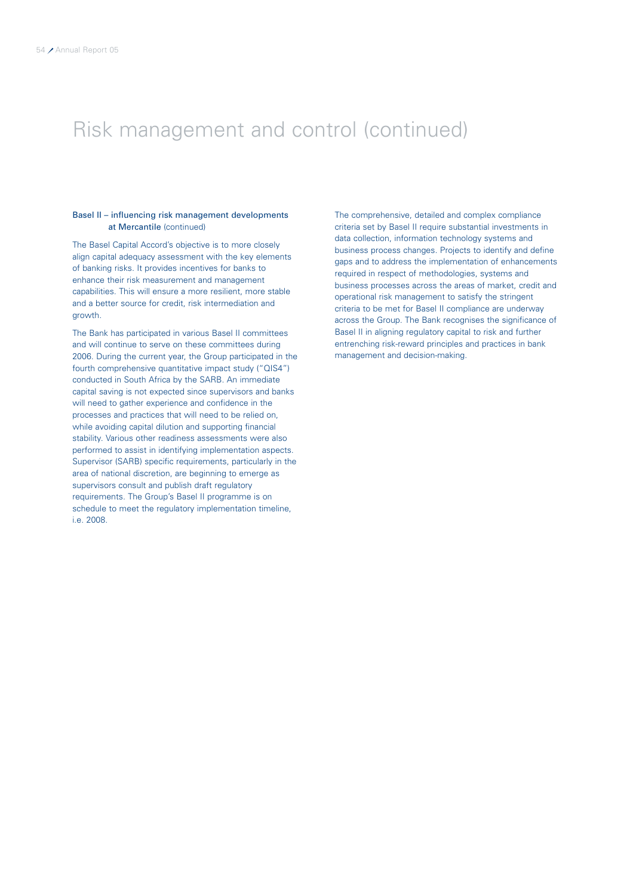# Risk management and control (continued)

### Basel II – influencing risk management developments at Mercantile (continued)

The Basel Capital Accord's objective is to more closely align capital adequacy assessment with the key elements of banking risks. It provides incentives for banks to enhance their risk measurement and management capabilities. This will ensure a more resilient, more stable and a better source for credit, risk intermediation and growth.

The Bank has participated in various Basel II committees and will continue to serve on these committees during 2006. During the current year, the Group participated in the fourth comprehensive quantitative impact study ("QIS4") conducted in South Africa by the SARB. An immediate capital saving is not expected since supervisors and banks will need to gather experience and confidence in the processes and practices that will need to be relied on, while avoiding capital dilution and supporting financial stability. Various other readiness assessments were also performed to assist in identifying implementation aspects. Supervisor (SARB) specific requirements, particularly in the area of national discretion, are beginning to emerge as supervisors consult and publish draft regulatory requirements. The Group's Basel II programme is on schedule to meet the regulatory implementation timeline, i.e. 2008.

The comprehensive, detailed and complex compliance criteria set by Basel II require substantial investments in data collection, information technology systems and business process changes. Projects to identify and define gaps and to address the implementation of enhancements required in respect of methodologies, systems and business processes across the areas of market, credit and operational risk management to satisfy the stringent criteria to be met for Basel II compliance are underway across the Group. The Bank recognises the significance of Basel II in aligning regulatory capital to risk and further entrenching risk-reward principles and practices in bank management and decision-making.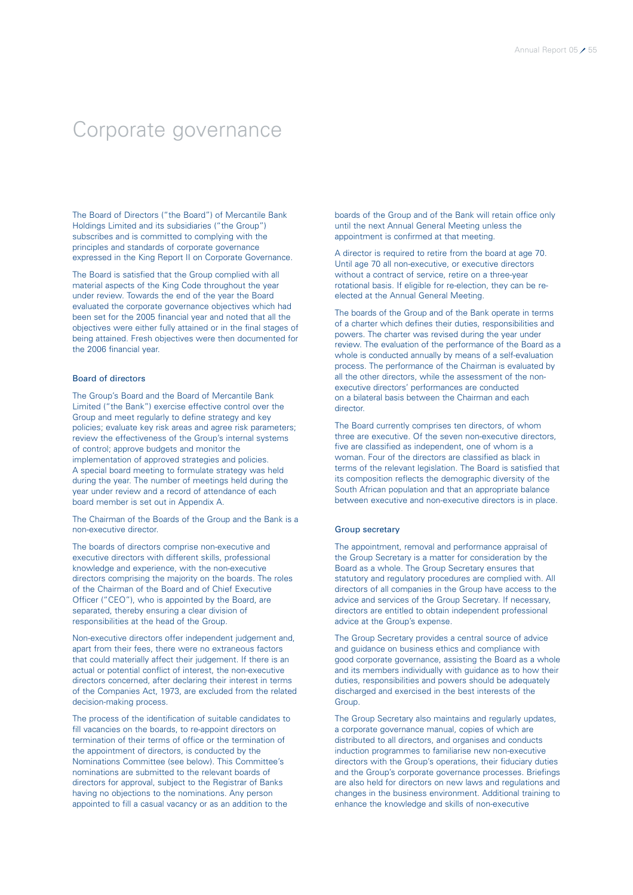### Corporate governance

The Board of Directors ("the Board") of Mercantile Bank Holdings Limited and its subsidiaries ("the Group") subscribes and is committed to complying with the principles and standards of corporate governance expressed in the King Report II on Corporate Governance.

The Board is satisfied that the Group complied with all material aspects of the King Code throughout the year under review. Towards the end of the year the Board evaluated the corporate governance objectives which had been set for the 2005 financial year and noted that all the objectives were either fully attained or in the final stages of being attained. Fresh objectives were then documented for the 2006 financial year.

### Board of directors

The Group's Board and the Board of Mercantile Bank Limited ("the Bank") exercise effective control over the Group and meet regularly to define strategy and key policies; evaluate key risk areas and agree risk parameters; review the effectiveness of the Group's internal systems of control; approve budgets and monitor the implementation of approved strategies and policies. A special board meeting to formulate strategy was held during the year. The number of meetings held during the year under review and a record of attendance of each board member is set out in Appendix A.

The Chairman of the Boards of the Group and the Bank is a non-executive director.

The boards of directors comprise non-executive and executive directors with different skills, professional knowledge and experience, with the non-executive directors comprising the majority on the boards. The roles of the Chairman of the Board and of Chief Executive Officer ("CEO"), who is appointed by the Board, are separated, thereby ensuring a clear division of responsibilities at the head of the Group.

Non-executive directors offer independent judgement and, apart from their fees, there were no extraneous factors that could materially affect their judgement. If there is an actual or potential conflict of interest, the non-executive directors concerned, after declaring their interest in terms of the Companies Act, 1973, are excluded from the related decision-making process.

The process of the identification of suitable candidates to fill vacancies on the boards, to re-appoint directors on termination of their terms of office or the termination of the appointment of directors, is conducted by the Nominations Committee (see below). This Committee's nominations are submitted to the relevant boards of directors for approval, subject to the Registrar of Banks having no objections to the nominations. Any person appointed to fill a casual vacancy or as an addition to the

boards of the Group and of the Bank will retain office only until the next Annual General Meeting unless the appointment is confirmed at that meeting.

A director is required to retire from the board at age 70. Until age 70 all non-executive, or executive directors without a contract of service, retire on a three-year rotational basis. If eligible for re-election, they can be reelected at the Annual General Meeting.

The boards of the Group and of the Bank operate in terms of a charter which defines their duties, responsibilities and powers. The charter was revised during the year under review. The evaluation of the performance of the Board as a whole is conducted annually by means of a self-evaluation process. The performance of the Chairman is evaluated by all the other directors, while the assessment of the nonexecutive directors' performances are conducted on a bilateral basis between the Chairman and each director.

The Board currently comprises ten directors, of whom three are executive. Of the seven non-executive directors, five are classified as independent, one of whom is a woman. Four of the directors are classified as black in terms of the relevant legislation. The Board is satisfied that its composition reflects the demographic diversity of the South African population and that an appropriate balance between executive and non-executive directors is in place.

### Group secretary

The appointment, removal and performance appraisal of the Group Secretary is a matter for consideration by the Board as a whole. The Group Secretary ensures that statutory and regulatory procedures are complied with. All directors of all companies in the Group have access to the advice and services of the Group Secretary. If necessary, directors are entitled to obtain independent professional advice at the Group's expense.

The Group Secretary provides a central source of advice and guidance on business ethics and compliance with good corporate governance, assisting the Board as a whole and its members individually with guidance as to how their duties, responsibilities and powers should be adequately discharged and exercised in the best interests of the Group.

The Group Secretary also maintains and regularly updates, a corporate governance manual, copies of which are distributed to all directors, and organises and conducts induction programmes to familiarise new non-executive directors with the Group's operations, their fiduciary duties and the Group's corporate governance processes. Briefings are also held for directors on new laws and regulations and changes in the business environment. Additional training to enhance the knowledge and skills of non-executive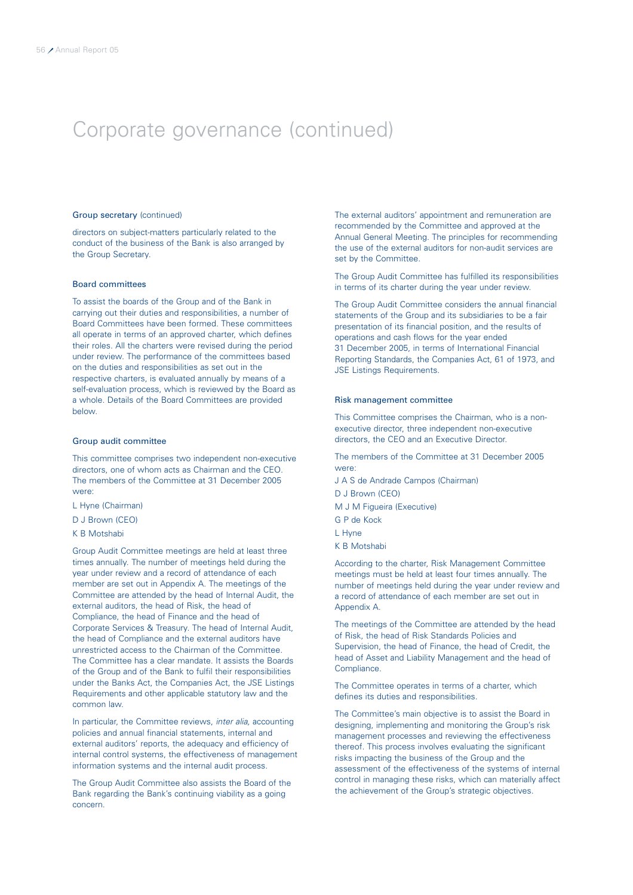### Group secretary (continued)

directors on subject-matters particularly related to the conduct of the business of the Bank is also arranged by the Group Secretary.

### Board committees

To assist the boards of the Group and of the Bank in carrying out their duties and responsibilities, a number of Board Committees have been formed. These committees all operate in terms of an approved charter, which defines their roles. All the charters were revised during the period under review. The performance of the committees based on the duties and responsibilities as set out in the respective charters, is evaluated annually by means of a self-evaluation process, which is reviewed by the Board as a whole. Details of the Board Committees are provided below.

#### Group audit committee

This committee comprises two independent non-executive directors, one of whom acts as Chairman and the CEO. The members of the Committee at 31 December 2005 were:

L Hyne (Chairman)

D J Brown (CEO)

K B Motshabi

Group Audit Committee meetings are held at least three times annually. The number of meetings held during the year under review and a record of attendance of each member are set out in Appendix A. The meetings of the Committee are attended by the head of Internal Audit, the external auditors, the head of Risk, the head of Compliance, the head of Finance and the head of Corporate Services & Treasury. The head of Internal Audit, the head of Compliance and the external auditors have unrestricted access to the Chairman of the Committee. The Committee has a clear mandate. It assists the Boards of the Group and of the Bank to fulfil their responsibilities under the Banks Act, the Companies Act, the JSE Listings Requirements and other applicable statutory law and the common law.

In particular, the Committee reviews, inter alia, accounting policies and annual financial statements, internal and external auditors' reports, the adequacy and efficiency of internal control systems, the effectiveness of management information systems and the internal audit process.

The Group Audit Committee also assists the Board of the Bank regarding the Bank's continuing viability as a going concern.

The external auditors' appointment and remuneration are recommended by the Committee and approved at the Annual General Meeting. The principles for recommending the use of the external auditors for non-audit services are set by the Committee.

The Group Audit Committee has fulfilled its responsibilities in terms of its charter during the year under review.

The Group Audit Committee considers the annual financial statements of the Group and its subsidiaries to be a fair presentation of its financial position, and the results of operations and cash flows for the year ended 31 December 2005, in terms of International Financial Reporting Standards, the Companies Act, 61 of 1973, and JSE Listings Requirements.

### Risk management committee

This Committee comprises the Chairman, who is a nonexecutive director, three independent non-executive directors, the CEO and an Executive Director.

The members of the Committee at 31 December 2005 were:

- J A S de Andrade Campos (Chairman)
- D J Brown (CEO)
- M J M Figueira (Executive)
- G P de Kock
- L Hyne
- K B Motshabi

According to the charter, Risk Management Committee meetings must be held at least four times annually. The number of meetings held during the year under review and a record of attendance of each member are set out in Appendix A.

The meetings of the Committee are attended by the head of Risk, the head of Risk Standards Policies and Supervision, the head of Finance, the head of Credit, the head of Asset and Liability Management and the head of Compliance.

The Committee operates in terms of a charter, which defines its duties and responsibilities.

The Committee's main objective is to assist the Board in designing, implementing and monitoring the Group's risk management processes and reviewing the effectiveness thereof. This process involves evaluating the significant risks impacting the business of the Group and the assessment of the effectiveness of the systems of internal control in managing these risks, which can materially affect the achievement of the Group's strategic objectives.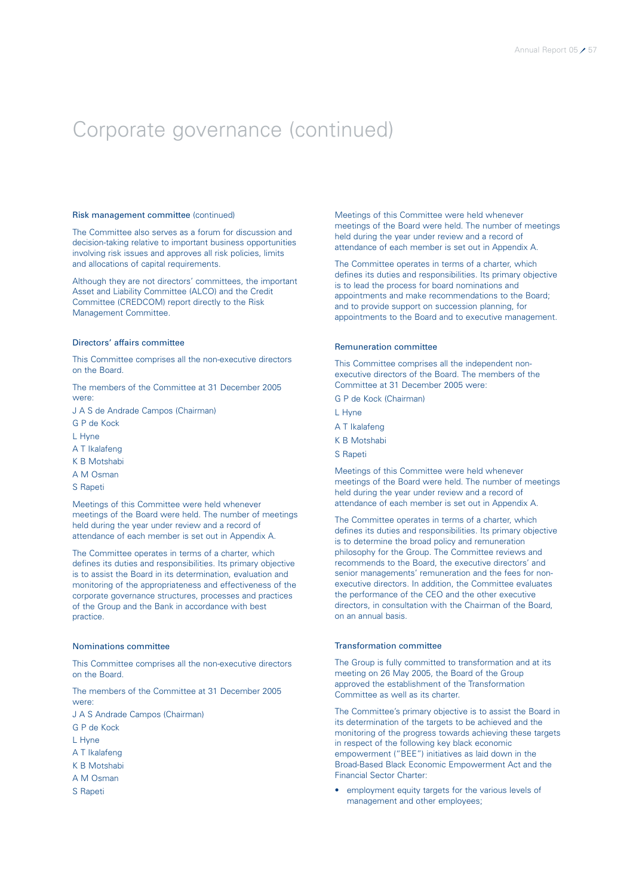### Risk management committee (continued)

The Committee also serves as a forum for discussion and decision-taking relative to important business opportunities involving risk issues and approves all risk policies, limits and allocations of capital requirements.

Although they are not directors' committees, the important Asset and Liability Committee (ALCO) and the Credit Committee (CREDCOM) report directly to the Risk Management Committee.

### Directors' affairs committee

This Committee comprises all the non-executive directors on the Board.

The members of the Committee at 31 December 2005 were:

- J A S de Andrade Campos (Chairman)
- G P de Kock
- L Hyne
- A T Ikalafeng
- K B Motshabi
- A M Osman
- S Rapeti

Meetings of this Committee were held whenever meetings of the Board were held. The number of meetings held during the year under review and a record of attendance of each member is set out in Appendix A.

The Committee operates in terms of a charter, which defines its duties and responsibilities. Its primary objective is to assist the Board in its determination, evaluation and monitoring of the appropriateness and effectiveness of the corporate governance structures, processes and practices of the Group and the Bank in accordance with best practice.

### Nominations committee

This Committee comprises all the non-executive directors on the Board.

The members of the Committee at 31 December 2005 were:

J A S Andrade Campos (Chairman)

- G P de Kock
- L Hyne
- A T Ikalafeng
- K B Motshabi
- A M Osman
- S Rapeti

Meetings of this Committee were held whenever meetings of the Board were held. The number of meetings held during the year under review and a record of attendance of each member is set out in Appendix A.

The Committee operates in terms of a charter, which defines its duties and responsibilities. Its primary objective is to lead the process for board nominations and appointments and make recommendations to the Board; and to provide support on succession planning, for appointments to the Board and to executive management.

### Remuneration committee

This Committee comprises all the independent nonexecutive directors of the Board. The members of the Committee at 31 December 2005 were:

- G P de Kock (Chairman)
- L Hyne
- A T Ikalafeng
- K B Motshabi
- S Rapeti

Meetings of this Committee were held whenever meetings of the Board were held. The number of meetings held during the year under review and a record of attendance of each member is set out in Appendix A.

The Committee operates in terms of a charter, which defines its duties and responsibilities. Its primary objective is to determine the broad policy and remuneration philosophy for the Group. The Committee reviews and recommends to the Board, the executive directors' and senior managements' remuneration and the fees for nonexecutive directors. In addition, the Committee evaluates the performance of the CEO and the other executive directors, in consultation with the Chairman of the Board, on an annual basis.

### Transformation committee

The Group is fully committed to transformation and at its meeting on 26 May 2005, the Board of the Group approved the establishment of the Transformation Committee as well as its charter.

The Committee's primary objective is to assist the Board in its determination of the targets to be achieved and the monitoring of the progress towards achieving these targets in respect of the following key black economic empowerment ("BEE") initiatives as laid down in the Broad-Based Black Economic Empowerment Act and the Financial Sector Charter:

• employment equity targets for the various levels of management and other employees;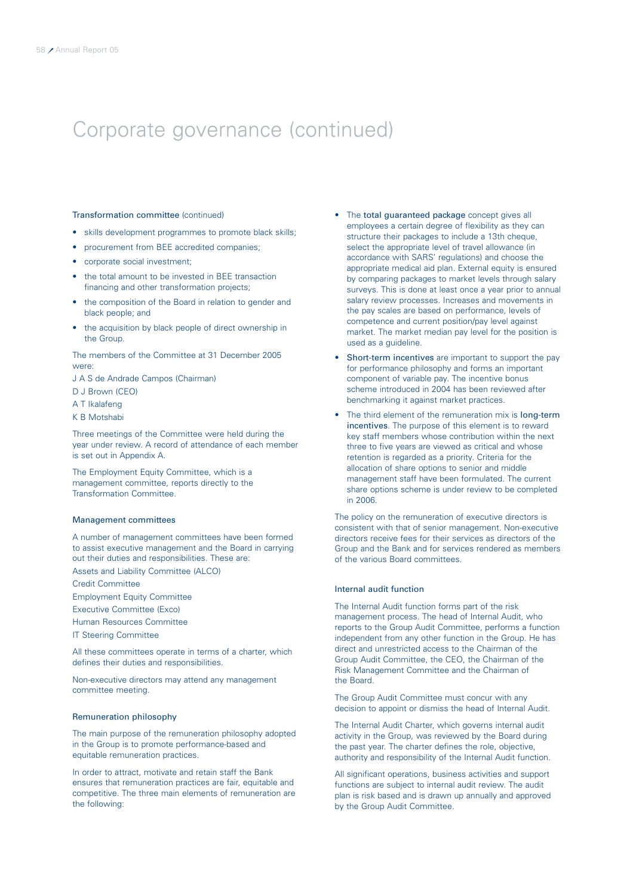### Transformation committee (continued)

- skills development programmes to promote black skills;
- procurement from BEE accredited companies;
- corporate social investment;
- the total amount to be invested in BEE transaction financing and other transformation projects;
- the composition of the Board in relation to gender and black people; and
- the acquisition by black people of direct ownership in the Group.

The members of the Committee at 31 December 2005 were:

J A S de Andrade Campos (Chairman)

D J Brown (CEO)

A T Ikalafeng

K B Motshabi

Three meetings of the Committee were held during the year under review. A record of attendance of each member is set out in Appendix A.

The Employment Equity Committee, which is a management committee, reports directly to the Transformation Committee.

### Management committees

A number of management committees have been formed to assist executive management and the Board in carrying out their duties and responsibilities. These are:

Assets and Liability Committee (ALCO)

Credit Committee

Employment Equity Committee

Executive Committee (Exco)

Human Resources Committee

IT Steering Committee

All these committees operate in terms of a charter, which defines their duties and responsibilities.

Non-executive directors may attend any management committee meeting.

### Remuneration philosophy

The main purpose of the remuneration philosophy adopted in the Group is to promote performance-based and equitable remuneration practices.

In order to attract, motivate and retain staff the Bank ensures that remuneration practices are fair, equitable and competitive. The three main elements of remuneration are the following:

- The total guaranteed package concept gives all employees a certain degree of flexibility as they can structure their packages to include a 13th cheque. select the appropriate level of travel allowance (in accordance with SARS' regulations) and choose the appropriate medical aid plan. External equity is ensured by comparing packages to market levels through salary surveys. This is done at least once a year prior to annual salary review processes. Increases and movements in the pay scales are based on performance, levels of competence and current position/pay level against market. The market median pay level for the position is used as a guideline.
- Short-term incentives are important to support the pay for performance philosophy and forms an important component of variable pay. The incentive bonus scheme introduced in 2004 has been reviewed after benchmarking it against market practices.
- The third element of the remuneration mix is **long-term** incentives. The purpose of this element is to reward key staff members whose contribution within the next three to five years are viewed as critical and whose retention is regarded as a priority. Criteria for the allocation of share options to senior and middle management staff have been formulated. The current share options scheme is under review to be completed in 2006.

The policy on the remuneration of executive directors is consistent with that of senior management. Non-executive directors receive fees for their services as directors of the Group and the Bank and for services rendered as members of the various Board committees.

### Internal audit function

The Internal Audit function forms part of the risk management process. The head of Internal Audit, who reports to the Group Audit Committee, performs a function independent from any other function in the Group. He has direct and unrestricted access to the Chairman of the Group Audit Committee, the CEO, the Chairman of the Risk Management Committee and the Chairman of the Board.

The Group Audit Committee must concur with any decision to appoint or dismiss the head of Internal Audit.

The Internal Audit Charter, which governs internal audit activity in the Group, was reviewed by the Board during the past year. The charter defines the role, objective, authority and responsibility of the Internal Audit function.

All significant operations, business activities and support functions are subject to internal audit review. The audit plan is risk based and is drawn up annually and approved by the Group Audit Committee.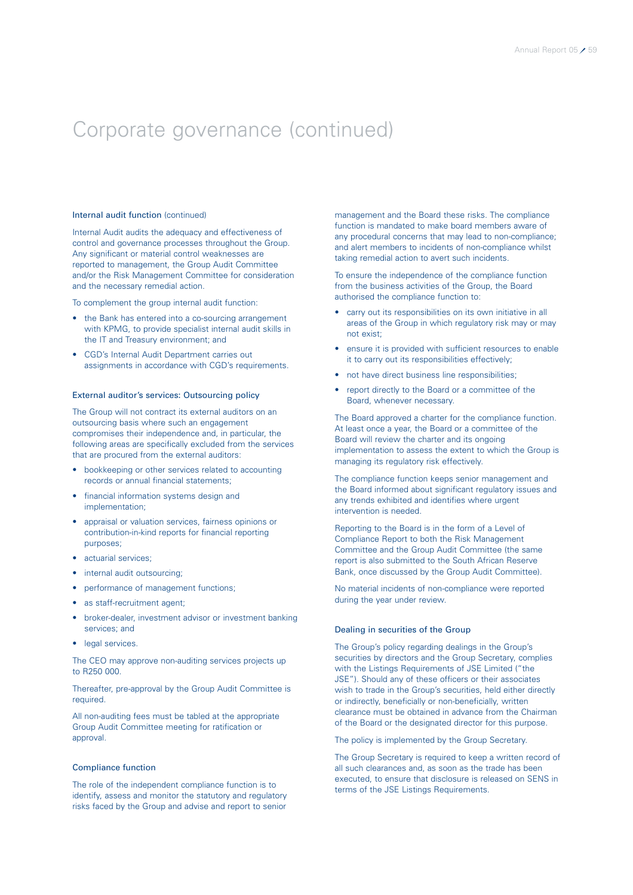### Internal audit function (continued)

Internal Audit audits the adequacy and effectiveness of control and governance processes throughout the Group. Any significant or material control weaknesses are reported to management, the Group Audit Committee and/or the Risk Management Committee for consideration and the necessary remedial action.

To complement the group internal audit function:

- the Bank has entered into a co-sourcing arrangement with KPMG, to provide specialist internal audit skills in the IT and Treasury environment; and
- CGD's Internal Audit Department carries out assignments in accordance with CGD's requirements.

### External auditor's services: Outsourcing policy

The Group will not contract its external auditors on an outsourcing basis where such an engagement compromises their independence and, in particular, the following areas are specifically excluded from the services that are procured from the external auditors:

- bookkeeping or other services related to accounting records or annual financial statements;
- financial information systems design and implementation;
- appraisal or valuation services, fairness opinions or contribution-in-kind reports for financial reporting purposes;
- actuarial services;
- internal audit outsourcing;
- performance of management functions;
- as staff-recruitment agent:
- broker-dealer, investment advisor or investment banking services; and
- legal services.

The CEO may approve non-auditing services projects up to R250 000.

Thereafter, pre-approval by the Group Audit Committee is required.

All non-auditing fees must be tabled at the appropriate Group Audit Committee meeting for ratification or approval.

#### Compliance function

The role of the independent compliance function is to identify, assess and monitor the statutory and regulatory risks faced by the Group and advise and report to senior

management and the Board these risks. The compliance function is mandated to make board members aware of any procedural concerns that may lead to non-compliance; and alert members to incidents of non-compliance whilst taking remedial action to avert such incidents.

To ensure the independence of the compliance function from the business activities of the Group, the Board authorised the compliance function to:

- carry out its responsibilities on its own initiative in all areas of the Group in which regulatory risk may or may not exist;
- ensure it is provided with sufficient resources to enable it to carry out its responsibilities effectively;
- not have direct business line responsibilities;
- report directly to the Board or a committee of the Board, whenever necessary.

The Board approved a charter for the compliance function. At least once a year, the Board or a committee of the Board will review the charter and its ongoing implementation to assess the extent to which the Group is managing its regulatory risk effectively.

The compliance function keeps senior management and the Board informed about significant regulatory issues and any trends exhibited and identifies where urgent intervention is needed.

Reporting to the Board is in the form of a Level of Compliance Report to both the Risk Management Committee and the Group Audit Committee (the same report is also submitted to the South African Reserve Bank, once discussed by the Group Audit Committee).

No material incidents of non-compliance were reported during the year under review.

### Dealing in securities of the Group

The Group's policy regarding dealings in the Group's securities by directors and the Group Secretary, complies with the Listings Requirements of JSE Limited ("the JSE"). Should any of these officers or their associates wish to trade in the Group's securities, held either directly or indirectly, beneficially or non-beneficially, written clearance must be obtained in advance from the Chairman of the Board or the designated director for this purpose.

The policy is implemented by the Group Secretary.

The Group Secretary is required to keep a written record of all such clearances and, as soon as the trade has been executed, to ensure that disclosure is released on SENS in terms of the JSE Listings Requirements.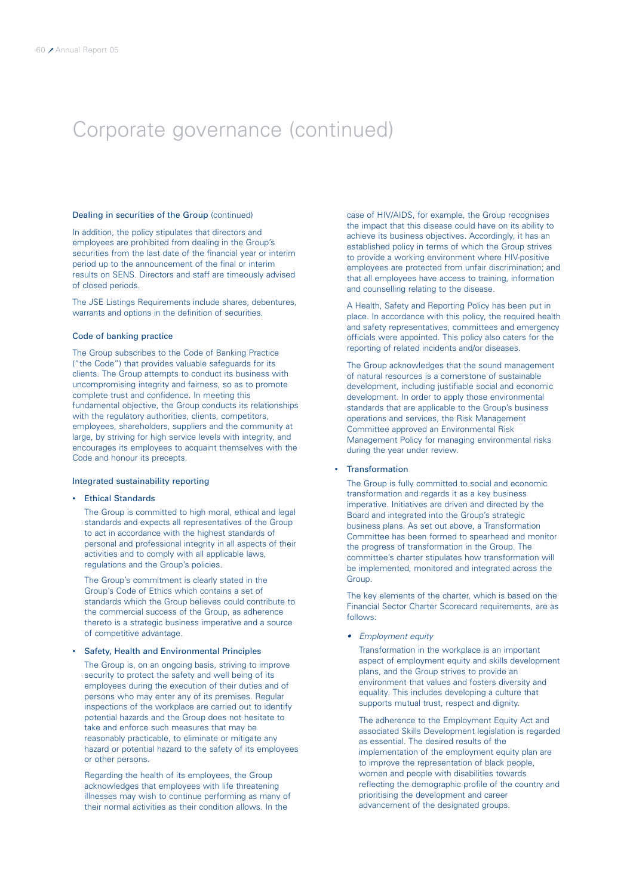### Dealing in securities of the Group (continued)

In addition, the policy stipulates that directors and employees are prohibited from dealing in the Group's securities from the last date of the financial year or interim period up to the announcement of the final or interim results on SENS. Directors and staff are timeously advised of closed periods.

The JSE Listings Requirements include shares, debentures, warrants and options in the definition of securities.

### Code of banking practice

The Group subscribes to the Code of Banking Practice ("the Code") that provides valuable safeguards for its clients. The Group attempts to conduct its business with uncompromising integrity and fairness, so as to promote complete trust and confidence. In meeting this fundamental objective, the Group conducts its relationships with the regulatory authorities, clients, competitors, employees, shareholders, suppliers and the community at large, by striving for high service levels with integrity, and encourages its employees to acquaint themselves with the Code and honour its precepts.

### Integrated sustainability reporting

### • Ethical Standards

The Group is committed to high moral, ethical and legal standards and expects all representatives of the Group to act in accordance with the highest standards of personal and professional integrity in all aspects of their activities and to comply with all applicable laws, regulations and the Group's policies.

The Group's commitment is clearly stated in the Group's Code of Ethics which contains a set of standards which the Group believes could contribute to the commercial success of the Group, as adherence thereto is a strategic business imperative and a source of competitive advantage.

#### • Safety, Health and Environmental Principles

The Group is, on an ongoing basis, striving to improve security to protect the safety and well being of its employees during the execution of their duties and of persons who may enter any of its premises. Regular inspections of the workplace are carried out to identify potential hazards and the Group does not hesitate to take and enforce such measures that may be reasonably practicable, to eliminate or mitigate any hazard or potential hazard to the safety of its employees or other persons.

Regarding the health of its employees, the Group acknowledges that employees with life threatening illnesses may wish to continue performing as many of their normal activities as their condition allows. In the

case of HIV/AIDS, for example, the Group recognises the impact that this disease could have on its ability to achieve its business objectives. Accordingly, it has an established policy in terms of which the Group strives to provide a working environment where HIV-positive employees are protected from unfair discrimination; and that all employees have access to training, information and counselling relating to the disease.

A Health, Safety and Reporting Policy has been put in place. In accordance with this policy, the required health and safety representatives, committees and emergency officials were appointed. This policy also caters for the reporting of related incidents and/or diseases.

The Group acknowledges that the sound management of natural resources is a cornerstone of sustainable development, including justifiable social and economic development. In order to apply those environmental standards that are applicable to the Group's business operations and services, the Risk Management Committee approved an Environmental Risk Management Policy for managing environmental risks during the year under review.

### • Transformation

The Group is fully committed to social and economic transformation and regards it as a key business imperative. Initiatives are driven and directed by the Board and integrated into the Group's strategic business plans. As set out above, a Transformation Committee has been formed to spearhead and monitor the progress of transformation in the Group. The committee's charter stipulates how transformation will be implemented, monitored and integrated across the Group.

The key elements of the charter, which is based on the Financial Sector Charter Scorecard requirements, are as follows:

• Employment equity

Transformation in the workplace is an important aspect of employment equity and skills development plans, and the Group strives to provide an environment that values and fosters diversity and equality. This includes developing a culture that supports mutual trust, respect and dignity.

The adherence to the Employment Equity Act and associated Skills Development legislation is regarded as essential. The desired results of the implementation of the employment equity plan are to improve the representation of black people, women and people with disabilities towards reflecting the demographic profile of the country and prioritising the development and career advancement of the designated groups.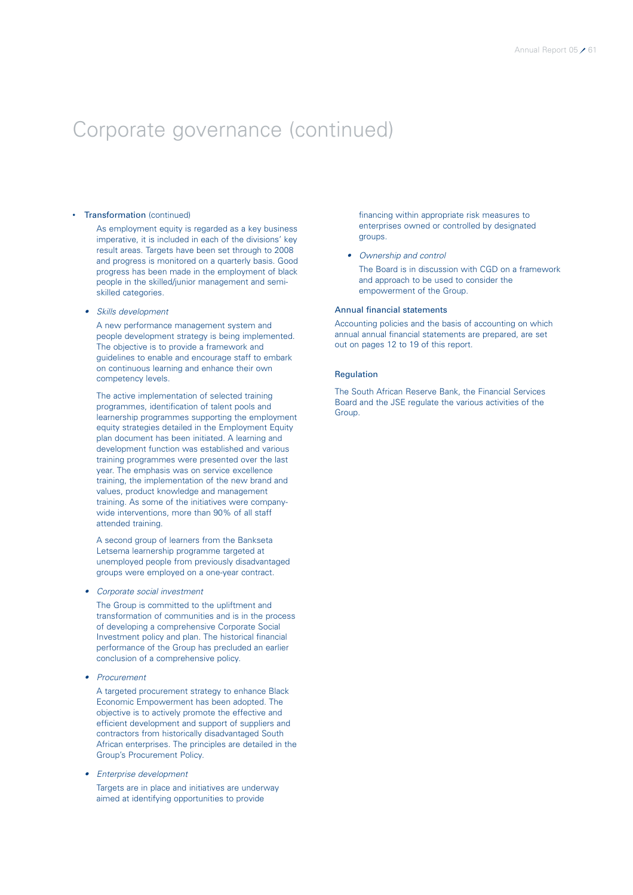### **Transformation** (continued)

As employment equity is regarded as a key business imperative, it is included in each of the divisions' key result areas. Targets have been set through to 2008 and progress is monitored on a quarterly basis. Good progress has been made in the employment of black people in the skilled/junior management and semiskilled categories.

#### • Skills development

A new performance management system and people development strategy is being implemented. The objective is to provide a framework and guidelines to enable and encourage staff to embark on continuous learning and enhance their own competency levels.

The active implementation of selected training programmes, identification of talent pools and learnership programmes supporting the employment equity strategies detailed in the Employment Equity plan document has been initiated. A learning and development function was established and various training programmes were presented over the last year. The emphasis was on service excellence training, the implementation of the new brand and values, product knowledge and management training. As some of the initiatives were companywide interventions, more than 90% of all staff attended training.

A second group of learners from the Bankseta Letsema learnership programme targeted at unemployed people from previously disadvantaged groups were employed on a one-year contract.

#### • Corporate social investment

The Group is committed to the upliftment and transformation of communities and is in the process of developing a comprehensive Corporate Social Investment policy and plan. The historical financial performance of the Group has precluded an earlier conclusion of a comprehensive policy.

•Procurement

> A targeted procurement strategy to enhance Black Economic Empowerment has been adopted. The objective is to actively promote the effective and efficient development and support of suppliers and contractors from historically disadvantaged South African enterprises. The principles are detailed in the Group's Procurement Policy.

• Enterprise development

Targets are in place and initiatives are underway aimed at identifying opportunities to provide

financing within appropriate risk measures to enterprises owned or controlled by designated groups.

• Ownership and control

The Board is in discussion with CGD on a framework and approach to be used to consider the empowerment of the Group.

### Annual financial statements

Accounting policies and the basis of accounting on which annual annual financial statements are prepared, are set out on pages 12 to 19 of this report.

### Regulation

The South African Reserve Bank, the Financial Services Board and the JSE regulate the various activities of the Group.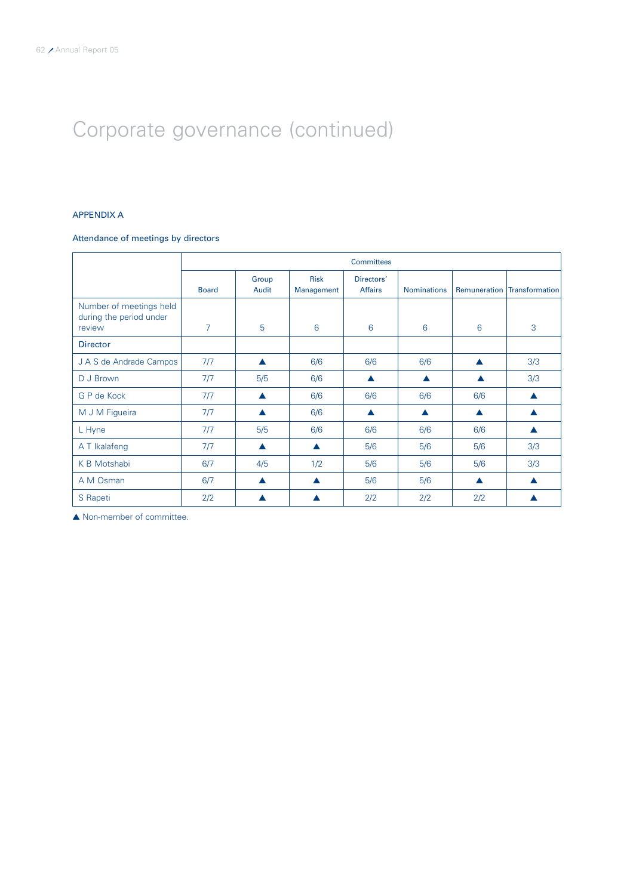### APPENDIX A

### Attendance of meetings by directors

|                                                              | <b>Committees</b> |                  |                           |                              |                    |     |                             |
|--------------------------------------------------------------|-------------------|------------------|---------------------------|------------------------------|--------------------|-----|-----------------------------|
|                                                              | <b>Board</b>      | Group<br>Audit   | <b>Risk</b><br>Management | Directors'<br><b>Affairs</b> | <b>Nominations</b> |     | Remuneration Transformation |
| Number of meetings held<br>during the period under<br>review | 7                 | 5                | 6                         | 6                            | 6                  | 6   | 3                           |
| <b>Director</b>                                              |                   |                  |                           |                              |                    |     |                             |
| J A S de Andrade Campos                                      | 7/7               |                  | 6/6                       | 6/6                          | 6/6                |     | 3/3                         |
| D J Brown                                                    | 7/7               | 5/5              | 6/6                       | ▲                            | ▲                  | ▲   | 3/3                         |
| G P de Kock                                                  | 7/7               |                  | 6/6                       | 6/6                          | 6/6                | 6/6 | ▲                           |
| M J M Figueira                                               | 7/7               |                  | 6/6                       | $\blacktriangle$             | ▲                  | ▲   |                             |
| L Hyne                                                       | 7/7               | 5/5              | 6/6                       | 6/6                          | 6/6                | 6/6 | ▲                           |
| A T Ikalafeng                                                | 7/7               | $\blacktriangle$ | $\blacktriangle$          | 5/6                          | 5/6                | 5/6 | 3/3                         |
| K B Motshabi                                                 | 6/7               | 4/5              | 1/2                       | 5/6                          | 5/6                | 5/6 | 3/3                         |
| A M Osman                                                    | 6/7               | $\blacktriangle$ | ▲                         | 5/6                          | 5/6                | ▲   | $\blacktriangle$            |
| S Rapeti                                                     | 2/2               |                  | ▲                         | 2/2                          | 2/2                | 2/2 | ▲                           |

▲ Non-member of committee.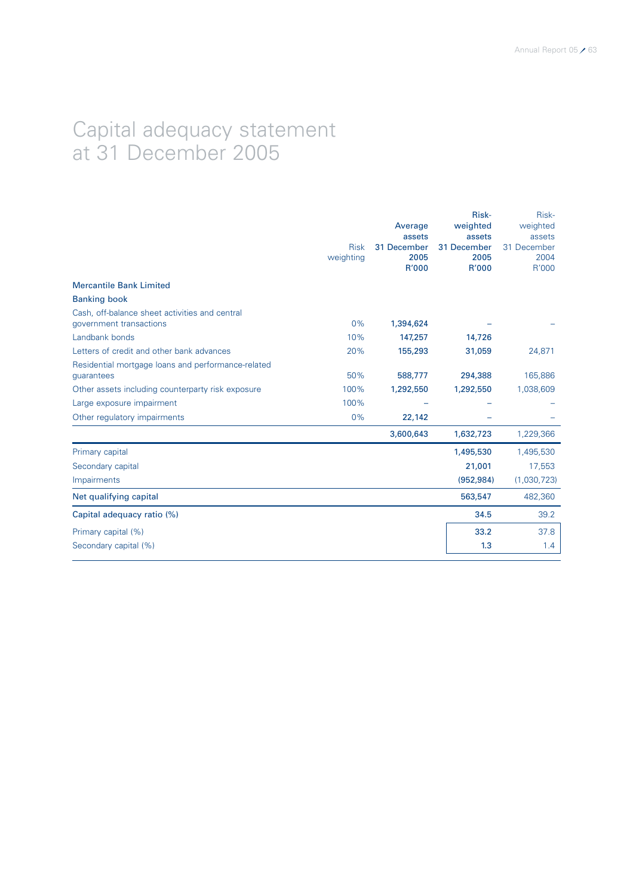### Capital adequacy statement at 31 December 2005

|                                                                           | <b>Risk</b><br>weighting | Average<br>assets<br>31 December<br>2005<br>R'000 | Risk-<br>weighted<br>assets<br>31 December<br>2005<br>R'000 | Risk-<br>weighted<br>assets<br>31 December<br>2004<br>R'000 |
|---------------------------------------------------------------------------|--------------------------|---------------------------------------------------|-------------------------------------------------------------|-------------------------------------------------------------|
| <b>Mercantile Bank Limited</b>                                            |                          |                                                   |                                                             |                                                             |
| <b>Banking book</b>                                                       |                          |                                                   |                                                             |                                                             |
| Cash, off-balance sheet activities and central<br>government transactions | 0%                       | 1,394,624                                         |                                                             |                                                             |
| Landbank bonds                                                            | 10%                      | 147,257                                           | 14,726                                                      |                                                             |
| Letters of credit and other bank advances                                 | 20%                      | 155,293                                           | 31,059                                                      | 24,871                                                      |
| Residential mortgage loans and performance-related<br>guarantees          | 50%                      | 588,777                                           | 294,388                                                     | 165,886                                                     |
| Other assets including counterparty risk exposure                         | 100%                     | 1,292,550                                         | 1,292,550                                                   | 1,038,609                                                   |
| Large exposure impairment                                                 | 100%                     |                                                   |                                                             |                                                             |
| Other regulatory impairments                                              | 0%                       | 22,142                                            |                                                             |                                                             |
|                                                                           |                          | 3,600,643                                         | 1,632,723                                                   | 1,229,366                                                   |
| Primary capital                                                           |                          |                                                   | 1,495,530                                                   | 1,495,530                                                   |
| Secondary capital                                                         |                          |                                                   | 21,001                                                      | 17,553                                                      |
| Impairments                                                               |                          |                                                   | (952, 984)                                                  | (1,030,723)                                                 |
| Net qualifying capital                                                    |                          |                                                   | 563,547                                                     | 482,360                                                     |
| Capital adequacy ratio (%)                                                |                          |                                                   | 34.5                                                        | 39.2                                                        |
| Primary capital (%)                                                       |                          |                                                   | 33.2                                                        | 37.8                                                        |
| Secondary capital (%)                                                     |                          |                                                   | 1.3                                                         | 1.4                                                         |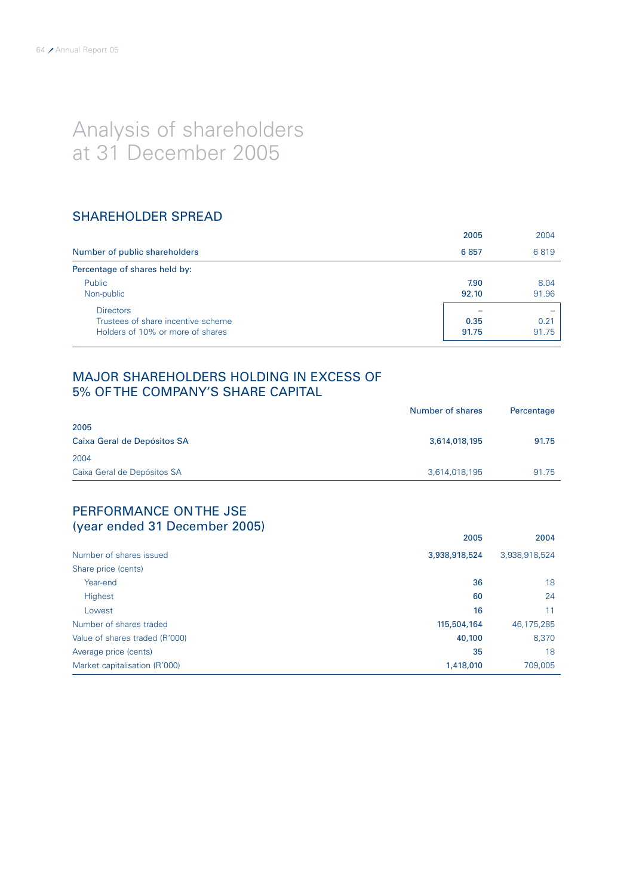# Analysis of shareholders at 31 December 2005

### SHAREHOLDER SPREAD

|                                    | 2005  | 2004  |  |
|------------------------------------|-------|-------|--|
| Number of public shareholders      | 6857  | 6819  |  |
| Percentage of shares held by:      |       |       |  |
| Public                             | 7.90  | 8.04  |  |
| Non-public                         | 92.10 | 91.96 |  |
| <b>Directors</b>                   |       |       |  |
| Trustees of share incentive scheme | 0.35  | 0.21  |  |
| Holders of 10% or more of shares   | 91.75 | 91.75 |  |

### MAJOR SHAREHOLDERS HOLDING IN EXCESS OF 5% OF THE COMPANY'S SHARE CAPITAL

|                                     | Number of shares | Percentage |
|-------------------------------------|------------------|------------|
| 2005<br>Caixa Geral de Depósitos SA | 3,614,018,195    | 91.75      |
| 2004                                |                  |            |
| Caixa Geral de Depósitos SA         | 3,614,018,195    | 91.75      |

### PERFORMANCE ON THE JSE (year ended 31 December 2005)

| $\cdots$                       | 2005          | 2004          |
|--------------------------------|---------------|---------------|
| Number of shares issued        | 3,938,918,524 | 3,938,918,524 |
| Share price (cents)            |               |               |
| Year-end                       | 36            | 18            |
| <b>Highest</b>                 | 60            | 24            |
| Lowest                         | 16            | 11            |
| Number of shares traded        | 115,504,164   | 46,175,285    |
| Value of shares traded (R'000) | 40,100        | 8,370         |
| Average price (cents)          | 35            | 18            |
| Market capitalisation (R'000)  | 1,418,010     | 709,005       |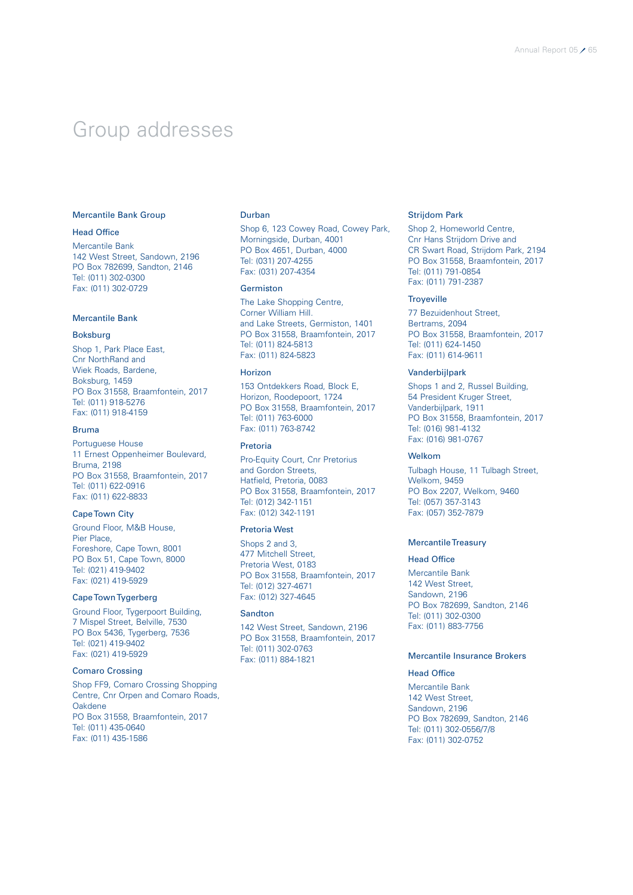### Group addresses

### Mercantile Bank Group

### Head Office

Mercantile Bank 142 West Street, Sandown, 2196 PO Box 782699, Sandton, 2146 Tel: (011) 302-0300 Fax: (011) 302-0729

### Mercantile Bank

### Boksburg

Shop 1, Park Place East, Cnr NorthRand and Wiek Roads, Bardene, Boksburg, 1459 PO Box 31558, Braamfontein, 2017 Tel: (011) 918-5276 Fax: (011) 918-4159

### Bruma

Portuguese House 11 Ernest Oppenheimer Boulevard, Bruma, 2198 PO Box 31558, Braamfontein, 2017 Tel: (011) 622-0916 Fax: (011) 622-8833

### Cape Town City

Ground Floor, M&B House, Pier Place, Foreshore, Cape Town, 8001 PO Box 51, Cape Town, 8000 Tel: (021) 419-9402 Fax: (021) 419-5929

### Cape Town Tygerberg

Ground Floor, Tygerpoort Building, 7 Mispel Street, Belville, 7530 PO Box 5436, Tygerberg, 7536 Tel: (021) 419-9402 Fax: (021) 419-5929

### Comaro Crossing

Shop FF9, Comaro Crossing Shopping Centre, Cnr Orpen and Comaro Roads, Oakdene PO Box 31558, Braamfontein, 2017 Tel: (011) 435-0640 Fax: (011) 435-1586

### Durban

Shop 6, 123 Cowey Road, Cowey Park, Morningside, Durban, 4001 PO Box 4651, Durban, 4000 Tel: (031) 207-4255 Fax: (031) 207-4354

#### Germiston

The Lake Shopping Centre, Corner William Hill. and Lake Streets, Germiston, 1401 PO Box 31558, Braamfontein, 2017 Tel: (011) 824-5813 Fax: (011) 824-5823

### Horizon

153 Ontdekkers Road, Block E, Horizon, Roodepoort, 1724 PO Box 31558, Braamfontein, 2017 Tel: (011) 763-6000 Fax: (011) 763-8742

### Pretoria

Pro-Equity Court, Cnr Pretorius and Gordon Streets, Hatfield, Pretoria, 0083 PO Box 31558, Braamfontein, 2017 Tel: (012) 342-1151 Fax: (012) 342-1191

### Pretoria West

Shops 2 and 3, 477 Mitchell Street, Pretoria West, 0183 PO Box 31558, Braamfontein, 2017 Tel: (012) 327-4671 Fax: (012) 327-4645

### **Sandton**

142 West Street, Sandown, 2196 PO Box 31558, Braamfontein, 2017 Tel: (011) 302-0763 Fax: (011) 884-1821

### Strijdom Park

Shop 2, Homeworld Centre, Cnr Hans Strijdom Drive and CR Swart Road, Strijdom Park, 2194 PO Box 31558, Braamfontein, 2017 Tel: (011) 791-0854 Fax: (011) 791-2387

### **Troveville**

77 Bezuidenhout Street, Bertrams, 2094 PO Box 31558, Braamfontein, 2017 Tel: (011) 624-1450 Fax: (011) 614-9611

### Vanderbijlpark

Shops 1 and 2, Russel Building, 54 President Kruger Street, Vanderbijlpark, 1911 PO Box 31558, Braamfontein, 2017 Tel: (016) 981-4132 Fax: (016) 981-0767

### Welkom

Tulbagh House, 11 Tulbagh Street, Welkom, 9459 PO Box 2207, Welkom, 9460 Tel: (057) 357-3143 Fax: (057) 352-7879

### Mercantile Treasury

#### Head Office

Mercantile Bank 142 West Street Sandown, 2196 PO Box 782699, Sandton, 2146 Tel: (011) 302-0300 Fax: (011) 883-7756

### Mercantile Insurance Brokers

### Head Office

Mercantile Bank 142 West Street, Sandown, 2196 PO Box 782699, Sandton, 2146 Tel: (011) 302-0556/7/8 Fax: (011) 302-0752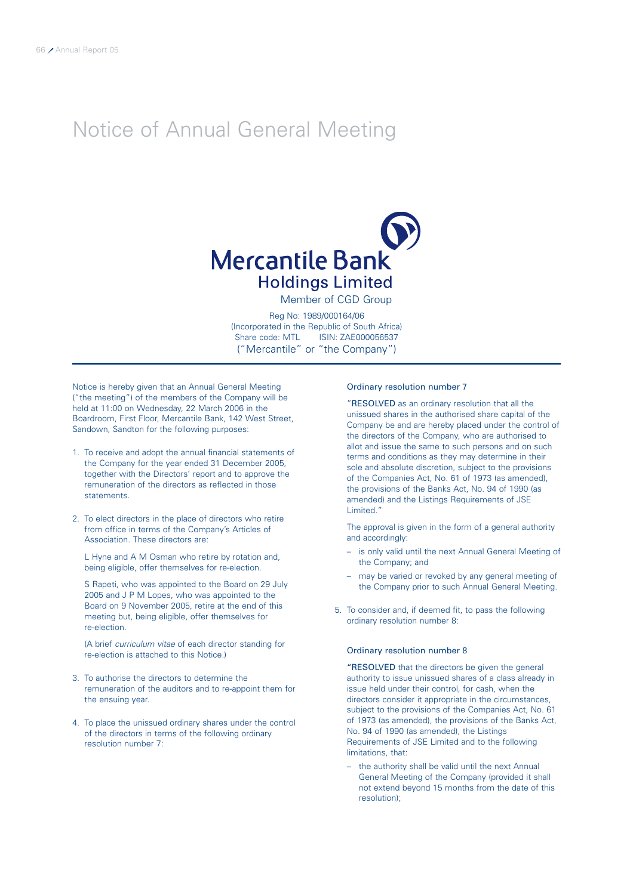# Notice of Annual General Meeting



Member of CGD Group

Reg No: 1989/000164/06 (Incorporated in the Republic of South Africa) Share code: MTL ISIN: ZAE000056537 ("Mercantile" or "the Company")

Notice is hereby given that an Annual General Meeting ("the meeting") of the members of the Company will be held at 11:00 on Wednesday, 22 March 2006 in the Boardroom, First Floor, Mercantile Bank, 142 West Street, Sandown, Sandton for the following purposes:

- 1. To receive and adopt the annual financial statements of the Company for the year ended 31 December 2005, together with the Directors' report and to approve the remuneration of the directors as reflected in those statements.
- 2. To elect directors in the place of directors who retire from office in terms of the Company's Articles of Association. These directors are:

L Hyne and A M Osman who retire by rotation and, being eligible, offer themselves for re-election.

S Rapeti, who was appointed to the Board on 29 July 2005 and J P M Lopes, who was appointed to the Board on 9 November 2005, retire at the end of this meeting but, being eligible, offer themselves for re-election.

(A brief curriculum vitae of each director standing for re-election is attached to this Notice.)

- 3. To authorise the directors to determine the remuneration of the auditors and to re-appoint them for the ensuing year.
- 4. To place the unissued ordinary shares under the control of the directors in terms of the following ordinary resolution number 7:

### Ordinary resolution number 7

"RESOLVED as an ordinary resolution that all the unissued shares in the authorised share capital of the Company be and are hereby placed under the control of the directors of the Company, who are authorised to allot and issue the same to such persons and on such terms and conditions as they may determine in their sole and absolute discretion, subject to the provisions of the Companies Act, No. 61 of 1973 (as amended), the provisions of the Banks Act, No. 94 of 1990 (as amended) and the Listings Requirements of JSE Limited."

The approval is given in the form of a general authority and accordingly:

- is only valid until the next Annual General Meeting of the Company; and
- may be varied or revoked by any general meeting of the Company prior to such Annual General Meeting.
- 5. To consider and, if deemed fit, to pass the following ordinary resolution number 8:

### Ordinary resolution number 8

"RESOLVED that the directors be given the general authority to issue unissued shares of a class already in issue held under their control, for cash, when the directors consider it appropriate in the circumstances, subject to the provisions of the Companies Act, No. 61 of 1973 (as amended), the provisions of the Banks Act, No. 94 of 1990 (as amended), the Listings Requirements of JSE Limited and to the following limitations, that:

– the authority shall be valid until the next Annual General Meeting of the Company (provided it shall not extend beyond 15 months from the date of this resolution);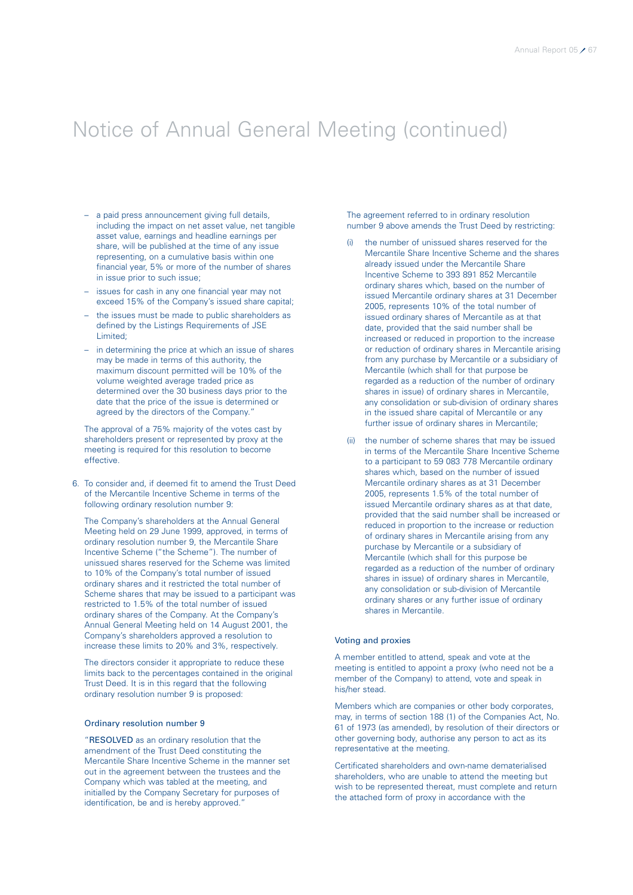# Notice of Annual General Meeting (continued)

- a paid press announcement giving full details, including the impact on net asset value, net tangible asset value, earnings and headline earnings per share, will be published at the time of any issue representing, on a cumulative basis within one financial year, 5% or more of the number of shares in issue prior to such issue;
- issues for cash in any one financial year may not exceed 15% of the Company's issued share capital;
- the issues must be made to public shareholders as defined by the Listings Requirements of JSE Limited;
- in determining the price at which an issue of shares may be made in terms of this authority, the maximum discount permitted will be 10% of the volume weighted average traded price as determined over the 30 business days prior to the date that the price of the issue is determined or agreed by the directors of the Company.

The approval of a 75% majority of the votes cast by shareholders present or represented by proxy at the meeting is required for this resolution to become effective.

6. To consider and, if deemed fit to amend the Trust Deed of the Mercantile Incentive Scheme in terms of the following ordinary resolution number 9:

The Company's shareholders at the Annual General Meeting held on 29 June 1999, approved, in terms of ordinary resolution number 9, the Mercantile Share Incentive Scheme ("the Scheme"). The number of unissued shares reserved for the Scheme was limited to 10% of the Company's total number of issued ordinary shares and it restricted the total number of Scheme shares that may be issued to a participant was restricted to 1.5% of the total number of issued ordinary shares of the Company. At the Company's Annual General Meeting held on 14 August 2001, the Company's shareholders approved a resolution to increase these limits to 20% and 3%, respectively.

The directors consider it appropriate to reduce these limits back to the percentages contained in the original Trust Deed. It is in this regard that the following ordinary resolution number 9 is proposed:

### Ordinary resolution number 9

"RESOLVED as an ordinary resolution that the amendment of the Trust Deed constituting the Mercantile Share Incentive Scheme in the manner set out in the agreement between the trustees and the Company which was tabled at the meeting, and initialled by the Company Secretary for purposes of identification, be and is hereby approved."

The agreement referred to in ordinary resolution number 9 above amends the Trust Deed by restricting:

- (i) the number of unissued shares reserved for the Mercantile Share Incentive Scheme and the shares already issued under the Mercantile Share Incentive Scheme to 393 891 852 Mercantile ordinary shares which, based on the number of issued Mercantile ordinary shares at 31 December 2005, represents 10% of the total number of issued ordinary shares of Mercantile as at that date, provided that the said number shall be increased or reduced in proportion to the increase or reduction of ordinary shares in Mercantile arising from any purchase by Mercantile or a subsidiary of Mercantile (which shall for that purpose be regarded as a reduction of the number of ordinary shares in issue) of ordinary shares in Mercantile, any consolidation or sub-division of ordinary shares in the issued share capital of Mercantile or any further issue of ordinary shares in Mercantile;
- (ii) the number of scheme shares that may be issued in terms of the Mercantile Share Incentive Scheme to a participant to 59 083 778 Mercantile ordinary shares which, based on the number of issued Mercantile ordinary shares as at 31 December 2005, represents 1.5% of the total number of issued Mercantile ordinary shares as at that date, provided that the said number shall be increased or reduced in proportion to the increase or reduction of ordinary shares in Mercantile arising from any purchase by Mercantile or a subsidiary of Mercantile (which shall for this purpose be regarded as a reduction of the number of ordinary shares in issue) of ordinary shares in Mercantile, any consolidation or sub-division of Mercantile ordinary shares or any further issue of ordinary shares in Mercantile.

### Voting and proxies

A member entitled to attend, speak and vote at the meeting is entitled to appoint a proxy (who need not be a member of the Company) to attend, vote and speak in his/her stead.

Members which are companies or other body corporates, may, in terms of section 188 (1) of the Companies Act, No. 61 of 1973 (as amended), by resolution of their directors or other governing body, authorise any person to act as its representative at the meeting.

Certificated shareholders and own-name dematerialised shareholders, who are unable to attend the meeting but wish to be represented thereat, must complete and return the attached form of proxy in accordance with the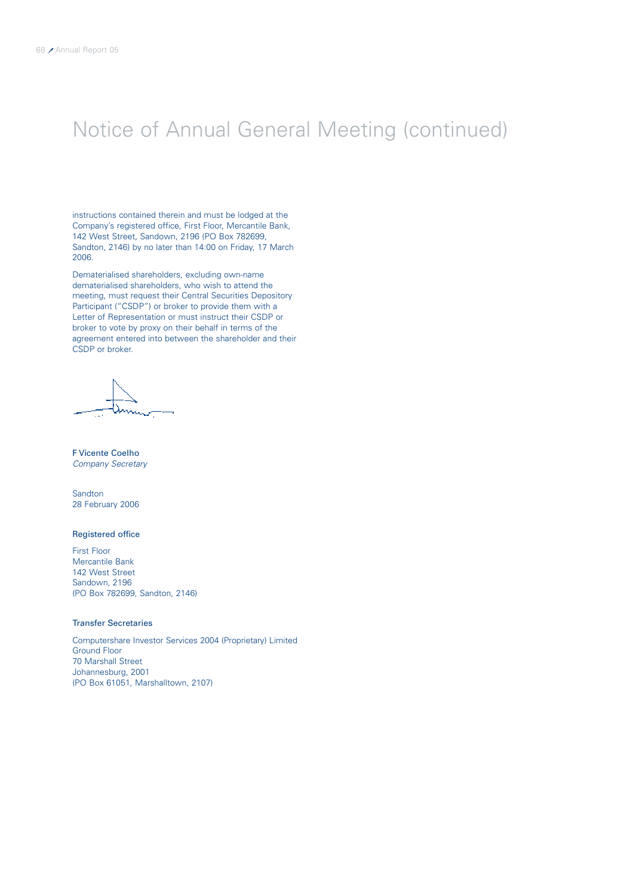# Notice of Annual General Meeting (continued)

instructions contained therein and must be lodged at the Company's registered office, First Floor, Mercantile Bank, 142 West Street, Sandown, 2196 (PO Box 782699, Sandton, 2146) by no later than 14:00 on Friday, 17 March 2006.

Dematerialised shareholders, excluding own-name dematerialised shareholders, who wish to attend the meeting, must request their Central Securities Depository Participant ("CSDP") or broker to provide them with a Letter of Representation or must instruct their CSDP or broker to vote by proxy on their behalf in terms of the agreement entered into between the shareholder and their CSDP or broker.

By order of the Board

F Vicente Coelho Company Secretary

Sandton 28 February 2006

### Registered office

First Floor Mercantile Bank 142 West Street Sandown, 2196 (PO Box 782699, Sandton, 2146)

### Transfer Secretaries

Computershare Investor Services 2004 (Proprietary) Limited Ground Floor 70 Marshall Street Johannesburg, 2001 (PO Box 61051, Marshalltown, 2107)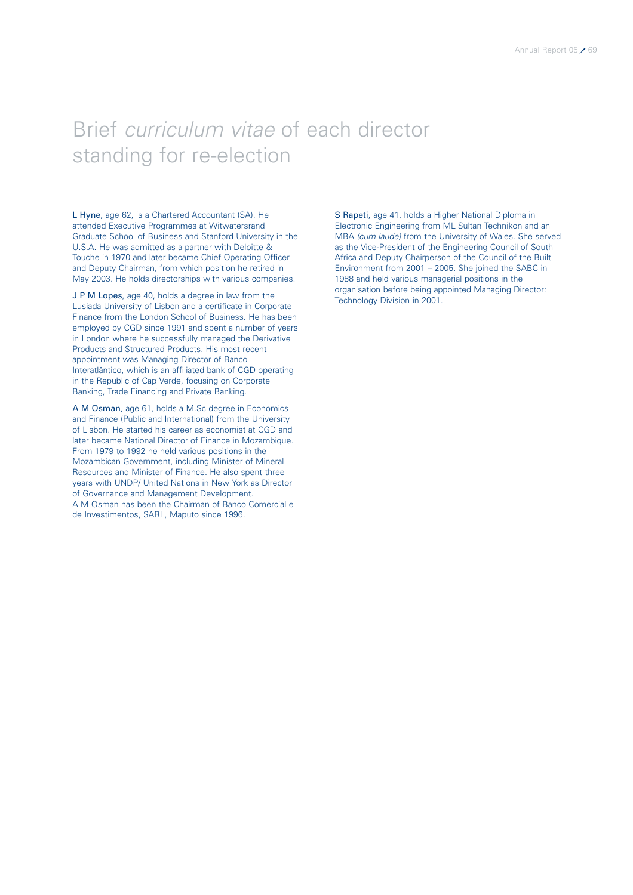# Brief curriculum vitae of each director standing for re-election

L Hyne, age 62, is a Chartered Accountant (SA). He attended Executive Programmes at Witwatersrand Graduate School of Business and Stanford University in the U.S.A. He was admitted as a partner with Deloitte & Touche in 1970 and later became Chief Operating Officer and Deputy Chairman, from which position he retired in May 2003. He holds directorships with various companies.

J P M Lopes, age 40, holds a degree in law from the Lusiada University of Lisbon and a certificate in Corporate Finance from the London School of Business. He has been employed by CGD since 1991 and spent a number of years in London where he successfully managed the Derivative Products and Structured Products. His most recent appointment was Managing Director of Banco Interatlântico, which is an affiliated bank of CGD operating in the Republic of Cap Verde, focusing on Corporate Banking, Trade Financing and Private Banking.

A M Osman, age 61, holds a M.Sc degree in Economics and Finance (Public and International) from the University of Lisbon. He started his career as economist at CGD and later became National Director of Finance in Mozambique. From 1979 to 1992 he held various positions in the Mozambican Government, including Minister of Mineral Resources and Minister of Finance. He also spent three years with UNDP/ United Nations in New York as Director of Governance and Management Development. A M Osman has been the Chairman of Banco Comercial e de Investimentos, SARL, Maputo since 1996.

S Rapeti, age 41, holds a Higher National Diploma in Electronic Engineering from ML Sultan Technikon and an MBA (cum laude) from the University of Wales. She served as the Vice-President of the Engineering Council of South Africa and Deputy Chairperson of the Council of the Built Environment from 2001 – 2005. She joined the SABC in 1988 and held various managerial positions in the organisation before being appointed Managing Director: Technology Division in 2001.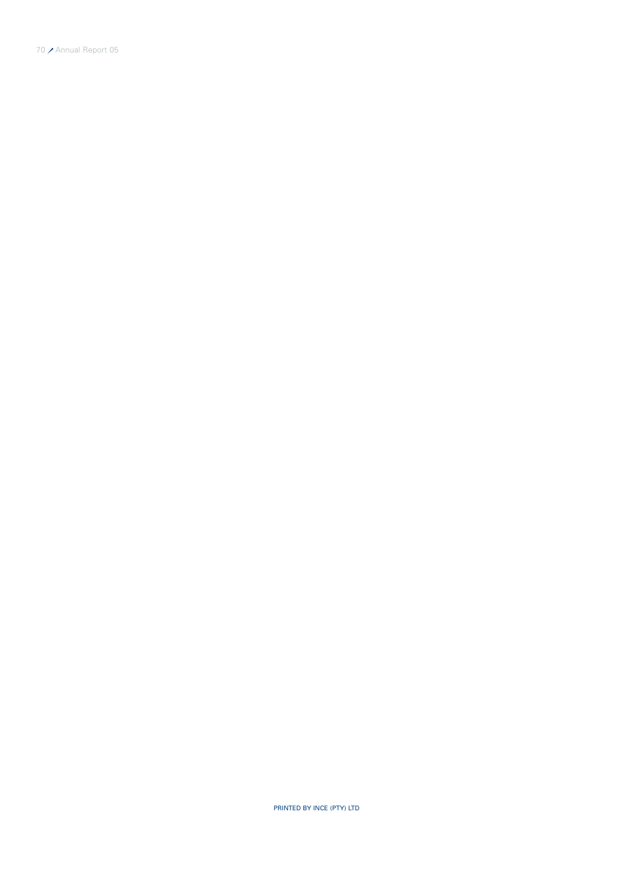PRINTED BY INCE (PTY) LTD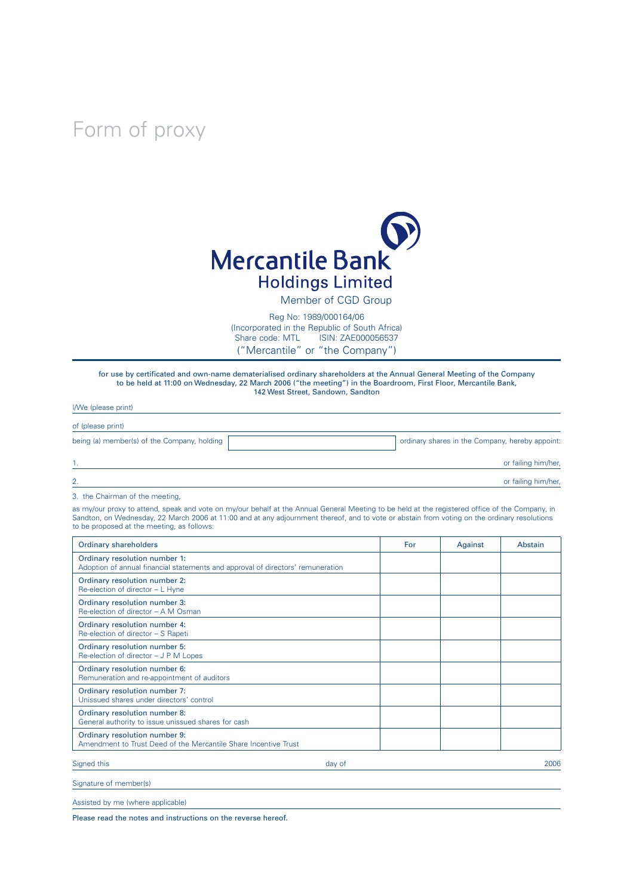# Form of proxy



Member of CGD Group

Reg No: 1989/000164/06 (Incorporated in the Republic of South Africa) iSIN: ZAE000056537 ("Mercantile" or "the Company")

for use by certificated and own-name dematerialised ordinary shareholders at the Annual General Meeting of the Company to be held at 11:00 on Wednesday, 22 March 2006 ("the meeting") in the Boardroom, First Floor, Mercantile Bank, 142 West Street, Sandown, Sandton

| <i>livve</i> (please print)                 |                                                 |
|---------------------------------------------|-------------------------------------------------|
| of (please print)                           |                                                 |
| being (a) member(s) of the Company, holding | ordinary shares in the Company, hereby appoint: |
|                                             | or failing him/her,                             |
| 2.                                          | or failing him/her,                             |

3. the Chairman of the meeting,

 $\frac{1}{2}$   $\frac{1}{2}$   $\frac{1}{2}$   $\frac{1}{2}$   $\frac{1}{2}$   $\frac{1}{2}$   $\frac{1}{2}$   $\frac{1}{2}$   $\frac{1}{2}$   $\frac{1}{2}$   $\frac{1}{2}$   $\frac{1}{2}$   $\frac{1}{2}$   $\frac{1}{2}$   $\frac{1}{2}$   $\frac{1}{2}$   $\frac{1}{2}$   $\frac{1}{2}$   $\frac{1}{2}$   $\frac{1}{2}$   $\frac{1}{2}$   $\frac{1}{2}$ 

as my/our proxy to attend, speak and vote on my/our behalf at the Annual General Meeting to be held at the registered office of the Company, in Sandton, on Wednesday, 22 March 2006 at 11:00 and at any adjournment thereof, and to vote or abstain from voting on the ordinary resolutions to be proposed at the meeting, as follows:

| Ordinary shareholders                                                                                            | For | Against | Abstain |
|------------------------------------------------------------------------------------------------------------------|-----|---------|---------|
| Ordinary resolution number 1:<br>Adoption of annual financial statements and approval of directors' remuneration |     |         |         |
| Ordinary resolution number 2:<br>Re-election of director - L Hyne                                                |     |         |         |
| Ordinary resolution number 3:<br>Re-election of director - A M Osman                                             |     |         |         |
| Ordinary resolution number 4:<br>Re-election of director - S Rapeti                                              |     |         |         |
| Ordinary resolution number 5:<br>Re-election of director – J P M Lopes                                           |     |         |         |
| Ordinary resolution number 6:<br>Remuneration and re-appointment of auditors                                     |     |         |         |
| Ordinary resolution number 7:<br>Unissued shares under directors' control                                        |     |         |         |
| Ordinary resolution number 8:<br>General authority to issue unissued shares for cash                             |     |         |         |
| Ordinary resolution number 9:<br>Amendment to Trust Deed of the Mercantile Share Incentive Trust                 |     |         |         |
| Signed this<br>day of                                                                                            |     |         | 2006    |
| Signature of member(s)                                                                                           |     |         |         |

Assisted by me (where applicable)

Please read the notes and instructions on the reverse hereof.